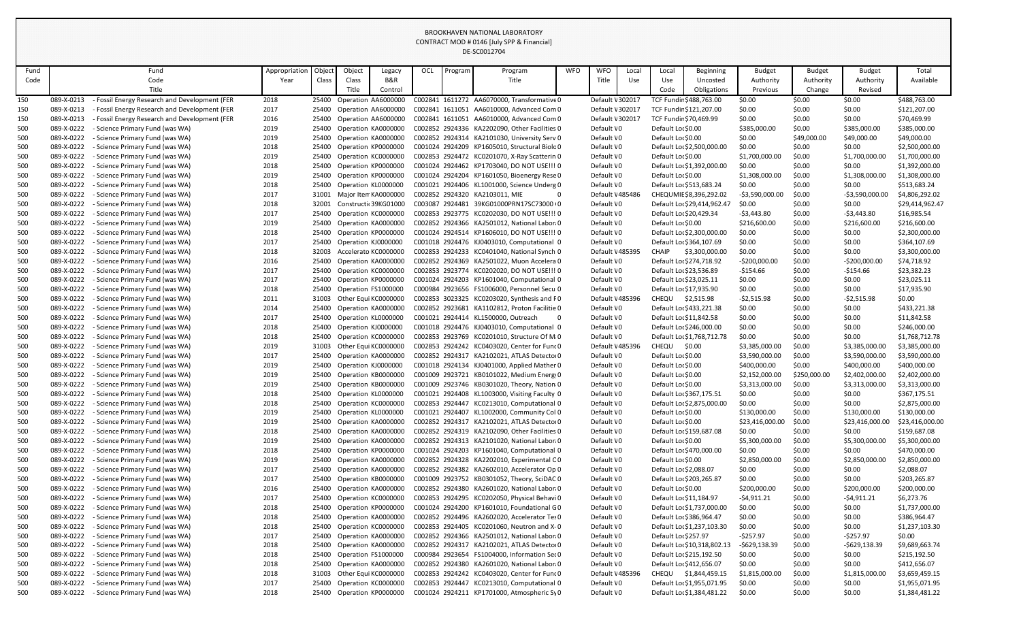| Fund       |                          | Fund                                                           | Appropriation | Object         | Object                                     | Legacy  | OCL | Program | Program                                                                                  | <b>WFO</b> | <b>WFO</b>               | Local | Local                                    | Beginning                   | <b>Budget</b>                  | <b>Budget</b>          | <b>Budget</b>                  | Total                          |
|------------|--------------------------|----------------------------------------------------------------|---------------|----------------|--------------------------------------------|---------|-----|---------|------------------------------------------------------------------------------------------|------------|--------------------------|-------|------------------------------------------|-----------------------------|--------------------------------|------------------------|--------------------------------|--------------------------------|
| Code       |                          | Code                                                           | Year          | Class          | Class                                      | B&R     |     |         | Title                                                                                    |            | Title                    | Use   | Use                                      | Uncosted                    | Authority                      | Authority              | Authority                      | Available                      |
|            |                          | Title                                                          |               |                | Title                                      | Control |     |         |                                                                                          |            |                          |       | Code                                     | Obligations                 | Previous                       | Change                 | Revised                        |                                |
| 150        | 089-X-0213               | - Fossil Energy Research and Development (FER                  | 2018          | 25400          | Operation AA6000000                        |         |     |         | C002841 1611272 AA6070000, Transformative 0                                              |            | Default \ 302017         |       |                                          | TCF Fundir \$488,763.00     | \$0.00                         | \$0.00                 | \$0.00                         | \$488,763.00                   |
| 150        | 089-X-0213               | - Fossil Energy Research and Development (FER                  | 2017          | 25400          | Operation AA6000000                        |         |     |         | C002841 1611051 AA6010000, Advanced Com 0                                                |            | Default \ 302017         |       |                                          | TCF Fundir \$121,207.00     | \$0.00                         | \$0.00                 | \$0.00                         | \$121,207.00                   |
| 150        | 089-X-0213               | - Fossil Energy Research and Development (FER                  | 2016          | 25400          | Operation AA6000000                        |         |     |         | C002841 1611051 AA6010000, Advanced Com 0                                                |            | Default \ 302017         |       | TCF Fundir \$70,469.99                   |                             | \$0.00                         | \$0.00                 | \$0.00                         | \$70,469.99                    |
| 500        | 089-X-0222               | - Science Primary Fund (was WA)                                | 2019          | 25400          | Operation KA0000000                        |         |     |         | C002852 2924336 KA2202090, Other Facilities 0                                            |            | Default \0               |       | Default Lor \$0.00                       |                             | \$385,000.00                   | \$0.00                 | \$385,000.00                   | \$385,000.00                   |
| 500        | 089-X-0222               | Science Primary Fund (was WA)                                  | 2019          | 25400          | Operation KA0000000                        |         |     |         | C002852 2924314 KA2101030, University Serv 0                                             |            | Default \0               |       | Default Lor \$0.00                       |                             | \$0.00                         | \$49,000.00            | \$49,000.00                    | \$49,000.00                    |
| 500        | 089-X-0222               | Science Primary Fund (was WA)                                  | 2018          | 25400          | Operation KP0000000                        |         |     |         | C001024 2924209 KP1605010, Structural Biolo0                                             |            | Default \0               |       |                                          | Default Lor \$2,500,000.00  | \$0.00                         | \$0.00                 | \$0.00                         | \$2,500,000.00                 |
| 500        | 089-X-0222               | <b>Science Primary Fund (was WA)</b>                           | 2019          | 25400          | Operation KC0000000                        |         |     |         | C002853 2924472 KC0201070, X-Ray Scatterin 0                                             |            | Default \0               |       | Default Lor \$0.00                       |                             | \$1,700,000.00                 | \$0.00                 | \$1,700,000.00                 | \$1,700,000.00                 |
| 500        | 089-X-0222               | Science Primary Fund (was WA)                                  | 2018          | 25400          | Operation KP0000000                        |         |     |         | C001024 2924462 KP1703040, DO NOT USE !!! 0                                              |            | Default \0               |       |                                          | Default Lor \$1,392,000.00  | \$0.00                         | \$0.00                 | \$0.00                         | \$1,392,000.00                 |
| 500        | 089-X-0222               | - Science Primary Fund (was WA)                                | 2019          | 25400          | Operation KP0000000                        |         |     |         | C001024 2924204 KP1601050, Bioenergy Rese 0                                              |            | Default \0               |       | Default Lor \$0.00                       |                             | \$1,308,000.00                 | \$0.00                 | \$1,308,000.00                 | \$1,308,000.00                 |
| 500        | 089-X-0222               | <b>Science Primary Fund (was WA)</b>                           | 2018          | 25400          | Operation KL0000000                        |         |     |         | C001021 2924406 KL1001000, Science Underg 0                                              |            | Default \0               |       |                                          | Default Lor \$513,683.24    | \$0.00                         | \$0.00                 | \$0.00                         | \$513,683.24                   |
| 500        | 089-X-0222               | Science Primary Fund (was WA)                                  | 2017          | 31001          | Major Iten KA0000000                       |         |     |         | C002852 2924320 KA2103011, MIE                                                           |            | Default \485486          |       |                                          | CHEQUMIE \$8,396,292.02     | $-53,590,000.00$               | \$0.00                 | $-53,590,000.00$               | \$4,806,292.02                 |
| 500        | 089-X-0222               | <b>Science Primary Fund (was WA)</b>                           | 2018          | 32001          | Constructic 39KG01000                      |         |     |         | C003087 2924481 39KG01000PRN17SC73000 (0                                                 |            | Default \0               |       |                                          | Default Lor \$29,414,962.4  | \$0.00                         | \$0.00                 | \$0.00                         | \$29,414,962.47                |
| 500        | 089-X-0222               | Science Primary Fund (was WA)                                  | 2017          | 25400          | Operation KC0000000                        |         |     |         | C002853 2923775 KC0202030, DO NOT USE !!! 0                                              |            | Default \0               |       | Default Lor \$20,429.34                  |                             | -\$3,443.80                    | \$0.00                 | $-53,443.80$                   | \$16,985.54                    |
| 500        | 089-X-0222               | - Science Primary Fund (was WA)                                | 2019          | 25400          | Operation KA0000000                        |         |     |         | C002852 2924366 KA2501012, National Labor(0                                              |            | Default \0               |       | Default Lor \$0.00                       |                             | \$216,600.00                   | \$0.00                 | \$216,600.00                   | \$216,600.00                   |
| 500        | 089-X-0222               | - Science Primary Fund (was WA)                                | 2018          | 25400          | Operation KP0000000                        |         |     |         | C001024 2924514 KP1606010, DO NOT USE !!! 0                                              |            | Default \0               |       |                                          | Default Lor \$2,300,000.00  | \$0.00                         | \$0.00                 | \$0.00                         | \$2,300,000.00                 |
| 500        | 089-X-0222               | Science Primary Fund (was WA)                                  | 2017          | 25400          | Operation KJ0000000                        |         |     |         | C001018 2924476 KJ0403010, Computational 0                                               |            | Default \0               |       |                                          | Default Lor \$364,107.69    | \$0.00                         | \$0.00                 | \$0.00                         | \$364,107.69                   |
| 500        | 089-X-0222               | <b>Science Primary Fund (was WA)</b>                           | 2018          | 32003          | Accelerato KC000000C                       |         |     |         | C002853 2924233 KC0401040, National Synch 0                                              |            | Default \485395          |       | <b>CHAIP</b>                             | \$3,300,000.00              | \$0.00                         | \$0.00                 | \$0.00                         | \$3,300,000.00                 |
| 500        | 089-X-0222               | Science Primary Fund (was WA)                                  | 2016          | 25400          | Operation KA0000000                        |         |     |         | C002852 2924369 KA2501022, Muon Accelera 0                                               |            | Default \0               |       |                                          | Default Loc \$274,718.92    | $-5200,000.00$                 | \$0.00                 | $-5200,000.00$                 | \$74,718.92                    |
| 500        | 089-X-0222               | - Science Primary Fund (was WA)                                | 2017          | 25400          | Operation KC0000000                        |         |     |         | C002853 2923774 KC0202020, DO NOT USE !!! 0                                              |            | Default \0               |       | Default Lor \$23,536.89                  |                             | $-5154.66$                     | \$0.00                 | $-$154.66$                     | \$23,382.23                    |
| 500        | 089-X-0222               | - Science Primary Fund (was WA)                                | 2017          | 25400          | Operation KP0000000                        |         |     |         | C001024 2924203 KP1601040, Computational 0                                               |            | Default \0               |       | Default Lor \$23,025.11                  |                             | \$0.00                         | \$0.00                 | \$0.00                         | \$23,025.11                    |
| 500        | 089-X-0222               | Science Primary Fund (was WA)                                  | 2018          | 25400          | Operation FS1000000                        |         |     |         | C000984 2923656 FS1006000, Personnel Secu 0                                              |            | Default \0               |       | Default Lor \$17,935.90                  |                             | \$0.00                         | \$0.00                 | \$0.00                         | \$17,935.90                    |
| 500        | 089-X-0222               | <b>Science Primary Fund (was WA)</b>                           | 2011          | 31003          | Other Equi KC000000C                       |         |     |         | C002853 3023325 KC0203020, Synthesis and F0                                              |            | Default \485396          |       | CHEQU                                    | \$2,515.98                  | $-52,515.98$                   | \$0.00                 | $-52,515.98$                   | \$0.00                         |
| 500        | 089-X-0222               | Science Primary Fund (was WA)                                  | 2014          | 25400          | Operation KA0000000                        |         |     |         | C002852 2923681 KA1102812, Proton Facilitie 0                                            |            | Default \0               |       |                                          | Default Lor \$433,221.38    | \$0.00                         | \$0.00                 | \$0.00                         | \$433,221.38                   |
| 500        | 089-X-0222               | - Science Primary Fund (was WA)                                | 2017          | 25400          | Operation KL0000000                        |         |     |         | C001021 2924414 KL1500000, Outreach                                                      |            | Default \0               |       | Default Loc \$11,842.58                  |                             | \$0.00                         | \$0.00                 | \$0.00                         | \$11,842.58                    |
| 500        | 089-X-0222               | - Science Primary Fund (was WA)                                | 2018          | 25400          | Operation KJ0000000                        |         |     |         | C001018 2924476 KJ0403010, Computational 0                                               |            | Default \0               |       |                                          | Default Lor \$246,000.00    | \$0.00                         | \$0.00                 | \$0.00                         | \$246,000.00                   |
| 500        | 089-X-0222               | - Science Primary Fund (was WA)                                | 2018          | 25400          | Operation KC000000C                        |         |     |         | C002853 2923769 KC0201010, Structure Of MiO                                              |            | Default \0               |       |                                          | Default Lor \$1,768,712.78  | \$0.00                         | \$0.00                 | \$0.00                         | \$1,768,712.78                 |
| 500        | 089-X-0222               | - Science Primary Fund (was WA)                                | 2019          | 31003          | Other Equi KC0000000                       |         |     |         | C002853 2924242 KC0403020, Center for Func0                                              |            | Default \485396          |       | CHEQU                                    | \$0.00                      | \$3,385,000.00                 | \$0.00                 | \$3.385,000.00                 | \$3,385,000.00                 |
| 500        | 089-X-0222<br>089-X-0222 | - Science Primary Fund (was WA)                                | 2017          | 25400          | Operation KA0000000                        |         |     |         | C002852 2924317 KA2102021, ATLAS Detector0                                               |            | Default \0               |       | Default Lor \$0.00                       |                             | \$3,590,000.00                 | \$0.00                 | \$3,590,000.00                 | \$3,590,000.00                 |
| 500<br>500 | 089-X-0222               | Science Primary Fund (was WA)<br>Science Primary Fund (was WA) | 2019<br>2019  | 25400<br>25400 | Operation KJ0000000<br>Operation KB0000000 |         |     |         | C001018 2924134 KJ0401000, Applied Mather 0<br>C001009 2923721 KB0101022, Medium Energy0 |            | Default \0<br>Default \0 |       | Default Lor \$0.00<br>Default Lor \$0.00 |                             | \$400,000.00<br>\$2,152,000.00 | \$0.00<br>\$250,000.00 | \$400,000.00<br>\$2,402,000.00 | \$400,000.00<br>\$2,402,000.00 |
| 500        | 089-X-0222               | Science Primary Fund (was WA)                                  | 2019          | 25400          | Operation KB0000000                        |         |     |         | C001009 2923746 KB0301020, Theory, Nation 0                                              |            | Default \0               |       | Default Lor \$0.00                       |                             | \$3,313,000.00                 | \$0.00                 | \$3,313,000.00                 | \$3,313,000.00                 |
| 500        | 089-X-0222               | Science Primary Fund (was WA)                                  | 2018          |                | 25400 Operation KL0000000                  |         |     |         | C001021 2924408 KL1003000, Visiting Faculty 0                                            |            | Default \0               |       | Default Lor \$367,175.51                 |                             | \$0.00                         | \$0.00                 | \$0.00                         | \$367,175.51                   |
| 500        | 089-X-0222               | Science Primary Fund (was WA)                                  | 2018          | 25400          | Operation KC0000000                        |         |     |         | C002853 2924447 KC0213010, Computational 0                                               |            | Default \0               |       |                                          | Default Lor \$2,875,000.00  | \$0.00                         | \$0.00                 | \$0.00                         | \$2,875,000.00                 |
| 500        | 089-X-0222               | Science Primary Fund (was WA)                                  | 2019          | 25400          | Operation KL0000000                        |         |     |         | C001021 2924407 KL1002000, Community Col 0                                               |            | Default \0               |       | Default Lor \$0.00                       |                             | \$130,000.00                   | \$0.00                 | \$130,000.00                   | \$130,000.00                   |
| 500        | 089-X-0222               | Science Primary Fund (was WA)                                  | 2019          | 25400          | Operation KA0000000                        |         |     |         | C002852 2924317 KA2102021, ATLAS Detector0                                               |            | Default \0               |       | Default Lor \$0.00                       |                             | \$23,416,000.00                | \$0.00                 | \$23,416,000.00                | \$23,416,000.00                |
| 500        | 089-X-0222               | Science Primary Fund (was WA)                                  | 2018          | 25400          | Operation KA0000000                        |         |     |         | C002852 2924319 KA2102090, Other Facilities 0                                            |            | Default \0               |       |                                          | Default Lor \$159,687.08    | \$0.00                         | \$0.00                 | \$0.00                         | \$159,687.08                   |
| 500        | 089-X-0222               | Science Primary Fund (was WA)                                  | 2019          | 25400          | Operation KA0000000                        |         |     |         | C002852 2924313 KA2101020, National Labor(0                                              |            | Default \0               |       | Default Lor \$0.00                       |                             | \$5,300,000.00                 | \$0.00                 | \$5,300,000.00                 | \$5,300,000.00                 |
| 500        | 089-X-0222               | Science Primary Fund (was WA)                                  | 2018          | 25400          | Operation KP0000000                        |         |     |         | C001024 2924203 KP1601040, Computational 0                                               |            | Default \0               |       |                                          | Default Lor \$470,000.00    | \$0.00                         | \$0.00                 | \$0.00                         | \$470,000.00                   |
| 500        | 089-X-0222               | Science Primary Fund (was WA)                                  | 2019          | 25400          | Operation KA0000000                        |         |     |         | C002852 2924328 KA2202010, Experimental C0                                               |            | Default \0               |       | Default Lor \$0.00                       |                             | \$2,850,000.00                 | \$0.00                 | \$2,850,000.00                 | \$2,850,000.00                 |
| 500        | 089-X-0222               | Science Primary Fund (was WA)                                  | 2017          | 25400          | Operation KA0000000                        |         |     |         | C002852 2924382 KA2602010, Accelerator Op 0                                              |            | Default \0               |       | Default Loc \$2,088.07                   |                             | \$0.00                         | \$0.00                 | \$0.00                         | \$2,088.07                     |
| 500        | 089-X-0222               | Science Primary Fund (was WA)                                  | 2017          | 25400          | Operation KB0000000                        |         |     |         | C001009 2923752 KB0301052, Theory, SciDAC 0                                              |            | Default \0               |       | Default Lor \$203,265.87                 |                             | \$0.00                         | \$0.00                 | \$0.00                         | \$203,265.87                   |
| 500        | 089-X-0222               | Science Primary Fund (was WA)                                  | 2016          | 25400          | Operation KA0000000                        |         |     |         | C002852 2924380 KA2601020, National Labor(0                                              |            | Default \0               |       | Default Lor \$0.00                       |                             | \$200,000.00                   | \$0.00                 | \$200,000.00                   | \$200,000.00                   |
| 500        | 089-X-0222               | Science Primary Fund (was WA)                                  | 2017          | 25400          | Operation KC0000000                        |         |     |         | C002853 2924295 KC0202050, Physical Behavi 0                                             |            | Default \0               |       | Default Loc \$11,184.97                  |                             | -\$4,911.21                    | \$0.00                 | $-54,911.21$                   | \$6,273.76                     |
| 500        | 089-X-0222               | Science Primary Fund (was WA)                                  | 2018          | 25400          | Operation KP0000000                        |         |     |         | C001024 2924200 KP1601010, Foundational G0                                               |            | Default \0               |       |                                          | Default Lor \$1,737,000.00  | \$0.00                         | \$0.00                 | \$0.00                         | \$1,737,000.00                 |
| 500        | 089-X-0222               | Science Primary Fund (was WA)                                  | 2018          | 25400          | Operation KA0000000                        |         |     |         | C002852 2924496 KA2602020, Accelerator Tes0                                              |            | Default \0               |       |                                          | Default Lor \$386,964.47    | \$0.00                         | \$0.00                 | \$0.00                         | \$386,964.47                   |
| 500        | 089-X-0222               | Science Primary Fund (was WA)                                  | 2018          | 25400          | Operation KC0000000                        |         |     |         | C002853 2924405 KC0201060, Neutron and X-0                                               |            | Default \0               |       |                                          | Default Lor \$1,237,103.30  | \$0.00                         | \$0.00                 | \$0.00                         | \$1,237,103.30                 |
| 500        | 089-X-0222               | Science Primary Fund (was WA)                                  | 2017          | 25400          | Operation KA0000000                        |         |     |         | C002852 2924366 KA2501012, National Labor(0                                              |            | Default \0               |       | Default Loc \$257.97                     |                             | -\$257.97                      | \$0.00                 | -\$257.97                      | \$0.00                         |
| 500        | 089-X-0222               | Science Primary Fund (was WA)                                  | 2018          | 25400          | Operation KA0000000                        |         |     |         | C002852 2924317 KA2102021, ATLAS Detector0                                               |            | Default \0               |       |                                          | Default Lor \$10,318,802.13 | -\$629,138.39                  | \$0.00                 | $-5629,138.39$                 | \$9,689,663.74                 |
| 500        | 089-X-0222               | Science Primary Fund (was WA)                                  | 2018          | 25400          | Operation FS1000000                        |         |     |         | C000984 2923654 FS1004000, Information Sec0                                              |            | Default \0               |       |                                          | Default Lor \$215,192.50    | \$0.00                         | \$0.00                 | \$0.00                         | \$215,192.50                   |
| 500        | 089-X-0222               | Science Primary Fund (was WA)                                  | 2018          | 25400          | Operation KA0000000                        |         |     |         | C002852 2924380 KA2601020, National Labor(0                                              |            | Default \0               |       | Default Lor \$412,656.07                 |                             | \$0.00                         | \$0.00                 | \$0.00                         | \$412,656.07                   |
| 500        | 089-X-0222               | Science Primary Fund (was WA)                                  | 2018          | 31003          | Other Equi KC0000000                       |         |     |         | C002853 2924242 KC0403020, Center for Func0                                              |            | Default \ 485396         |       | CHEQU                                    | \$1,844,459.15              | \$1,815,000.00                 | \$0.00                 | \$1,815,000.00                 | \$3,659,459.15                 |
| 500        | 089-X-0222               | Science Primary Fund (was WA)                                  | 2017          | 25400          | Operation KC0000000                        |         |     |         | C002853 2924447 KC0213010, Computational 0                                               |            | Default \0               |       |                                          | Default Lor \$1,955,071.95  | \$0.00                         | \$0.00                 | \$0.00                         | \$1,955,071.95                 |
| 500        | 089-X-0222               | - Science Primary Fund (was WA)                                | 2018          | 25400          | Operation KP0000000                        |         |     |         | C001024 2924211 KP1701000, Atmospheric Sy0                                               |            | Default \0               |       |                                          | Default Lor \$1,384,481.22  | \$0.00                         | \$0.00                 | \$0.00                         | \$1,384,481.22                 |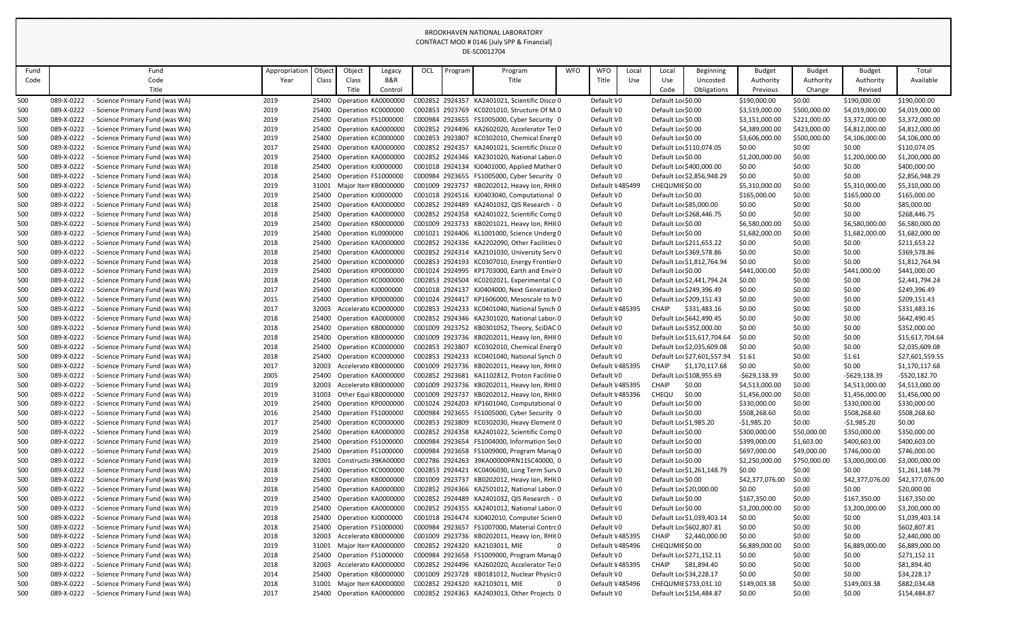|            |                          |                                                                    |               |                |                                            |                           |     |         | DL-JCUUIZ7U4                                                                               |            |                          |       |                          |                             |                           |                  |                                  |                                |
|------------|--------------------------|--------------------------------------------------------------------|---------------|----------------|--------------------------------------------|---------------------------|-----|---------|--------------------------------------------------------------------------------------------|------------|--------------------------|-------|--------------------------|-----------------------------|---------------------------|------------------|----------------------------------|--------------------------------|
| Fund       |                          | Fund                                                               | Appropriation | Objec          | Object                                     | Legacy                    | OCL | Program | Program                                                                                    | <b>WFO</b> | <b>WFO</b>               | Local | Local                    | Beginning                   | <b>Budget</b>             | <b>Budget</b>    | <b>Budget</b>                    | Total                          |
| Code       |                          | Code                                                               | Year          | Class          | Class                                      | B&R                       |     |         | Title                                                                                      |            | Title                    | Use   | Use                      | Uncosted                    | Authority                 | Authority        | Authority                        | Available                      |
|            |                          | Title                                                              |               |                | Title                                      | Control                   |     |         |                                                                                            |            |                          |       | Code                     | Obligations                 | Previous                  | Change           | Revised                          |                                |
| 500        | 089-X-0222               | - Science Primary Fund (was WA)                                    | 2019          | 25400          | Operation KA0000000                        |                           |     |         | C002852 2924357 KA2401021, Scientific Disco 0                                              |            | Default \0               |       | Default Lor \$0.00       |                             | \$190,000.00              | \$0.00           | \$190,000.00                     | \$190,000.00                   |
| 500        | 089-X-0222               | - Science Primary Fund (was WA)                                    | 2019          | 25400          | Operation KC0000000                        |                           |     |         | C002853 2923769 KC0201010, Structure Of Mi0                                                |            | Default \0               |       | Default Lor \$0.00       |                             | \$3,519,000.00            | \$500,000.00     | \$4,019,000.00                   | \$4,019,000.00                 |
| 500        | 089-X-0222               | - Science Primary Fund (was WA)                                    | 2019          | 25400          | Operation FS1000000                        |                           |     |         | C000984 2923655 FS1005000, Cyber Security 0                                                |            | Default \0               |       | Default Lor \$0.00       |                             | \$3,151,000.00            | \$221,000.00     | \$3,372,000.00                   | \$3,372,000.00                 |
| 500        | 089-X-0222               | - Science Primary Fund (was WA)                                    | 2019          | 25400          | Operation KA0000000                        |                           |     |         | C002852 2924496 KA2602020, Accelerator Tes 0                                               |            | Default \0               |       | Default Lor \$0.00       |                             | \$4,389,000.00            | \$423,000.00     | \$4,812,000.00                   | \$4,812,000.00                 |
| 500        | 089-X-0222               | - Science Primary Fund (was WA)                                    | 2019          | 25400          | Operation KC0000000                        |                           |     |         | C002853 2923807 KC0302010, Chemical Energ 0                                                |            | Default \0               |       | Default Lor \$0.00       |                             | \$3,606,000.00            | \$500,000.00     | \$4,106,000.00                   | \$4,106,000.00                 |
| 500        | 089-X-0222               | - Science Primary Fund (was WA)                                    | 2017          | 25400          | Operation KA0000000                        |                           |     |         | C002852 2924357 KA2401021, Scientific Disco 0                                              |            | Default \0               |       |                          | Default Lor \$110,074.05    | \$0.00                    | \$0.00           | \$0.00                           | \$110,074.05                   |
| 500        | 089-X-0222               | - Science Primary Fund (was WA)                                    | 2019          | 25400          | Operation KA0000000                        |                           |     |         | C002852 2924346 KA2301020, National Labor(0                                                |            | Default \0               |       | Default Lor \$0.00       |                             | \$1,200,000.00            | \$0.00           | \$1,200,000.00                   | \$1,200,000.00                 |
| 500        | 089-X-0222               | - Science Primary Fund (was WA)                                    | 2018          | 25400          | Operation KJ0000000                        |                           |     |         | C001018 2924134 KJ0401000, Applied Mather 0                                                |            | Default \0               |       |                          | Default Lor \$400,000.00    | \$0.00                    | \$0.00           | \$0.00                           | \$400,000.00                   |
| 500        | 089-X-0222               | - Science Primary Fund (was WA)                                    | 2018          | 25400          | Operation FS1000000                        |                           |     |         | C000984 2923655 FS1005000, Cyber Security 0                                                |            | Default \0               |       |                          | Default Lor \$2,856,948.29  | \$0.00                    | \$0.00           | \$0.00                           | \$2,856,948.29                 |
| 500        | 089-X-0222               | - Science Primary Fund (was WA)                                    | 2019          | 31001          | Major Item KB0000000                       |                           |     |         | C001009 2923737 KB0202012, Heavy Ion, RHI(0                                                |            | Default \485499          |       | CHEQUMIE \$0.00          |                             | \$5,310,000.00            | \$0.00           | \$5,310,000.00                   | \$5,310,000.00                 |
| 500        | 089-X-0222               | Science Primary Fund (was WA)                                      | 2019          | 25400          | Operation KJ0000000                        |                           |     |         | C001018 2924516 KJ0403040, Computational 0                                                 |            | Default \0               |       | Default Lor \$0.00       |                             | \$165,000.00              | \$0.00           | \$165,000.00                     | \$165,000.00                   |
| 500        | 089-X-0222               | Science Primary Fund (was WA)                                      | 2018          | 25400          | Operation KA0000000                        |                           |     |         | C002852 2924489 KA2401032, QIS Research - 0                                                |            | Default \0               |       | Default Lor \$85,000.00  |                             | \$0.00                    | \$0.00           | \$0.00                           | \$85,000.00                    |
| 500        | 089-X-0222<br>089-X-0222 | - Science Primary Fund (was WA)<br>- Science Primary Fund (was WA) | 2018<br>2019  | 25400          | Operation KA0000000<br>Operation KB0000000 |                           |     |         | C002852 2924358 KA2401022, Scientific Comp0<br>C001009 2923733 KB0201021, Heavy Ion, RHI(0 |            | Default \0<br>Default \0 |       | Default Lor \$0.00       | Default Lor \$268,446.75    | \$0.00<br>\$6,580,000.00  | \$0.00<br>\$0.00 | \$0.00                           | \$268,446.75<br>\$6,580,000.00 |
| 500        | 089-X-0222               | - Science Primary Fund (was WA)                                    | 2019          | 25400<br>25400 | Operation KL0000000                        |                           |     |         | C001021 2924406 KL1001000, Science Underg 0                                                |            | Default \0               |       | Default Lor \$0.00       |                             | \$1,682,000.00            | \$0.00           | \$6,580,000.00<br>\$1,682,000.00 | \$1,682,000.00                 |
| 500<br>500 | 089-X-0222               | Science Primary Fund (was WA)                                      | 2018          | 25400          | Operation KA0000000                        |                           |     |         | C002852 2924336 KA2202090, Other Facilities 0                                              |            | Default \0               |       | Default Lor \$211,653.22 |                             | \$0.00                    | \$0.00           | \$0.00                           | \$211,653.22                   |
| 500        | 089-X-0222               | - Science Primary Fund (was WA)                                    | 2018          | 25400          | Operation KA0000000                        |                           |     |         | C002852 2924314 KA2101030, University Serv 0                                               |            | Default \0               |       |                          | Default Lor \$369,578.86    | \$0.00                    | \$0.00           | \$0.00                           | \$369,578.86                   |
| 500        | 089-X-0222               | - Science Primary Fund (was WA)                                    | 2018          | 25400          | Operation KC0000000                        |                           |     |         | C002853 2924193 KC0307010, Energy Frontier 0                                               |            | Default \0               |       |                          | Default Lor \$1,812,764.94  | \$0.00                    | \$0.00           | \$0.00                           | \$1,812,764.94                 |
| 500        | 089-X-0222               | - Science Primary Fund (was WA)                                    | 2019          | 25400          | Operation KP0000000                        |                           |     |         | C001024 2924995 KP1703000, Earth and Envir 0                                               |            | Default \0               |       | Default Lor \$0.00       |                             | \$441,000.00              | \$0.00           | \$441,000.00                     | \$441,000.00                   |
| 500        | 089-X-0222               | - Science Primary Fund (was WA)                                    | 2018          | 25400          | Operation KC0000000                        |                           |     |         | C002853 2924504 KC0202021, Experimental CO                                                 |            | Default \0               |       |                          | Default Lor \$2,441,794.24  | \$0.00                    | \$0.00           | \$0.00                           | \$2,441,794.24                 |
| 500        | 089-X-0222               | Science Primary Fund (was WA)                                      | 2017          | 25400          | Operation KJ0000000                        |                           |     |         | C001018 2924137 KJ0404000, Next Generation 0                                               |            | Default \0               |       |                          | Default Lor \$249,396.49    | \$0.00                    | \$0.00           | \$0.00                           | \$249,396.49                   |
| 500        | 089-X-0222               | - Science Primary Fund (was WA)                                    | 2015          | 25400          | Operation KP0000000                        |                           |     |         | C001024 2924417 KP1606000, Mesoscale to NO                                                 |            | Default \0               |       | Default Lor \$209,151.43 |                             | \$0.00                    | \$0.00           | \$0.00                           | \$209,151.43                   |
| 500        | 089-X-0222               | - Science Primary Fund (was WA)                                    | 2017          | 32003          | Accelerato KC0000000                       |                           |     |         | C002853 2924233 KC0401040, National Synch 0                                                |            | Default \485395          |       | <b>CHAIP</b>             | \$331,483.16                | \$0.00                    | \$0.00           | \$0.00                           | \$331,483.16                   |
| 500        | 089-X-0222               | - Science Primary Fund (was WA)                                    | 2018          | 25400          | Operation KA0000000                        |                           |     |         | C002852 2924346 KA2301020, National Labor(0                                                |            | Default \0               |       |                          | Default Lor \$642,490.45    | \$0.00                    | \$0.00           | \$0.00                           | \$642,490.45                   |
| 500        | 089-X-0222               | - Science Primary Fund (was WA)                                    | 2018          | 25400          | Operation KB0000000                        |                           |     |         | C001009 2923752 KB0301052, Theory, SciDAC 0                                                |            | Default \0               |       | Default Lor \$352,000.00 |                             | \$0.00                    | \$0.00           | \$0.00                           | \$352,000.00                   |
| 500        | 089-X-0222               | - Science Primary Fund (was WA)                                    | 2018          | 25400          | Operation KB0000000                        |                           |     |         | C001009 2923736 KB0202011, Heavy Ion, RHI(0                                                |            | Default \0               |       |                          | Default Lor \$15,617,704.64 | \$0.00                    | \$0.00           | \$0.00                           | \$15,617,704.64                |
| 500        | 089-X-0222               | - Science Primary Fund (was WA)                                    | 2018          |                |                                            | 25400 Operation KC0000000 |     |         | C002853 2923807 KC0302010, Chemical Energ 0                                                |            | Default \0               |       |                          | Default Lo، \$2,035,609.08  | \$0.00                    | \$0.00           | \$0.00                           | \$2,035,609.08                 |
| 500        | 089-X-0222               | - Science Primary Fund (was WA)                                    | 2018          | 25400          | Operation KC0000000                        |                           |     |         | C002853 2924233 KC0401040, National Synch 0                                                |            | Default \0               |       |                          | Default Loc \$27,601,557.94 | \$1.61                    | \$0.00           | \$1.61                           | \$27,601,559.55                |
| 500        | 089-X-0222               | - Science Primary Fund (was WA)                                    | 2017          | 32003          | Accelerato KB0000000                       |                           |     |         | C001009 2923736 KB0202011, Heavy Ion, RHI(0                                                |            | Default \485395          |       | <b>CHAIP</b>             | \$1,170,117.68              | \$0.00                    | \$0.00           | \$0.00                           | \$1,170,117.68                 |
| 500        | 089-X-0222               | - Science Primary Fund (was WA)                                    | 2005          | 25400          | Operation KA0000000                        |                           |     |         | C002852 2923681 KA1102812, Proton Facilitie 0                                              |            | Default VO               |       |                          | Default Lor \$108,955.69    | -\$629,138.39             | \$0.00           | $-5629,138.39$                   | $-5520,182.70$                 |
| 500        | 089-X-0222               | - Science Primary Fund (was WA)                                    | 2019          | 32003          | Accelerato KB0000000                       |                           |     |         | C001009 2923736 KB0202011, Heavy Ion, RHI(0                                                |            | Default \485395          |       | <b>CHAIP</b>             | \$0.00                      | \$4,513,000.00            | \$0.00           | \$4,513,000.00                   | \$4,513,000.00                 |
| 500        | 089-X-0222               | - Science Primary Fund (was WA)                                    | 2019          | 31003          | Other Equi KB0000000                       |                           |     |         | C001009 2923737 KB0202012, Heavy Ion, RHI(0                                                |            | Default \ 485396         |       | CHEQU                    | \$0.00                      | \$1,456,000.00            | \$0.00           | \$1,456,000.00                   | \$1,456,000.00                 |
| 500        | 089-X-0222               | - Science Primary Fund (was WA)                                    | 2019          | 25400          | Operation KP0000000                        |                           |     |         | C001024 2924203 KP1601040, Computational 0                                                 |            | Default \0               |       | Default Lor \$0.00       |                             | \$330,000.00              | \$0.00           | \$330,000.00                     | \$330,000.00                   |
| 500        | 089-X-0222               | Science Primary Fund (was WA)                                      | 2016          | 25400          | Operation FS1000000                        |                           |     |         | C000984 2923655 FS1005000, Cyber Security 0                                                |            | Default \0               |       | Default Lor \$0.00       |                             | \$508,268.60              | \$0.00           | \$508,268.60                     | \$508,268.60                   |
| 500        | 089-X-0222               | - Science Primary Fund (was WA)                                    | 2017          | 25400          | Operation KC0000000                        |                           |     |         | C002853 2923809 KC0302030, Heavy Element 0                                                 |            | Default \0               |       | Default Lor \$1,985.20   |                             | $-$1,985.20$              | \$0.00           | $-51,985.20$                     | \$0.00                         |
| 500        | 089-X-0222               | Science Primary Fund (was WA)                                      | 2019          | 25400          | Operation KA0000000                        |                           |     |         | C002852 2924358 KA2401022, Scientific Comp0                                                |            | Default \0               |       | Default Lor \$0.00       |                             | \$300,000.00              | \$50,000.00      | \$350,000.00                     | \$350,000.00                   |
| 500        | 089-X-0222               | - Science Primary Fund (was WA)                                    | 2019          | 25400          | Operation FS1000000                        |                           |     |         | C000984 2923654 FS1004000, Information Sec0                                                |            | Default \0               |       | Default Lor \$0.00       |                             | \$399,000.00              | \$1,603.00       | \$400,603.00                     | \$400,603.00                   |
| 500        | 089-X-0222               | - Science Primary Fund (was WA)                                    | 2019          | 25400          | Operation FS1000000                        |                           |     |         | C000984 2923658 FS1009000, Program Mana 0                                                  |            | Default \0               |       | Default Lor \$0.00       |                             | \$697,000.00              | \$49,000.00      | \$746,000.00                     | \$746,000.00                   |
| 500        | 089-X-0222               | - Science Primary Fund (was WA)                                    | 2019          | 32001          | Constructic 39KA00000                      |                           |     |         | C002786 2924263 39KA00000PRN11SC40000, 0                                                   |            | Default \0               |       | Default Lor \$0.00       |                             | \$2,250,000.00            | \$750,000.00     | \$3,000,000.00                   | \$3,000,000.00                 |
| 500        | 089-X-0222<br>089-X-0222 | - Science Primary Fund (was WA)<br>Science Primary Fund (was WA)   | 2018          | 25400          | Operation KC0000000<br>Operation KB0000000 |                           |     |         | C002853 2924421 KC0406030, Long Term Surv 0<br>C001009 2923737 KB0202012, Heavy Ion, RHI(0 |            | Default \0               |       | Default Lor \$0.00       | Default Lor \$1,261,148.79  | \$0.00<br>\$42,377,076.00 | \$0.00           | \$0.00                           | \$1,261,148.79                 |
| 500<br>500 | 089-X-0222               | - Science Primary Fund (was WA)                                    | 2019<br>2018  | 25400<br>25400 | Operation KA0000000                        |                           |     |         | C002852 2924366 KA2501012, National Labor(0                                                |            | Default \0<br>Default \0 |       | Default Lor \$20,000.00  |                             | \$0.00                    | \$0.00<br>\$0.00 | \$42,377,076.00<br>\$0.00        | \$42,377,076.00<br>\$20,000.00 |
| 500        | 089-X-0222               | - Science Primary Fund (was WA)                                    | 2019          | 25400          | Operation KA0000000                        |                           |     |         | C002852 2924489 KA2401032, QIS Research - 0                                                |            | Default \0               |       | Default Lor \$0.00       |                             | \$167,350.00              | \$0.00           | \$167,350.00                     | \$167,350.00                   |
| 500        | 089-X-0222               | - Science Primary Fund (was WA)                                    | 2019          | 25400          | Operation KA0000000                        |                           |     |         | C002852 2924355 KA2401012, National Labor(0                                                |            | Default \0               |       | Default Lor \$0.00       |                             | \$3,200,000.00            | \$0.00           | \$3,200,000.00                   | \$3,200,000.00                 |
| 500        | 089-X-0222               | - Science Primary Fund (was WA)                                    | 2018          | 25400          | Operation KJ0000000                        |                           |     |         | C001018 2924474 KJ0402010, Computer Scien 0                                                |            | Default \0               |       |                          | Default Lor \$1,039,403.14  | \$0.00                    | \$0.00           | \$0.00                           | \$1,039,403.14                 |
| 500        | 089-X-0222               | - Science Primary Fund (was WA)                                    | 2018          | 25400          | Operation FS1000000                        |                           |     |         | C000984 2923657 FS1007000, Material Contrc 0                                               |            | Default \0               |       | Default Lor \$602,807.81 |                             | \$0.00                    | \$0.00           | \$0.00                           | \$602,807.81                   |
| 500        | 089-X-0222               | - Science Primary Fund (was WA)                                    | 2018          | 32003          | Accelerato KB0000000                       |                           |     |         | C001009 2923736 KB0202011, Heavy Ion, RHI(0                                                |            | Default \485395          |       | <b>CHAIP</b>             | \$2,440,000.00              | \$0.00                    | \$0.00           | \$0.00                           | \$2,440,000.00                 |
| 500        | 089-X-0222               | - Science Primary Fund (was WA)                                    | 2019          | 31001          | Major Iten KA0000000                       |                           |     |         | C002852 2924320 KA2103011, MIE                                                             |            | Default \485496          |       | CHEQUMIE \$0.00          |                             | \$6,889,000.00            | \$0.00           | \$6,889,000.00                   | \$6,889,000.00                 |
| 500        | 089-X-0222               | Science Primary Fund (was WA)                                      | 2018          | 25400          | Operation FS1000000                        |                           |     |         | C000984 2923658 FS1009000, Program Mana 0                                                  |            | Default \0               |       | Default Lor \$271,152.11 |                             | \$0.00                    | \$0.00           | \$0.00                           | \$271,152.11                   |
| 500        | 089-X-0222               | - Science Primary Fund (was WA)                                    | 2018          | 32003          | Accelerato KA0000000                       |                           |     |         | C002852 2924496 KA2602020, Accelerator Tes0                                                |            | Default \485395          |       | CHAIP                    | \$81,894.40                 | \$0.00                    | \$0.00           | \$0.00                           | \$81,894.40                    |
| 500        | 089-X-0222               | - Science Primary Fund (was WA)                                    | 2014          | 25400          | Operation KB0000000                        |                           |     |         | C001009 2923728 KB0181012, Nuclear Physics 0                                               |            | Default \0               |       | Default Loc \$34,228.17  |                             | \$0.00                    | \$0.00           | \$0.00                           | \$34,228.17                    |
| 500        | 089-X-0222               | - Science Primary Fund (was WA)                                    | 2018          | 31001          | Major Item KA0000000                       |                           |     |         | C002852 2924320 KA2103011, MIE                                                             |            | Default \485496          |       |                          | CHEQUMIE \$733,031.10       | \$149,003.38              | \$0.00           | \$149,003.38                     | \$882,034.48                   |
| 500        | 089-X-0222               | - Science Primary Fund (was WA)                                    | 2017          | 25400          | Operation KA0000000                        |                           |     |         | C002852 2924363 KA2403013, Other Projects 0                                                |            | Default \0               |       | Default Loc \$154,484.87 |                             | \$0.00                    | \$0.00           | \$0.00                           | \$154,484.87                   |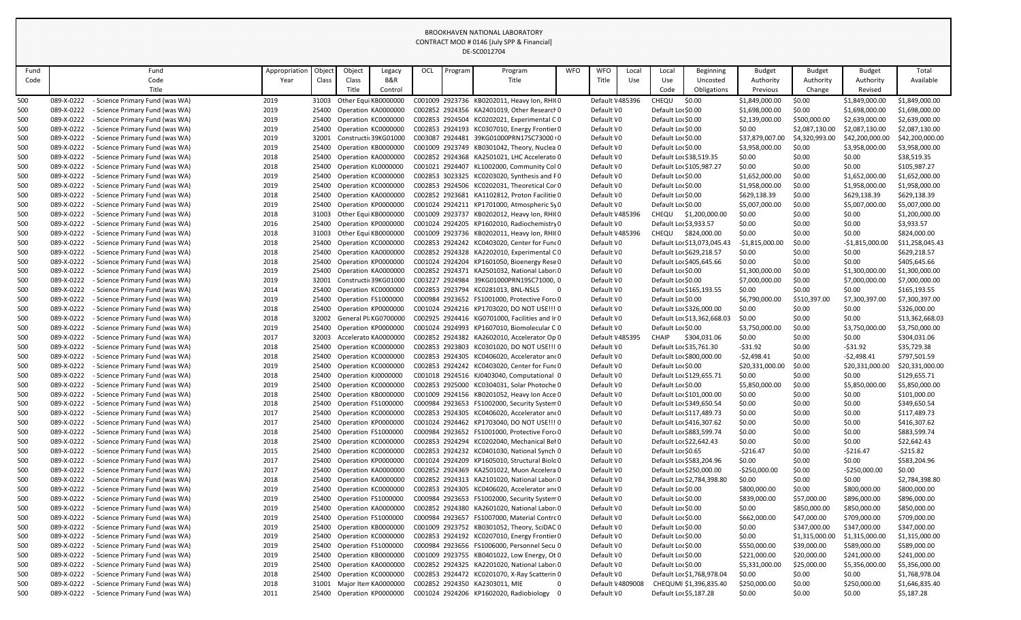| Fund       |                          | Fund                                                                    | Appropriation | Object         | Object                                      | Legacy              | OCL | Program         | Program                                                                                     | <b>WFO</b> | <b>WFO</b>                    | Local | Local                                         | <b>Beginning</b>            | <b>Budget</b>        | <b>Budget</b>    | <b>Budget</b>          | Total                        |
|------------|--------------------------|-------------------------------------------------------------------------|---------------|----------------|---------------------------------------------|---------------------|-----|-----------------|---------------------------------------------------------------------------------------------|------------|-------------------------------|-------|-----------------------------------------------|-----------------------------|----------------------|------------------|------------------------|------------------------------|
| Code       |                          | Code                                                                    | Year          | Class          | Class                                       | <b>B&amp;R</b>      |     |                 | Title                                                                                       |            | Title                         | Use   | Use                                           | Uncosted                    | Authority            | Authority        | Authority              | Available                    |
|            |                          | Title                                                                   |               |                | Title                                       | Control             |     |                 |                                                                                             |            |                               |       | Code                                          | Obligations                 | Previous             | Change           | Revised                |                              |
| 500        | 089-X-0222               | - Science Primary Fund (was WA)                                         | 2019          | 31003          | Other Equi KB0000000                        |                     |     |                 | C001009 2923736 KB0202011, Heavy Ion, RHI(0                                                 |            | Default \485396               |       | CHEQU                                         | \$0.00                      | \$1,849,000.00       | \$0.00           | \$1,849,000.00         | \$1,849,000.00               |
| 500        | 089-X-0222               | Science Primary Fund (was WA)                                           | 2019          | 25400          | Operation KA0000000                         |                     |     |                 | C002852 2924356 KA2401019, Other Research 0                                                 |            | Default \0                    |       | Default Lor \$0.00                            |                             | \$1,698,000.00       | \$0.00           | \$1,698,000.00         | \$1,698,000.00               |
| 500        | 089-X-0222               | - Science Primary Fund (was WA)                                         | 2019          | 25400          | Operation KC0000000                         |                     |     |                 | C002853 2924504 KC0202021, Experimental CO                                                  |            | Default \0                    |       | Default Lor \$0.00                            |                             | \$2,139,000.00       | \$500,000.00     | \$2,639,000.00         | \$2,639,000.00               |
| 500        | 089-X-0222               | <b>Science Primary Fund (was WA)</b>                                    | 2019          | 25400          | Operation KC0000000                         |                     |     |                 | C002853 2924193 KC0307010, Energy Frontier 0                                                |            | Default \0                    |       | Default Lor \$0.00                            |                             | \$0.00               | \$2,087,130.00   | \$2,087,130.00         | \$2,087,130.00               |
| 500        | 089-X-0222               | Science Primary Fund (was WA)                                           | 2019          | 32001          | Constructic 39KG01000                       |                     |     |                 | C003087 2924481 39KG01000PRN17SC73000+0                                                     |            | Default \0                    |       | Default Lor \$0.00                            |                             | \$37,879,007.00      | \$4,320,993.00   | \$42,200,000.00        | \$42,200,000.00              |
| 500        | 089-X-0222               | <b>Science Primary Fund (was WA)</b>                                    | 2019          | 25400          | Operation KB0000000                         |                     |     |                 | C001009 2923749 KB0301042, Theory, Nuclea 0                                                 |            | Default \0                    |       | Default Lor \$0.00                            |                             | \$3,958,000.00       | \$0.00           | \$3,958,000.00         | \$3,958,000.00               |
| 500        | 089-X-0222               | Science Primary Fund (was WA)                                           | 2018          | 25400          | Operation KA0000000                         |                     |     |                 | C002852 2924368 KA2501021, LHC Accelerato 0                                                 |            | Default \0                    |       | Default Lor \$38,519.35                       |                             | \$0.00               | \$0.00           | \$0.00                 | \$38,519.35                  |
| 500        | 089-X-0222               | - Science Primary Fund (was WA)                                         | 2018          | 25400          | Operation KL0000000                         |                     |     |                 | C001021 2924407 KL1002000, Community Col 0                                                  |            | Default \0                    |       |                                               | Default Loc \$105,987.27    | \$0.00               | \$0.00           | \$0.00                 | \$105,987.27                 |
| 500        | 089-X-0222               | <b>Science Primary Fund (was WA)</b>                                    | 2019          | 25400          | Operation KC0000000                         |                     |     |                 | C002853 3023325 KC0203020, Synthesis and F0                                                 |            | Default \0                    |       | Default Lor \$0.00                            |                             | \$1,652,000.00       | \$0.00           | \$1,652,000.00         | \$1,652,000.00               |
| 500        | 089-X-0222               | - Science Primary Fund (was WA)                                         | 2019          | 25400          | Operation KC0000000                         |                     |     |                 | C002853 2924506 KC0202031, Theoretical Cor 0                                                |            | Default \0                    |       | Default Lor \$0.00                            |                             | \$1,958,000.00       | \$0.00           | \$1,958,000.00         | \$1,958,000.00               |
| 500        | 089-X-0222               | <b>Science Primary Fund (was WA)</b>                                    | 2018          | 25400          | Operation KA0000000                         |                     |     | C002852 2923681 | KA1102812, Proton Facilitie 0                                                               |            | Default \0                    |       | Default Lor \$0.00                            |                             | \$629,138.39         | \$0.00           | \$629,138.39           | \$629,138.39                 |
| 500        | 089-X-0222<br>089-X-0222 | Science Primary Fund (was WA)                                           | 2019          | 25400          | Operation KP0000000<br>Other Equi KB0000000 |                     |     |                 | C001024 2924211 KP1701000, Atmospheric Sy0<br>C001009 2923737 KB0202012, Heavy Ion, RHI(0   |            | Default \0                    |       | Default Lor \$0.00                            |                             | \$5,007,000.00       | \$0.00<br>\$0.00 | \$5,007,000.00         | \$5,007,000.00               |
| 500<br>500 | 089-X-0222               | - Science Primary Fund (was WA)<br><b>Science Primary Fund (was WA)</b> | 2018<br>2016  | 31003<br>25400 | Operation KP0000000                         |                     |     |                 | C001024 2924205 KP1602010, Radiochemistry 0                                                 |            | Default \485396<br>Default \0 |       | CHEQU<br>Default Loc \$3,933.57               | \$1,200,000.00              | \$0.00<br>\$0.00     | \$0.00           | \$0.00<br>\$0.00       | \$1,200,000.00<br>\$3,933.57 |
| 500        | 089-X-0222               | - Science Primary Fund (was WA)                                         | 2018          | 31003          | Other Equi KB0000000                        |                     |     |                 | C001009 2923736 KB0202011, Heavy Ion, RHI(0                                                 |            | Default \485396               |       | <b>CHEQU</b>                                  | \$824,000.00                | \$0.00               | \$0.00           | \$0.00                 | \$824,000.00                 |
| 500        | 089-X-0222               | <b>Science Primary Fund (was WA)</b>                                    | 2018          | 25400          | Operation KC0000000                         |                     |     |                 | C002853 2924242 KC0403020, Center for Func0                                                 |            | Default \0                    |       |                                               | Default Lor \$13,073,045.43 | $-$1,815,000.00$     | \$0.00           | $-$1,815,000.00$       | \$11,258,045.43              |
| 500        | 089-X-0222               | Science Primary Fund (was WA)                                           | 2018          | 25400          | Operation KA0000000                         |                     |     |                 | C002852 2924328 KA2202010, Experimental C0                                                  |            | Default \0                    |       |                                               | Default Lor \$629,218.57    | \$0.00               | \$0.00           | \$0.00                 | \$629,218.57                 |
| 500        | 089-X-0222               | - Science Primary Fund (was WA)                                         | 2018          | 25400          | Operation KP0000000                         |                     |     |                 | C001024 2924204 KP1601050, Bioenergy Rese 0                                                 |            | Default \0                    |       |                                               | Default Lo: \$405,645.66    | \$0.00               | \$0.00           | \$0.00                 | \$405,645.66                 |
| 500        | 089-X-0222               | <b>Science Primary Fund (was WA)</b>                                    | 2019          | 25400          | Operation KA0000000                         |                     |     |                 | C002852 2924371 KA2501032, National Labor(0                                                 |            | Default \0                    |       | Default Lor \$0.00                            |                             | \$1,300,000.00       | \$0.00           | \$1,300,000.00         | \$1,300,000.00               |
| 500        | 089-X-0222               | Science Primary Fund (was WA)                                           | 2019          | 32001          | Constructi 39KG01000                        |                     |     |                 | C003227 2924984 39KG01000PRN19SC71000, 0                                                    |            | Default \0                    |       | Default Lor \$0.00                            |                             | \$7,000,000.00       | \$0.00           | \$7,000,000.00         | \$7,000,000.00               |
| 500        | 089-X-0222               | - Science Primary Fund (was WA)                                         | 2014          | 25400          | Operation KC0000000                         |                     |     |                 | C002853 2923794 KC0281013, BNL-NSLS                                                         | - 0        | Default \0                    |       |                                               | Default Lor \$165,193.55    | \$0.00               | \$0.00           | \$0.00                 | \$165,193.55                 |
| 500        | 089-X-0222               | Science Primary Fund (was WA)                                           | 2019          | 25400          | Operation FS1000000                         |                     |     |                 | C000984 2923652 FS1001000, Protective Force 0                                               |            | Default \0                    |       | Default Lor \$0.00                            |                             | \$6,790,000.00       | \$510,397.00     | \$7,300,397.00         | \$7,300,397.00               |
| 500        | 089-X-0222               | - Science Primary Fund (was WA)                                         | 2018          | 25400          | Operation KP0000000                         |                     |     |                 | C001024 2924216 KP1703020, DO NOT USE !!! 0                                                 |            | Default \0                    |       |                                               | Default Lor \$326,000.00    | \$0.00               | \$0.00           | \$0.00                 | \$326,000.00                 |
| 500        | 089-X-0222               | <b>Science Primary Fund (was WA)</b>                                    | 2018          | 32002          | General Pli KG0700000                       |                     |     |                 | C002925 2924416 KG0701000, Facilities and Ir 0                                              |            | Default \0                    |       |                                               | Default Lor \$13,362,668.03 | \$0.00               | \$0.00           | \$0.00                 | \$13,362,668.03              |
| 500        | 089-X-0222               | - Science Primary Fund (was WA)                                         | 2019          | 25400          | Operation KP0000000                         |                     |     |                 | C001024 2924993 KP1607010, Biomolecular C 0                                                 |            | Default \0                    |       | Default Lor \$0.00                            |                             | \$3,750,000.00       | \$0.00           | \$3,750,000.00         | \$3,750,000.00               |
| 500        | 089-X-0222               | - Science Primary Fund (was WA)                                         | 2017          | 32003          | Accelerato KA000000C                        |                     |     |                 | C002852 2924382 KA2602010, Accelerator Op 0                                                 |            | Default \485395               |       | <b>CHAIP</b>                                  | \$304,031.06                | \$0.00               | \$0.00           | \$0.00                 | \$304,031.06                 |
| 500        | 089-X-0222               | - Science Primary Fund (was WA)                                         | 2018          | 25400          |                                             | Operation KC0000000 |     |                 | C002853 2923803 KC0301020, DO NOT USE !!! 0                                                 |            | Default \0                    |       | Default Lo: \$35,761.30                       |                             | $-531.92$            | \$0.00           | $-531.92$              | \$35,729.38                  |
| 500        | 089-X-0222               | - Science Primary Fund (was WA)                                         | 2018          | 25400          | Operation KC0000000                         |                     |     |                 | C002853 2924305 KC0406020, Accelerator and 0                                                |            | Default \0                    |       |                                               | Default Lor \$800,000.00    | $-52,498.41$         | \$0.00           | $-52,498.41$           | \$797,501.59                 |
| 500        | 089-X-0222               | <b>Science Primary Fund (was WA)</b>                                    | 2019          | 25400          | Operation KC0000000                         |                     |     |                 | C002853 2924242 KC0403020, Center for Func0                                                 |            | Default \0                    |       | Default Lor \$0.00                            |                             | \$20,331,000.00      | \$0.00           | \$20,331,000.00        | \$20,331,000.00              |
| 500        | 089-X-0222               | - Science Primary Fund (was WA)                                         | 2018          | 25400          | Operation KJ0000000                         |                     |     |                 | C001018 2924516 KJ0403040, Computational 0                                                  |            | Default \0                    |       |                                               | Default Loc \$129,655.71    | \$0.00               | \$0.00           | \$0.00                 | \$129,655.71                 |
| 500        | 089-X-0222               | Science Primary Fund (was WA)                                           | 2019          | 25400          | Operation KC0000000                         |                     |     |                 | C002853 2925000 KC0304031, Solar Photoche 0                                                 |            | Default \0                    |       | Default Lor \$0.00                            |                             | \$5,850,000.00       | \$0.00           | \$5,850,000.00         | \$5,850,000.00               |
| 500        | 089-X-0222               | Science Primary Fund (was WA)                                           | 2018          | 25400          | Operation KB0000000                         |                     |     |                 | C001009 2924156 KB0201052, Heavy Ion Acce 0                                                 |            | Default \0                    |       |                                               | Default Lor \$101,000.00    | \$0.00               | \$0.00           | \$0.00                 | \$101,000.00                 |
| 500        | 089-X-0222               | Science Primary Fund (was WA)                                           | 2018          | 25400          | Operation FS1000000                         |                     |     |                 | C000984 2923653 FS1002000, Security System 0                                                |            | Default \0                    |       | Default Lor \$349,650.54                      |                             | \$0.00               | \$0.00           | \$0.00                 | \$349,650.54                 |
| 500        | 089-X-0222               | Science Primary Fund (was WA)                                           | 2017          | 25400          | Operation KC0000000                         |                     |     |                 | C002853 2924305 KC0406020, Accelerator and 0                                                |            | Default \0                    |       |                                               | Default Loc \$117,489.73    | \$0.00               | \$0.00           | \$0.00                 | \$117,489.73                 |
| 500        | 089-X-0222               | - Science Primary Fund (was WA)                                         | 2017          | 25400          | Operation KP0000000                         |                     |     |                 | C001024 2924462 KP1703040, DO NOT USE !!! 0                                                 |            | Default \0                    |       |                                               | Default Lor \$416,307.62    | \$0.00               | \$0.00           | \$0.00                 | \$416,307.62                 |
| 500        | 089-X-0222<br>089-X-0222 | Science Primary Fund (was WA)<br>Science Primary Fund (was WA)          | 2018          | 25400          | Operation FS1000000<br>Operation KC0000000  |                     |     |                 | C000984 2923652 FS1001000, Protective Force0<br>C002853 2924294 KC0202040, Mechanical Bel 0 |            | Default \0                    |       |                                               | Default Lor \$883,599.74    | \$0.00               | \$0.00           | \$0.00                 | \$883,599.74                 |
| 500<br>500 | 089-X-0222               | - Science Primary Fund (was WA)                                         | 2018<br>2015  | 25400<br>25400 | Operation KC0000000                         |                     |     |                 | C002853 2924232 KC0401030, National Synch 0                                                 |            | Default \0<br>Default \0      |       | Default Lor \$22,642.43<br>Default Lor \$0.65 |                             | \$0.00<br>$-5216.47$ | \$0.00<br>\$0.00 | \$0.00<br>$-$ \$216.47 | \$22,642.43<br>$-5215.82$    |
| 500        | 089-X-0222               | Science Primary Fund (was WA)                                           | 2017          | 25400          | Operation KP0000000                         |                     |     |                 | C001024 2924209 KP1605010, Structural Biolo0                                                |            | Default \0                    |       |                                               | Default Lor \$583,204.96    | \$0.00               | \$0.00           | \$0.00                 | \$583,204.96                 |
| 500        | 089-X-0222               | - Science Primary Fund (was WA)                                         | 2017          | 25400          | Operation KA0000000                         |                     |     |                 | C002852 2924369 KA2501022, Muon Accelera 0                                                  |            | Default \0                    |       |                                               | Default Lor \$250,000.00    | $-5250,000.00$       | \$0.00           | $-5250,000.00$         | \$0.00                       |
| 500        | 089-X-0222               | Science Primary Fund (was WA)                                           | 2018          |                | 25400 Operation KA0000000                   |                     |     |                 | C002852 2924313 KA2101020, National Labor(0                                                 |            | Default \0                    |       |                                               | Default Loc \$2,784,398.80  | \$0.00               | \$0.00           | \$0.00                 | \$2,784,398.80               |
| 500        | 089-X-0222               | Science Primary Fund (was WA)                                           | 2019          | 25400          | Operation KC0000000                         |                     |     |                 | C002853 2924305 KC0406020, Accelerator and 0                                                |            | Default \0                    |       | Default Lor \$0.00                            |                             | \$800,000.00         | \$0.00           | \$800,000.00           | \$800,000.00                 |
| 500        | 089-X-0222               | - Science Primary Fund (was WA)                                         | 2019          | 25400          | Operation FS1000000                         |                     |     |                 | C000984 2923653 FS1002000, Security System 0                                                |            | Default \0                    |       | Default Lor \$0.00                            |                             | \$839,000.00         | \$57,000.00      | \$896,000.00           | \$896,000.00                 |
| 500        | 089-X-0222               | <b>Science Primary Fund (was WA)</b>                                    | 2019          | 25400          | Operation KA0000000                         |                     |     |                 | C002852 2924380 KA2601020, National Labor(0                                                 |            | Default \0                    |       | Default Lor \$0.00                            |                             | \$0.00               | \$850,000.00     | \$850,000.00           | \$850,000.00                 |
| 500        | 089-X-0222               | Science Primary Fund (was WA)                                           | 2019          | 25400          | Operation FS1000000                         |                     |     |                 | C000984 2923657 FS1007000, Material Contrc 0                                                |            | Default \0                    |       | Default Lor \$0.00                            |                             | \$662,000.00         | \$47,000.00      | \$709,000.00           | \$709,000.00                 |
| 500        | 089-X-0222               | - Science Primary Fund (was WA)                                         | 2019          |                | 25400 Operation KB0000000                   |                     |     |                 | C001009 2923752 KB0301052, Theory, SciDAC 0                                                 |            | Default \0                    |       | Default Lor \$0.00                            |                             | \$0.00               | \$347,000.00     | \$347,000.00           | \$347,000.00                 |
| 500        | 089-X-0222               | - Science Primary Fund (was WA)                                         | 2019          | 25400          | Operation KC0000000                         |                     |     |                 | C002853 2924192 KC0207010, Energy Frontier 0                                                |            | Default \0                    |       | Default Lor \$0.00                            |                             | \$0.00               | \$1,315,000.00   | \$1,315,000.00         | \$1,315,000.00               |
| 500        | 089-X-0222               | Science Primary Fund (was WA)                                           | 2019          | 25400          | Operation FS1000000                         |                     |     |                 | C000984 2923656 FS1006000, Personnel Secu 0                                                 |            | Default \0                    |       | Default Lor \$0.00                            |                             | \$550,000.00         | \$39,000.00      | \$589,000.00           | \$589,000.00                 |
| 500        | 089-X-0222               | <b>Science Primary Fund (was WA)</b>                                    | 2019          | 25400          | Operation KB0000000                         |                     |     |                 | C001009 2923755 KB0401022, Low Energy, Ot 0                                                 |            | Default \0                    |       | Default Lor \$0.00                            |                             | \$221,000.00         | \$20,000.00      | \$241,000.00           | \$241,000.00                 |
| 500        | 089-X-0222               | Science Primary Fund (was WA)                                           | 2019          | 25400          | Operation KA0000000                         |                     |     |                 | C002852 2924325 KA2201020, National Labor(0                                                 |            | Default \0                    |       | Default Lor \$0.00                            |                             | \$5,331,000.00       | \$25,000.00      | \$5,356,000.00         | \$5,356,000.00               |
| 500        | 089-X-0222               | - Science Primary Fund (was WA)                                         | 2018          | 25400          | Operation KC0000000                         |                     |     |                 | C002853 2924472 KC0201070, X-Ray Scatterin 0                                                |            | Default \0                    |       |                                               | Default Lor \$1,768,978.04  | \$0.00               | \$0.00           | \$0.00                 | \$1,768,978.04               |
| 500        | 089-X-0222               | Science Primary Fund (was WA)                                           | 2018          | 31001          | Major Iten KA0000000                        |                     |     |                 | C002852 2924350 KA2303011, MIE                                                              | 0          | Default \4809008              |       |                                               | CHEQUMI \$1,396,835.40      | \$250,000.00         | \$0.00           | \$250,000.00           | \$1,646,835.40               |
| 500        | 089-X-0222               | - Science Primary Fund (was WA)                                         | 2011          | 25400          | Operation KP0000000                         |                     |     |                 | C001024 2924206 KP1602020, Radiobiology                                                     | - 0        | Default \0                    |       | Default Lor \$5,187.28                        |                             | \$0.00               | \$0.00           | \$0.00                 | \$5,187.28                   |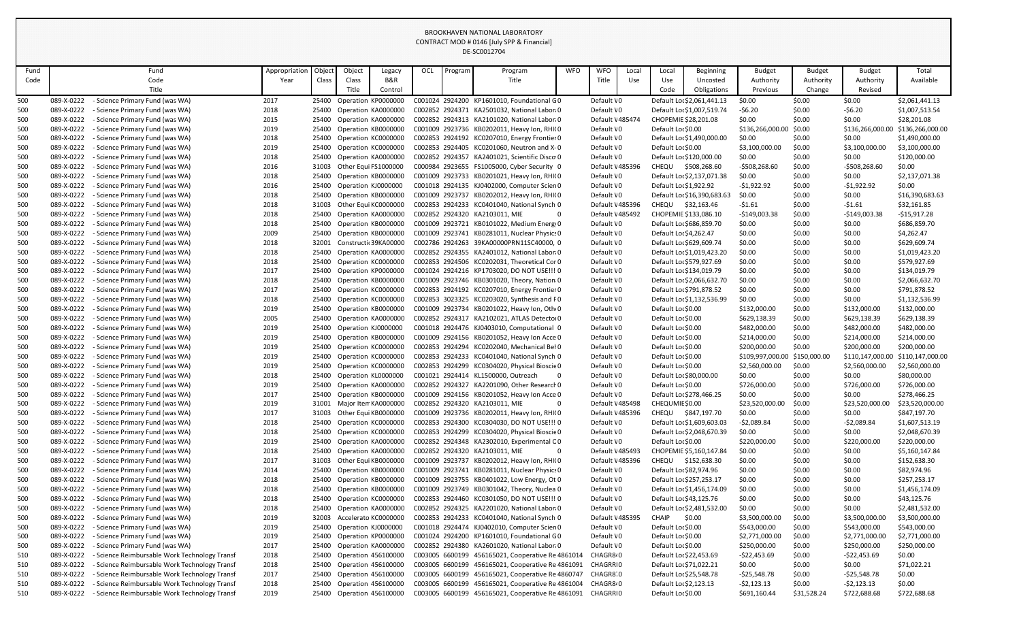| Fund |            | Fund                                          | Appropriation | Object | Object                     | Legacy  | OCL             | Program | Program                                           | <b>WFO</b> | <b>WFO</b>            | Local | Local                   | <b>Beginning</b>            | <b>Budget</b>                 | <b>Budget</b> | <b>Budget</b>    | Total                             |
|------|------------|-----------------------------------------------|---------------|--------|----------------------------|---------|-----------------|---------|---------------------------------------------------|------------|-----------------------|-------|-------------------------|-----------------------------|-------------------------------|---------------|------------------|-----------------------------------|
| Code |            | Code                                          | Year          | Class  | Class                      | B&R     |                 |         | Title                                             |            | Title                 | Use   | Use                     | Uncosted                    | Authority                     | Authority     | Authority        | Available                         |
|      |            | Title                                         |               |        | Title                      | Control |                 |         |                                                   |            |                       |       | Code                    | Obligations                 | Previous                      | Change        | Revised          |                                   |
| 500  | 089-X-0222 | - Science Primary Fund (was WA)               | 2017          | 25400  | Operation KP0000000        |         |                 |         | C001024 2924200 KP1601010, Foundational G0        |            | Default \0            |       |                         | Default Lor \$2,061,441.13  | \$0.00                        | \$0.00        | \$0.00           | \$2,061,441.13                    |
| 500  | 089-X-0222 | Science Primary Fund (was WA)                 | 2018          | 25400  | Operation KA0000000        |         |                 |         | C002852 2924371 KA2501032, National Labor(0       |            | Default \0            |       |                         | Default Lor \$1,007,519.74  | $-56.20$                      | \$0.00        | $-56.20$         | \$1,007,513.54                    |
| 500  | 089-X-0222 | - Science Primary Fund (was WA)               | 2015          | 25400  | Operation KA0000000        |         |                 |         | C002852 2924313 KA2101020, National Labor(0       |            | Default \485474       |       | CHOPEMIE \$28,201.08    |                             | \$0.00                        | \$0.00        | \$0.00           | \$28,201.08                       |
| 500  | 089-X-0222 | Science Primary Fund (was WA)                 | 2019          | 25400  | Operation KB0000000        |         |                 |         | C001009 2923736 KB0202011, Heavy Ion, RHI(0       |            | Default \0            |       | Default Lor \$0.00      |                             | \$136,266,000.00              | \$0.00        | \$136,266,000.00 | \$136,266,000.00                  |
| 500  | 089-X-0222 | - Science Primary Fund (was WA)               | 2018          | 25400  | Operation KC0000000        |         |                 |         | C002853 2924192 KC0207010, Energy Frontier 0      |            | Default \0            |       |                         | Default Lor \$1,490,000.00  | \$0.00                        | \$0.00        | \$0.00           | \$1,490,000.00                    |
| 500  | 089-X-0222 | - Science Primary Fund (was WA)               | 2019          | 25400  | Operation KC0000000        |         |                 |         | C002853 2924405 KC0201060, Neutron and X-0        |            | Default \0            |       | Default Lor \$0.00      |                             | \$3,100,000.00                | \$0.00        | \$3,100,000.00   | \$3,100,000.00                    |
| 500  | 089-X-0222 | Science Primary Fund (was WA)                 | 2018          | 25400  | Operation KA0000000        |         |                 |         | C002852 2924357 KA2401021, Scientific Disco 0     |            | Default \0            |       |                         | Default Lor \$120,000.00    | \$0.00                        | \$0.00        | \$0.00           | \$120,000.00                      |
| 500  | 089-X-0222 | - Science Primary Fund (was WA)               | 2016          | 31003  | Other Equi FS1000000       |         |                 |         | C000984 2923655 FS1005000, Cyber Security 0       |            | Default \485396       |       | <b>CHEQU</b>            | \$508,268.60                | $-5508,268.60$                | \$0.00        | $-5508,268.60$   | \$0.00                            |
| 500  | 089-X-0222 | - Science Primary Fund (was WA)               | 2018          | 25400  | Operation KB0000000        |         |                 |         | C001009 2923733 KB0201021, Heavy Ion, RHI(0       |            | Default \0            |       |                         | Default Lor \$2,137,071.38  | \$0.00                        | \$0.00        | \$0.00           | \$2,137,071.38                    |
| 500  | 089-X-0222 | - Science Primary Fund (was WA)               | 2016          | 25400  | Operation KJ0000000        |         |                 |         | C001018 2924135 KJ0402000, Computer Scien 0       |            | Default \0            |       | Default Lor \$1,922.92  |                             | $-51,922.92$                  | \$0.00        | $-$1,922.92$     | \$0.00                            |
| 500  | 089-X-0222 | - Science Primary Fund (was WA)               | 2018          | 25400  | Operation KB0000000        |         |                 |         | C001009 2923737 KB0202012, Heavy Ion, RHI(0       |            | Default \0            |       |                         | Default Lor \$16,390,683.63 | \$0.00                        | \$0.00        | \$0.00           | \$16,390,683.63                   |
| 500  | 089-X-0222 | Science Primary Fund (was WA)                 | 2018          | 31003  | Other Equi KC0000000       |         |                 |         | C002853 2924233 KC0401040, National Synch 0       |            | Default \485396       |       | <b>CHEQU</b>            | \$32,163.46                 | $-51.61$                      | \$0.00        | $-51.61$         | \$32,161.85                       |
| 500  | 089-X-0222 | - Science Primary Fund (was WA)               | 2018          | 25400  | Operation KA0000000        |         |                 |         | C002852 2924320 KA2103011, MIE                    |            | Default \485492       |       |                         | CHOPEMIE \$133,086.10       | $-$149,003.38$                | \$0.00        | $-$149,003.38$   | $-$15,917.28$                     |
| 500  | 089-X-0222 | - Science Primary Fund (was WA)               | 2018          | 25400  | Operation KB0000000        |         |                 |         | C001009 2923721 KB0101022, Medium Energy0         |            | Default \0            |       |                         | Default Lor \$686,859.70    | \$0.00                        | \$0.00        | \$0.00           | \$686,859.70                      |
| 500  | 089-X-0222 | - Science Primary Fund (was WA)               | 2009          | 25400  | Operation KB0000000        |         |                 |         | C001009 2923741 KB0281011, Nuclear Physics 0      |            | Default \0            |       | Default Lor \$4,262.47  |                             | \$0.00                        | \$0.00        | \$0.00           | \$4,262.47                        |
| 500  | 089-X-0222 | - Science Primary Fund (was WA)               | 2018          | 32001  | Constructic 39KA00000      |         |                 |         | C002786 2924263 39KA00000PRN11SC40000, 0          |            | Default \0            |       |                         | Default Lor \$629,609.74    | \$0.00                        | \$0.00        | \$0.00           | \$629,609.74                      |
| 500  | 089-X-0222 | Science Primary Fund (was WA)                 | 2018          | 25400  | Operation KA0000000        |         |                 |         | C002852 2924355 KA2401012, National Labor(0       |            | Default \0            |       |                         | Default Lor \$1,019,423.20  | \$0.00                        | \$0.00        | \$0.00           | \$1,019,423.20                    |
| 500  | 089-X-0222 | - Science Primary Fund (was WA)               | 2018          | 25400  | Operation KC0000000        |         |                 |         | C002853 2924506 KC0202031, Theoretical Cor 0      |            | Default \0            |       |                         | Default Lor \$579,927.69    | \$0.00                        | \$0.00        | \$0.00           | \$579,927.69                      |
| 500  | 089-X-0222 | Science Primary Fund (was WA)                 | 2017          | 25400  | Operation KP0000000        |         |                 |         | C001024 2924216 KP1703020, DO NOT USE !!! 0       |            | Default \0            |       |                         | Default Loc \$134,019.79    | \$0.00                        | \$0.00        | \$0.00           | \$134,019.79                      |
| 500  | 089-X-0222 | - Science Primary Fund (was WA)               | 2018          | 25400  | Operation KB0000000        |         |                 |         | C001009 2923746 KB0301020, Theory, Nation 0       |            | Default \0            |       |                         | Default Lor \$2,066,632.70  | \$0.00                        | \$0.00        | \$0.00           | \$2,066,632.70                    |
| 500  | 089-X-0222 | - Science Primary Fund (was WA)               | 2017          | 25400  | Operation KC0000000        |         |                 |         | C002853 2924192 KC0207010, Energy Frontier 0      |            | Default \0            |       |                         | Default Lor \$791,878.52    | \$0.00                        | \$0.00        | \$0.00           | \$791,878.52                      |
| 500  | 089-X-0222 | - Science Primary Fund (was WA)               | 2018          | 25400  | Operation KC0000000        |         |                 |         | C002853 3023325 KC0203020, Synthesis and P0       |            | Default \0            |       |                         | Default Lor \$1,132,536.99  | \$0.00                        | \$0.00        | \$0.00           | \$1,132,536.99                    |
| 500  | 089-X-0222 | - Science Primary Fund (was WA)               | 2019          | 25400  | Operation KB0000000        |         |                 |         | C001009 2923734 KB0201022, Heavy Ion, Otho0       |            | Default \0            |       | Default Lor \$0.00      |                             | \$132,000.00                  | \$0.00        | \$132,000.00     | \$132,000.00                      |
| 500  | 089-X-0222 | - Science Primary Fund (was WA)               | 2005          | 25400  | Operation KA0000000        |         |                 |         | C002852 2924317 KA2102021, ATLAS Detector0        |            | Default \0            |       | Default Lor \$0.00      |                             | \$629,138.39                  | \$0.00        | \$629,138.39     | \$629,138.39                      |
| 500  | 089-X-0222 | - Science Primary Fund (was WA)               | 2019          | 25400  | Operation KJ0000000        |         |                 |         | C001018 2924476 KJ0403010, Computational 0        |            | Default \0            |       | Default Lor \$0.00      |                             | \$482,000.00                  | \$0.00        | \$482,000.00     | \$482,000.00                      |
| 500  | 089-X-0222 | - Science Primary Fund (was WA)               | 2019          | 25400  | Operation KB0000000        |         |                 |         | C001009 2924156 KB0201052, Heavy Ion Acce 0       |            | Default \0            |       | Default Lor \$0.00      |                             | \$214,000.00                  | \$0.00        | \$214,000.00     | \$214,000.00                      |
| 500  | 089-X-0222 | - Science Primary Fund (was WA)               | 2019          | 25400  | Operation KC0000000        |         |                 |         | C002853 2924294 KC0202040, Mechanical Bel 0       |            | Default \0            |       | Default Lor \$0.00      |                             | \$200,000.00                  | \$0.00        | \$200,000.00     | \$200,000.00                      |
| 500  | 089-X-0222 | - Science Primary Fund (was WA)               | 2019          | 25400  | Operation KC0000000        |         |                 |         | C002853 2924233 KC0401040, National Synch 0       |            | Default \0            |       | Default Lor \$0.00      |                             | \$109,997,000.00 \$150,000.00 |               |                  | \$110,147,000.00 \$110,147,000.00 |
| 500  | 089-X-0222 | <b>Science Primary Fund (was WA)</b>          | 2019          |        | 25400 Operation KC0000000  |         |                 |         | C002853 2924299 KC0304020, Physical Bioscie 0     |            | Default \0            |       | Default Lor \$0.00      |                             | \$2,560,000.00                | \$0.00        | \$2,560,000.00   | \$2,560,000.00                    |
| 500  | 089-X-0222 | <b>Science Primary Fund (was WA)</b>          | 2018          | 25400  | Operation KL0000000        |         |                 |         | C001021 2924414 KL1500000, Outreach               |            | Default \0            |       | Default Lor \$80,000.00 |                             | \$0.00                        | \$0.00        | \$0.00           | \$80,000.00                       |
| 500  | 089-X-0222 | - Science Primary Fund (was WA)               | 2019          | 25400  | Operation KA0000000        |         |                 |         | C002852 2924327 KA2201090, Other Research 0       |            | Default \0            |       | Default Lor \$0.00      |                             | \$726,000.00                  | \$0.00        | \$726,000.00     | \$726,000.00                      |
| 500  | 089-X-0222 | <b>Science Primary Fund (was WA)</b>          | 2017          | 25400  | Operation KB0000000        |         |                 |         | C001009 2924156 KB0201052, Heavy Ion Acce 0       |            | Default \0            |       |                         | Default Loc \$278,466.25    | \$0.00                        | \$0.00        | \$0.00           | \$278,466.25                      |
| 500  | 089-X-0222 | - Science Primary Fund (was WA)               | 2019          | 31001  | Major Iten KA0000000       |         |                 |         | C002852 2924320 KA2103011, MIE                    | 0          | Default \485498       |       | CHEQUMIE \$0.00         |                             | \$23,520,000.00               | \$0.00        | \$23,520,000.00  | \$23,520,000.00                   |
| 500  | 089-X-0222 | <b>Science Primary Fund (was WA)</b>          | 2017          | 31003  | Other Equi KB0000000       |         |                 |         | C001009 2923736 KB0202011, Heavy Ion, RHI(0       |            | Default \ 485396      |       | CHEQU                   | \$847,197.70                | \$0.00                        | \$0.00        | \$0.00           | \$847,197.70                      |
| 500  | 089-X-0222 | - Science Primary Fund (was WA)               | 2018          | 25400  | Operation KC0000000        |         |                 |         | C002853 2924300 KC0304030, DO NOT USE!!! 0        |            | Default \0            |       |                         | Default Lor \$1,609,603.03  | $-52,089.84$                  | \$0.00        | $-52,089.84$     | \$1,607,513.19                    |
| 500  | 089-X-0222 | - Science Primary Fund (was WA)               | 2018          | 25400  | Operation KC0000000        |         |                 |         | C002853 2924299 KC0304020, Physical Bioscie 0     |            | Default \0            |       |                         | Default Lor \$2,048,670.39  | \$0.00                        | \$0.00        | \$0.00           | \$2,048,670.39                    |
| 500  | 089-X-0222 | <b>Science Primary Fund (was WA)</b>          | 2019          | 25400  | Operation KA0000000        |         |                 |         | C002852 2924348 KA2302010, Experimental C0        |            | Default \0            |       | Default Lor \$0.00      |                             | \$220,000.00                  | \$0.00        | \$220,000.00     | \$220,000.00                      |
| 500  | 089-X-0222 | - Science Primary Fund (was WA)               | 2018          | 25400  | Operation KA0000000        |         |                 |         | C002852 2924320 KA2103011, MIE                    |            | Default \485493       |       |                         | CHOPEMIE \$5,160,147.84     | \$0.00                        | \$0.00        | \$0.00           | \$5,160,147.84                    |
| 500  | 089-X-0222 | - Science Primary Fund (was WA)               | 2017          | 31003  | Other Equi KB0000000       |         |                 |         | C001009 2923737 KB0202012, Heavy Ion, RHI(0       |            | Default \ 485396      |       | CHEQU                   | \$152,638.30                | \$0.00                        | \$0.00        | \$0.00           | \$152,638.30                      |
| 500  | 089-X-0222 | - Science Primary Fund (was WA)               | 2014          | 25400  | Operation KB0000000        |         |                 |         | C001009 2923741 KB0281011, Nuclear Physics 0      |            | Default \0            |       | Default Lor \$82,974.96 |                             | \$0.00                        | \$0.00        | \$0.00           | \$82,974.96                       |
| 500  | 089-X-0222 | - Science Primary Fund (was WA)               | 2018          | 25400  | Operation KB0000000        |         |                 |         | C001009 2923755 KB0401022, Low Energy, Ot 0       |            | Default \0            |       |                         | Default Lor \$257,253.17    | \$0.00                        | \$0.00        | \$0.00           | \$257,253.17                      |
| 500  | 089-X-0222 | - Science Primary Fund (was WA)               | 2018          |        | 25400 Operation KB0000000  |         |                 |         | C001009 2923749 KB0301042, Theory, Nuclea 0       |            | Default \0            |       |                         | Default Lor \$1,456,174.09  | \$0.00                        | \$0.00        | \$0.00           | \$1,456,174.09                    |
| 500  | 089-X-0222 | - Science Primary Fund (was WA)               | 2018          | 25400  | Operation KC0000000        |         |                 |         | C002853 2924460 KC0301050, DO NOT USE !!! 0       |            | Default \0            |       | Default Loc \$43,125.76 |                             | \$0.00                        | \$0.00        | \$0.00           | \$43,125.76                       |
| 500  | 089-X-0222 | <b>Science Primary Fund (was WA)</b>          | 2018          | 25400  | Operation KA0000000        |         |                 |         | C002852 2924325 KA2201020, National Labor(0       |            | Default \0            |       |                         | Default Lor \$2,481,532.00  | \$0.00                        | \$0.00        | \$0.00           | \$2,481,532.00                    |
| 500  | 089-X-0222 | - Science Primary Fund (was WA)               | 2019          | 32003  | Accelerato KC0000000       |         |                 |         | C002853 2924233 KC0401040, National Synch 0       |            | Default \ 485395      |       | <b>CHAIP</b>            | \$0.00                      | \$3,500,000.00                | \$0.00        | \$3,500,000.00   | \$3,500,000.00                    |
| 500  | 089-X-0222 | - Science Primary Fund (was WA)               | 2019          |        | 25400 Operation KJ0000000  |         |                 |         | C001018 2924474 KJ0402010, Computer Scien 0       |            | Default \0            |       | Default Lor \$0.00      |                             | \$543,000.00                  | \$0.00        | \$543,000.00     | \$543,000.00                      |
| 500  | 089-X-0222 | <b>Science Primary Fund (was WA)</b>          | 2019          |        | 25400 Operation KP0000000  |         |                 |         | C001024 2924200 KP1601010, Foundational G0        |            | Default \0            |       | Default Lor \$0.00      |                             | \$2,771,000.00                | \$0.00        | \$2,771,000.00   | \$2,771,000.00                    |
| 500  | 089-X-0222 | - Science Primary Fund (was WA)               | 2017          | 25400  | Operation KA0000000        |         |                 |         | C002852 2924380 KA2601020, National Labor(0       |            | Default \0            |       | Default Lor \$0.00      |                             | \$250,000.00                  | \$0.00        | \$250,000.00     | \$250,000.00                      |
| 510  | 089-X-0222 | Science Reimbursable Work Technology Transf   | 2018          | 25400  | <b>Operation 456100000</b> |         |                 |         | C003005 6600199 456165021, Cooperative Re 4861014 |            | CHAGR8 <sub>2</sub> 0 |       | Default Loc \$22,453.69 |                             | -\$22,453.69                  | \$0.00        | $-522,453.69$    | \$0.00                            |
| 510  | 089-X-0222 | - Science Reimbursable Work Technology Transf | 2018          |        | 25400 Operation 456100000  |         |                 |         | C003005 6600199 456165021, Cooperative Re 4861091 |            | CHAGRRIO              |       | Default Lor \$71,022.21 |                             | \$0.00                        | \$0.00        | \$0.00           | \$71,022.21                       |
| 510  | 089-X-0222 | - Science Reimbursable Work Technology Transf | 2017          |        | 25400 Operation 456100000  |         |                 |         | C003005 6600199 456165021, Cooperative Re 4860747 |            | CHAGR8.0              |       | Default Loc \$25,548.78 |                             | $-$ \$25,548.78               | \$0.00        | $-525,548.78$    | \$0.00                            |
| 510  | 089-X-0222 | - Science Reimbursable Work Technology Transf | 2018          |        | 25400 Operation 456100000  |         |                 |         | C003005 6600199 456165021, Cooperative Re 4861004 |            | CHAGR8-0              |       | Default Loc \$2,123.13  |                             | $-52,123.13$                  | \$0.00        | $-52,123.13$     | \$0.00                            |
| 510  | 089-X-0222 | - Science Reimbursable Work Technology Transf | 2019          | 25400  | Operation 456100000        |         | C003005 6600199 |         | 456165021, Cooperative Re 4861091                 |            | CHAGRRIO              |       | Default Lor \$0.00      |                             | \$691,160.44                  | \$31,528.24   | \$722,688.68     | \$722,688.68                      |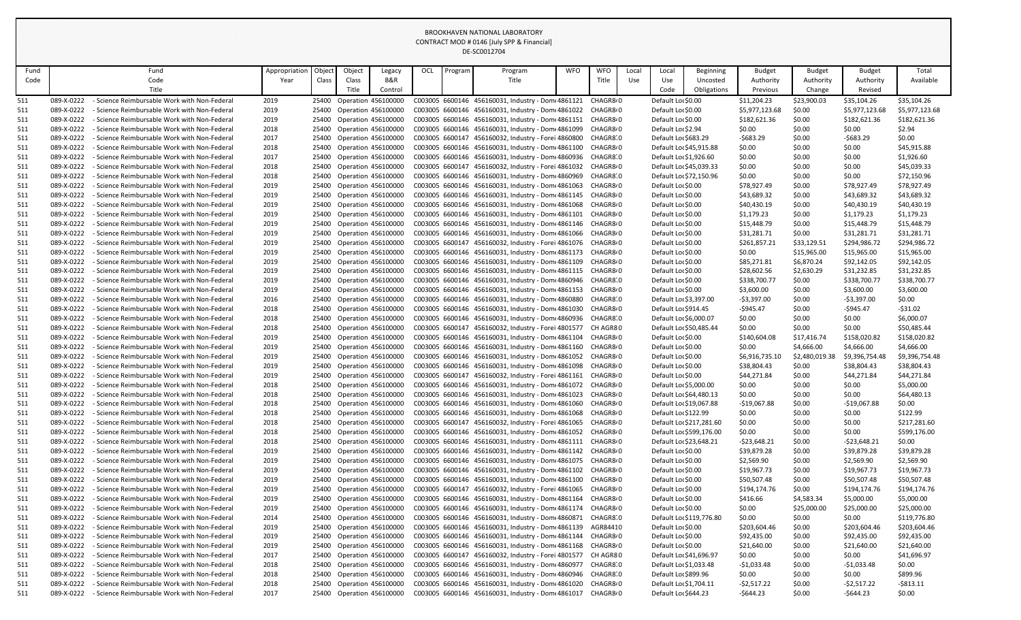|                          |                          |                                                                                              |               |        |                                                        |                           |     |         | DE-SCOUTZ/04                                                                                                             |            |                       |      |                                          |                          |                       |                           |                            |                            |
|--------------------------|--------------------------|----------------------------------------------------------------------------------------------|---------------|--------|--------------------------------------------------------|---------------------------|-----|---------|--------------------------------------------------------------------------------------------------------------------------|------------|-----------------------|------|------------------------------------------|--------------------------|-----------------------|---------------------------|----------------------------|----------------------------|
| Fund                     |                          | Fund                                                                                         | Appropriation | Object | Object                                                 | Legacy                    | OCL | Program | Program                                                                                                                  | <b>WFO</b> | <b>WFO</b>            | Loca | Local                                    | <b>Beginning</b>         | <b>Budget</b>         | <b>Budget</b>             | <b>Budget</b>              | Total                      |
| Code                     |                          | Code                                                                                         | Year          | Class  | Class                                                  | B&R                       |     |         | Title                                                                                                                    |            | Title                 | Use  | Use                                      | Uncosted                 | Authority             | Authority                 | Authority                  | Available                  |
|                          |                          | Title                                                                                        |               |        | Title                                                  | Control                   |     |         |                                                                                                                          |            |                       |      | Code                                     | Obligations              | Previous              | Change                    | Revised                    |                            |
| 511                      | 089-X-0222               | - Science Reimbursable Work with Non-Federal                                                 | 2019          |        | 25400 Operation 456100000                              |                           |     |         | C003005 6600146 456160031, Industry - Dom 4861121 CHAGR8.0                                                               |            |                       |      | Default Lor \$0.00                       |                          | \$11,204.23           | \$23,900.03               | \$35,104.26                | \$35,104.26                |
| 511                      | 089-X-0222               | - Science Reimbursable Work with Non-Federal                                                 | 2019          |        | 25400 Operation 456100000                              |                           |     |         | C003005 6600146 456160031, Industry - Dom 4861022 CHAGR8.0                                                               |            |                       |      | Default Lor \$0.00                       |                          | \$5,977,123.68        | \$0.00                    | \$5,977,123.68             | \$5,977,123.68             |
| 511                      | 089-X-0222               | - Science Reimbursable Work with Non-Federal                                                 | 2019          |        | 25400 Operation 456100000                              |                           |     |         | C003005 6600146 456160031, Industry - Dom 4861151 CHAGR8.0                                                               |            |                       |      | Default Lor \$0.00                       |                          | \$182,621.36          | \$0.00                    | \$182,621.36               | \$182,621.36               |
| <u>511</u>               | 089-X-0222               | - Science Reimbursable Work with Non-Federal                                                 | 2018          |        | 25400 Operation 456100000                              |                           |     |         | C003005 6600146 456160031, Industry - Dom 4861099 CHAGR8.0                                                               |            |                       |      | Default Lor \$2.94                       |                          | \$0.00                | \$0.00                    | \$0.00                     | \$2.94                     |
| <u>511</u>               | 089-X-0222               | - Science Reimbursable Work with Non-Federal                                                 | 2017          |        | 25400 Operation 456100000                              |                           |     |         | C003005 6600147 456160032, Industry - Forei 4860800 CHAGR8 0                                                             |            |                       |      | Default Lor \$683.29                     |                          | $-5683.29$            | \$0.00                    | -\$683.29                  | \$0.00                     |
| 511                      | 089-X-0222               | - Science Reimbursable Work with Non-Federal                                                 | 2018          |        |                                                        | 25400 Operation 456100000 |     |         | C003005 6600146 456160031, Industry - Dom 4861100 CHAGR8.0                                                               |            |                       |      |                                          | Default Lor \$45,915.88  | \$0.00                | \$0.00                    | \$0.00                     | \$45,915.88                |
| 511                      | 089-X-0222               | - Science Reimbursable Work with Non-Federal                                                 | 2017          |        | 25400 Operation 456100000                              |                           |     |         | C003005 6600146 456160031, Industry - Dom 4860936 CHAGR8 0                                                               |            |                       |      | Default Lor \$1,926.60                   |                          | \$0.00                | \$0.00                    | \$0.00                     | \$1,926.60                 |
| 511                      | 089-X-0222               | - Science Reimbursable Work with Non-Federal                                                 | 2018          |        | 25400 Operation 456100000                              |                           |     |         | C003005 6600147 456160032, Industry - Forei 4861032 CHAGR8.0                                                             |            |                       |      | Default Lor \$45,039.33                  |                          | \$0.00                | \$0.00                    | \$0.00                     | \$45,039.33                |
| 511                      | 089-X-0222               | - Science Reimbursable Work with Non-Federal                                                 | 2018          |        | 25400 Operation 456100000                              |                           |     |         | C003005 6600146 456160031, Industry - Dom 4860969 CHAGR8 0                                                               |            |                       |      | Default Lor \$72,150.96                  |                          | \$0.00                | \$0.00                    | \$0.00                     | \$72,150.96                |
| <u>511</u>               | 089-X-0222               | - Science Reimbursable Work with Non-Federal                                                 | 2019          |        | 25400 Operation 456100000                              |                           |     |         | C003005 6600146 456160031, Industry - Dom 4861063 CHAGR8.0                                                               |            |                       |      | Default Lor \$0.00                       |                          | \$78,927.49           | \$0.00                    | \$78,927.49                | \$78,927.49                |
| <u>511</u>               | 089-X-0222               | - Science Reimbursable Work with Non-Federal                                                 | 2019          |        |                                                        | 25400 Operation 456100000 |     |         | C003005 6600146 456160031, Industry - Dom 4861145 CHAGR8.0                                                               |            |                       |      | Default Lor \$0.00                       |                          | \$43,689.32           | \$0.00                    | \$43,689.32                | \$43,689.32                |
| 511                      | 089-X-0222               | - Science Reimbursable Work with Non-Federal                                                 | 2019          |        | 25400 Operation 456100000                              |                           |     |         | C003005 6600146 456160031, Industry - Dom 4861068 CHAGR8.0                                                               |            |                       |      | Default Lor \$0.00                       |                          | \$40,430.19           | \$0.00                    | \$40,430.19                | \$40,430.19                |
| 511                      | 089-X-0222               | - Science Reimbursable Work with Non-Federal                                                 | 2019          |        | 25400 Operation 456100000                              |                           |     |         | C003005 6600146 456160031, Industry - Dom 4861101 CHAGR8.0                                                               |            |                       |      | Default Lor \$0.00                       |                          | \$1,179.23            | \$0.00                    | \$1,179.23                 | \$1,179.23                 |
| 511                      | 089-X-0222               | - Science Reimbursable Work with Non-Federal                                                 | 2019          |        | 25400 Operation 456100000                              |                           |     |         | C003005 6600146 456160031, Industry - Dom 4861146 CHAGR8.0                                                               |            |                       |      | Default Lor \$0.00                       |                          | \$15,448.79           | \$0.00                    | \$15,448.79                | \$15,448.79                |
| 511                      | 089-X-0222               | - Science Reimbursable Work with Non-Federal                                                 | 2019          | 25400  | <b>Operation 456100000</b>                             |                           |     |         | C003005 6600146 456160031, Industry - Dom 4861066 CHAGR8.0                                                               |            |                       |      | Default Lor \$0.00                       |                          | \$31,281.71           | \$0.00                    | \$31,281.71                | \$31,281.71                |
| 511                      | 089-X-0222<br>089-X-0222 | - Science Reimbursable Work with Non-Federal<br>- Science Reimbursable Work with Non-Federal | 2019          |        |                                                        | 25400 Operation 456100000 |     |         | C003005 6600147 456160032, Industry - Forei 4861076 CHAGR8.0                                                             |            |                       |      | Default Lor \$0.00                       |                          | \$261,857.21          | \$33,129.51               | \$294,986.72               | \$294,986.72               |
| 511                      | 089-X-0222               | - Science Reimbursable Work with Non-Federal                                                 | 2019<br>2019  |        | 25400 Operation 456100000<br>25400 Operation 456100000 |                           |     |         | C003005 6600146 456160031, Industry - Dom 4861173 CHAGR8.0<br>C003005 6600146 456160031, Industry - Dom 4861109 CHAGR8.0 |            |                       |      | Default Lor \$0.00<br>Default Lor \$0.00 |                          | \$0.00<br>\$85,271.81 | \$15,965.00<br>\$6,870.24 | \$15,965.00<br>\$92,142.05 | \$15,965.00<br>\$92,142.05 |
| <u>511</u><br><u>511</u> | 089-X-0222               | - Science Reimbursable Work with Non-Federal                                                 | 2019          |        | 25400 Operation 456100000                              |                           |     |         | C003005 6600146 456160031, Industry - Dom 4861115 CHAGR8.0                                                               |            |                       |      | Default Lor \$0.00                       |                          | \$28,602.56           | \$2,630.29                | \$31,232.85                | \$31,232.85                |
| 511                      | 089-X-0222               | - Science Reimbursable Work with Non-Federal                                                 | 2019          |        | 25400 Operation 456100000                              |                           |     |         | C003005 6600146 456160031, Industry - Dom 4860946 CHAGR8 0                                                               |            |                       |      | Default Lor \$0.00                       |                          | \$338,700.77          | \$0.00                    | \$338,700.77               | \$338,700.77               |
| 511                      | 089-X-0222               | - Science Reimbursable Work with Non-Federal                                                 | 2019          |        | 25400 Operation 456100000                              |                           |     |         | C003005 6600146 456160031, Industry - Dom 4861153 CHAGR8.0                                                               |            |                       |      | Default Lor \$0.00                       |                          | \$3,600.00            | \$0.00                    | \$3,600.00                 | \$3,600.00                 |
| 511                      | 089-X-0222               | - Science Reimbursable Work with Non-Federal                                                 | 2016          |        | 25400 Operation 456100000                              |                           |     |         | C003005 6600146 456160031, Industry - Dom 4860880                                                                        |            | CHAGR8 0              |      | Default Lor \$3,397.00                   |                          | $-53,397.00$          | \$0.00                    | -\$3,397.00                | \$0.00                     |
| <u>511</u>               | 089-X-0222               | - Science Reimbursable Work with Non-Federal                                                 | 2018          |        | 25400 Operation 456100000                              |                           |     |         | C003005 6600146 456160031, Industry - Dom 4861030 CHAGR8.0                                                               |            |                       |      | Default Lor \$914.45                     |                          | $-$945.47$            | \$0.00                    | -\$945.47                  | $-531.02$                  |
| <u>511</u>               | 089-X-0222               | - Science Reimbursable Work with Non-Federal                                                 | 2018          |        | 25400 Operation 456100000                              |                           |     |         | C003005 6600146 456160031, Industry - Dom 4860936 CHAGR8 0                                                               |            |                       |      | Default Lor \$6,000.07                   |                          | \$0.00                | \$0.00                    | \$0.00                     | \$6,000.07                 |
| <u>511</u>               | 089-X-0222               | - Science Reimbursable Work with Non-Federal                                                 | 2018          |        | 25400 Operation 456100000                              |                           |     |         | C003005 6600147 456160032, Industry - Forei 4801577 CH AGR80                                                             |            |                       |      | Default Lor \$50,485.44                  |                          | \$0.00                | \$0.00                    | \$0.00                     | \$50,485.44                |
| 511                      | 089-X-0222               | - Science Reimbursable Work with Non-Federal                                                 | 2019          |        |                                                        | 25400 Operation 456100000 |     |         | C003005 6600146 456160031, Industry - Dom 4861104 CHAGR8.0                                                               |            |                       |      | Default Lor \$0.00                       |                          | \$140,604.08          | \$17,416.74               | \$158,020.82               | \$158,020.82               |
| 511                      | 089-X-0222               | - Science Reimbursable Work with Non-Federal                                                 | 2019          |        |                                                        | 25400 Operation 456100000 |     |         | C003005 6600146 456160031, Industry - Dom 4861160 CHAGR8.0                                                               |            |                       |      | Default Lor \$0.00                       |                          | \$0.00                | \$4,666.00                | \$4,666.00                 | \$4,666.00                 |
| 511                      | 089-X-0222               | - Science Reimbursable Work with Non-Federal                                                 | 2019          |        | 25400 Operation 456100000                              |                           |     |         | C003005 6600146 456160031, Industry - Dom 4861052 CHAGR8.0                                                               |            |                       |      | Default Lor \$0.00                       |                          | \$6,916,735.10        | \$2,480,019.38            | \$9,396,754.48             | \$9,396,754.48             |
| 511                      | 089-X-0222               | - Science Reimbursable Work with Non-Federal                                                 | 2019          |        | 25400 Operation 456100000                              |                           |     |         | C003005 6600146 456160031, Industry - Dom 4861098 CHAGR8.0                                                               |            |                       |      | Default Lor \$0.00                       |                          | \$38,804.43           | \$0.00                    | \$38,804.43                | \$38,804.43                |
| 511                      | 089-X-0222               | - Science Reimbursable Work with Non-Federal                                                 | 2019          |        |                                                        | 25400 Operation 456100000 |     |         | C003005 6600147 456160032, Industry - Forei 4861161 CHAGR8.0                                                             |            |                       |      | Default Lor \$0.00                       |                          | \$44,271.84           | \$0.00                    | \$44,271.84                | \$44,271.84                |
| 511                      | 089-X-0222               | - Science Reimbursable Work with Non-Federal                                                 | 2018          |        |                                                        | 25400 Operation 456100000 |     |         | C003005 6600146 456160031, Industry - Dom 4861072 CHAGR8.0                                                               |            |                       |      | Default Lor \$5,000.00                   |                          | \$0.00                | \$0.00                    | \$0.00                     | \$5,000.00                 |
| 511                      | 089-X-0222               | - Science Reimbursable Work with Non-Federal                                                 | 2018          | 25400  | <b>Operation 456100000</b>                             |                           |     |         | C003005 6600146 456160031, Industry - Dom 4861023 CHAGR8.0                                                               |            |                       |      | Default Lor \$64,480.13                  |                          | \$0.00                | \$0.00                    | \$0.00                     | \$64,480.13                |
| 511                      | 089-X-0222               | - Science Reimbursable Work with Non-Federal                                                 | 2018          |        | 25400 Operation 456100000                              |                           |     |         | C003005 6600146 456160031, Industry - Dom 4861060 CHAGR8.0                                                               |            |                       |      | Default Lor \$19,067.88                  |                          | $-$19,067.88$         | \$0.00                    | -\$19,067.88               | \$0.00                     |
| 511                      | 089-X-0222               | - Science Reimbursable Work with Non-Federal                                                 | 2018          | 25400  | <b>Operation 456100000</b>                             |                           |     |         | C003005 6600146 456160031, Industry - Dom 4861068 CHAGR8.0                                                               |            |                       |      | Default Lor \$122.99                     |                          | \$0.00                | \$0.00                    | \$0.00                     | \$122.99                   |
| 511                      | 089-X-0222               | - Science Reimbursable Work with Non-Federal                                                 | 2018          |        | 25400 Operation 456100000                              |                           |     |         | C003005 6600147 456160032, Industry - Forei 4861065 CHAGR8.0                                                             |            |                       |      |                                          | Default Lor \$217,281.60 | \$0.00                | \$0.00                    | \$0.00                     | \$217,281.60               |
| 511                      | 089-X-0222               | - Science Reimbursable Work with Non-Federal                                                 | 2018          |        |                                                        | 25400 Operation 456100000 |     |         | C003005 6600146 456160031, Industry - Dom 4861052 CHAGR8.0                                                               |            |                       |      |                                          | Default Lor \$599,176.00 | \$0.00                | \$0.00                    | \$0.00                     | \$599,176.00               |
| 511                      | 089-X-0222               | - Science Reimbursable Work with Non-Federal                                                 | 2018          |        | 25400 Operation 456100000                              |                           |     |         | C003005 6600146 456160031, Industry - Dom(4861111 CHAGR8/0                                                               |            |                       |      | Default Lor \$23,648.21                  |                          | $-523,648.21$         | \$0.00                    | -\$23,648.21               | \$0.00                     |
| 511                      | 089-X-0222               | - Science Reimbursable Work with Non-Federal                                                 | 2019          |        | 25400 Operation 456100000                              |                           |     |         | C003005 6600146 456160031, Industry - Dom 4861142 CHAGR8.0                                                               |            |                       |      | Default Lor \$0.00                       |                          | \$39,879.28           | \$0.00                    | \$39,879.28                | \$39,879.28                |
| 511                      | 089-X-0222               | - Science Reimbursable Work with Non-Federal                                                 | 2019          | 25400  | <b>Operation 456100000</b>                             |                           |     |         | C003005 6600146 456160031, Industry - Dom 4861075 CHAGR8.0                                                               |            |                       |      | Default Lor \$0.00                       |                          | \$2,569.90            | \$0.00                    | \$2,569.90                 | \$2,569.90                 |
| 511                      | 089-X-0222               | - Science Reimbursable Work with Non-Federal                                                 | 2019          |        | 25400 Operation 456100000                              |                           |     |         | C003005 6600146 456160031, Industry - Dom 4861102 CHAGR8.0                                                               |            |                       |      | Default Lor \$0.00                       |                          | \$19,967.73           | \$0.00                    | \$19,967.73                | \$19,967.73                |
| 511                      | 089-X-0222<br>089-X-0222 | - Science Reimbursable Work with Non-Federal<br>- Science Reimbursable Work with Non-Federal | 2019          |        | <b>Operation 456100000</b>                             | 25400 Operation 456100000 |     |         | C003005 6600146 456160031, Industry - Dom 4861100 CHAGR8.0                                                               |            |                       |      | Default Lor \$0.00<br>Default Lor \$0.00 |                          | \$50,507.48           | \$0.00<br>\$0.00          | \$50,507.48                | \$50,507.48                |
| 511                      | 089-X-0222               | - Science Reimbursable Work with Non-Federal                                                 | 2019          | 25400  |                                                        |                           |     |         | C003005 6600147 456160032, Industry - Forei 4861065 CHAGR8.0                                                             |            |                       |      |                                          |                          | \$194,174.76          |                           | \$194,174.76               | \$194,174.76               |
| 511<br>511               | 089-X-0222               | - Science Reimbursable Work with Non-Federal                                                 | 2019<br>2019  |        | 25400 Operation 456100000<br>25400 Operation 456100000 |                           |     |         | C003005 6600146 456160031, Industry - Dom 4861164 CHAGR8.0<br>C003005 6600146 456160031, Industry - Dom 4861174 CHAGR8.0 |            |                       |      | Default Lor \$0.00<br>Default Lor \$0.00 |                          | \$416.66<br>\$0.00    | \$4,583.34<br>\$25,000.00 | \$5,000.00<br>\$25,000.00  | \$5,000.00<br>\$25,000.00  |
| 511                      | 089-X-0222               | - Science Reimbursable Work with Non-Federal                                                 | 2014          |        | 25400 Operation 456100000                              |                           |     |         | C003005 6600146 456160031, Industry - Dom 4860871 CHAGR8 0                                                               |            |                       |      |                                          | Default Loc \$119,776.80 | \$0.00                | \$0.00                    | \$0.00                     | \$119,776.80               |
| 511                      | 089-X-0222               | - Science Reimbursable Work with Non-Federal                                                 | 2019          |        |                                                        | 25400 Operation 456100000 |     |         | C003005 6600146 456160031, Industry - Dom 4861139 AGR84410                                                               |            |                       |      | Default Lor \$0.00                       |                          | \$203,604.46          | \$0.00                    | \$203,604.46               | \$203,604.46               |
| 511                      | 089-X-0222               | - Science Reimbursable Work with Non-Federal                                                 | 2019          | 25400  |                                                        | Operation 456100000       |     |         | C003005 6600146 456160031, Industry - Dom 4861144 CHAGR8.0                                                               |            |                       |      | Default Lor \$0.00                       |                          | \$92,435.00           | \$0.00                    | \$92,435.00                | \$92,435.00                |
| 511                      | 089-X-0222               | - Science Reimbursable Work with Non-Federal                                                 | 2019          |        | 25400 Operation 456100000                              |                           |     |         | C003005 6600146 456160031, Industry - Dom 4861168 CHAGR8.0                                                               |            |                       |      | Default Lor \$0.00                       |                          | \$21,640.00           | \$0.00                    | \$21,640.00                | \$21,640.00                |
| 511                      | 089-X-0222               | - Science Reimbursable Work with Non-Federal                                                 | 2017          |        | 25400 Operation 456100000                              |                           |     |         | C003005 6600147 456160032, Industry - Forei 4801577 CH AGR80                                                             |            |                       |      | Default Lor \$41,696.97                  |                          | \$0.00                | \$0.00                    | \$0.00                     | \$41,696.97                |
| 511                      | 089-X-0222               | - Science Reimbursable Work with Non-Federal                                                 | 2018          |        | 25400 Operation 456100000                              |                           |     |         | C003005 6600146 456160031, Industry - Dome 4860977                                                                       |            | CHAGR8 0              |      | Default Lor \$1,033.48                   |                          | $-$1,033.48$          | \$0.00                    | -\$1,033.48                | \$0.00                     |
| 511                      | 089-X-0222               | - Science Reimbursable Work with Non-Federal                                                 | 2018          |        |                                                        | 25400 Operation 456100000 |     |         | C003005 6600146 456160031, Industry - Dom 4860946 CHAGR8 0                                                               |            |                       |      | Default Lor \$899.96                     |                          | \$0.00                | \$0.00                    | \$0.00                     | \$899.96                   |
| 511                      | 089-X-0222               | - Science Reimbursable Work with Non-Federal                                                 | 2018          |        |                                                        | 25400 Operation 456100000 |     |         | C003005 6600146 456160031, Industry - Dome 4861020                                                                       |            | CHAGR8 <sub>'</sub> 0 |      | Default Lor \$1,704.11                   |                          | $-52,517.22$          | \$0.00                    | -\$2,517.22                | $-5813.11$                 |
| 511                      | 089-X-0222               | - Science Reimbursable Work with Non-Federal                                                 | 2017          |        |                                                        | 25400 Operation 456100000 |     |         | C003005 6600146 456160031, Industry - Domt 4861017 CHAGR8.0                                                              |            |                       |      | Default Lor \$644.23                     |                          | $-$644.23$            | \$0.00                    | $-$644.23$                 | \$0.00                     |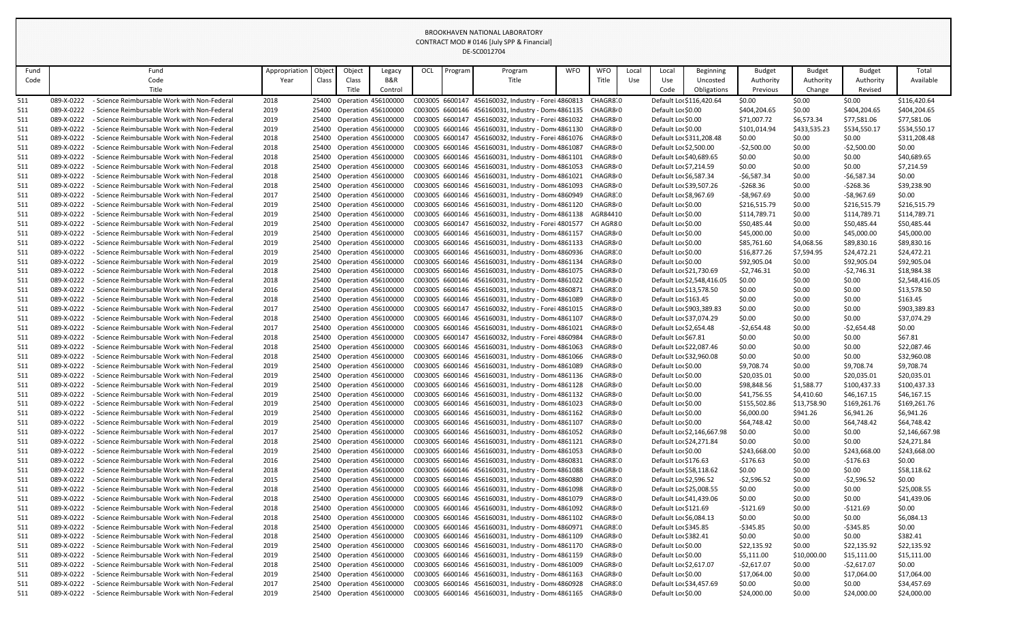| Fund       |                          | Fund                                                                                         | Appropriation | Objec | Object                                           | Legacy                     | OCL | Program | Program                                                                                                                  | <b>WFO</b> | <b>WFO</b>            | Local | Local                                       | <b>Beginning</b>           | <b>Budget</b>              | <b>Budget</b>    | <b>Budget</b>               | Total                      |
|------------|--------------------------|----------------------------------------------------------------------------------------------|---------------|-------|--------------------------------------------------|----------------------------|-----|---------|--------------------------------------------------------------------------------------------------------------------------|------------|-----------------------|-------|---------------------------------------------|----------------------------|----------------------------|------------------|-----------------------------|----------------------------|
| Code       |                          | Code                                                                                         | Year          | Class | Class                                            | B&R                        |     |         | Title                                                                                                                    |            | Title                 | Use   | Use                                         | Uncosted                   | Authority                  | Authority        | Authority                   | Available                  |
|            |                          | Title                                                                                        |               |       | Title                                            | Control                    |     |         |                                                                                                                          |            |                       |       | Code                                        | Obligations                | Previous                   | Change           | Revised                     |                            |
| 511        | 089-X-0222               | - Science Reimbursable Work with Non-Federal                                                 | 2018          |       | 25400 Operation 456100000                        |                            |     |         | C003005 6600147 456160032, Industry - Forei 4860813 CHAGR8 0                                                             |            |                       |       |                                             | Default Lor \$116,420.64   | \$0.00                     | \$0.00           | \$0.00                      | \$116,420.64               |
| <u>511</u> | 089-X-0222               | - Science Reimbursable Work with Non-Federal                                                 | 2019          |       | 25400 Operation 456100000                        |                            |     |         | C003005 6600146 456160031, Industry - Dom 4861135 CHAGR8.0                                                               |            |                       |       | Default Lor \$0.00                          |                            | \$404,204.65               | \$0.00           | \$404,204.65                | \$404,204.65               |
| 511        | 089-X-0222               | - Science Reimbursable Work with Non-Federal                                                 | 2019          | 25400 | Operation 456100000                              |                            |     |         | C003005 6600147 456160032, Industry - Forei 4861032                                                                      |            | CHAGR8 <sup>,</sup> 0 |       | Default Lor \$0.00                          |                            | \$71,007.72                | \$6,573.34       | \$77,581.06                 | \$77,581.06                |
| 511        | 089-X-0222               | - Science Reimbursable Work with Non-Federal                                                 | 2019          |       | 25400 Operation 456100000                        |                            |     |         | C003005 6600146 456160031, Industry - Dom(4861130 CHAGR8/0                                                               |            |                       |       | Default Lor \$0.00                          |                            | \$101,014.94               | \$433,535.23     | \$534,550.17                | \$534,550.17               |
| 511        | 089-X-0222               | - Science Reimbursable Work with Non-Federal                                                 | 2018          | 25400 | Operation 456100000                              |                            |     |         | C003005 6600147 456160032, Industry - Forei 4861076 CHAGR8.0                                                             |            |                       |       |                                             | Default Loc \$311,208.48   | \$0.00                     | \$0.00           | \$0.00                      | \$311,208.48               |
| 511        | 089-X-0222               | - Science Reimbursable Work with Non-Federal                                                 | 2018          | 25400 | Operation 456100000                              |                            |     |         | C003005 6600146 456160031, Industry - Dom 4861087                                                                        |            | CHAGR8 <sup>,</sup> 0 |       | Default Lor \$2,500.00                      |                            | $-52,500.00$               | \$0.00           | $-52,500.00$                | \$0.00                     |
| <u>511</u> | 089-X-0222               | - Science Reimbursable Work with Non-Federal                                                 | 2018          | 25400 | Operation 456100000                              |                            |     |         | C003005 6600146 456160031, Industry - Dom 4861101 CHAGR8.0                                                               |            |                       |       | Default Lor \$40,689.65                     |                            | \$0.00                     | \$0.00           | \$0.00                      | \$40,689.65                |
| 511        | 089-X-0222               | - Science Reimbursable Work with Non-Federal                                                 | 2018          | 25400 | Operation 456100000                              |                            |     |         | C003005 6600146 456160031, Industry - Dom 4861053                                                                        |            | CHAGR8 <sup>,</sup> 0 |       | Default Loc \$7,214.59                      |                            | \$0.00                     | \$0.00           | \$0.00                      | \$7,214.59                 |
| 511        | 089-X-0222               | - Science Reimbursable Work with Non-Federal                                                 | 2018          |       | 25400 Operation 456100000                        |                            |     |         | C003005 6600146 456160031, Industry - Dom(4861021 CHAGR8/0                                                               |            |                       |       | Default Lor \$6,587.34                      |                            | $-56,587.34$               | \$0.00           | $-56,587.34$                | \$0.00                     |
| <u>511</u> | 089-X-0222               | - Science Reimbursable Work with Non-Federal                                                 | 2018          | 25400 | Operation 456100000                              |                            |     |         | C003005 6600146 456160031, Industry - Dome 4861093                                                                       |            | CHAGR8 <sup>,</sup> 0 |       | Default Lor \$39,507.26                     |                            | -\$268.36                  | \$0.00           | -\$268.36                   | \$39,238.90                |
| <u>511</u> | 089-X-0222               | - Science Reimbursable Work with Non-Federal                                                 | 2017          |       | 25400 Operation 456100000                        |                            |     |         | C003005 6600146 456160031, Industry - Domt 4860949 CHAGR8 0                                                              |            |                       |       | Default Loc \$8,967.69                      |                            | -\$8,967.69                | \$0.00           | $-58,967.69$                | \$0.00                     |
| 511        | 089-X-0222               | - Science Reimbursable Work with Non-Federal                                                 | 2019          |       | 25400 Operation 456100000                        |                            |     |         | C003005 6600146 456160031, Industry - Dom 4861120 CHAGR8.0                                                               |            |                       |       | Default Lor \$0.00                          |                            | \$216,515.79               | \$0.00           | \$216,515.79                | \$216,515.79               |
| 511        | 089-X-0222               | - Science Reimbursable Work with Non-Federal                                                 | 2019          | 25400 | Operation 456100000                              |                            |     |         | C003005 6600146 456160031, Industry - Dom(4861138 AGR84410                                                               |            |                       |       | Default Lor \$0.00                          |                            | \$114,789.71               | \$0.00           | \$114,789.71                | \$114,789.71               |
| 511        | 089-X-0222               | - Science Reimbursable Work with Non-Federal                                                 | 2019          |       | 25400 Operation 456100000                        |                            |     |         | C003005 6600147 456160032, Industry - Forei 4801577 CH AGR80                                                             |            |                       |       | Default Lor \$0.00                          |                            | \$50,485.44                | \$0.00           | \$50,485.44                 | \$50,485.44                |
| 511        | 089-X-0222               | - Science Reimbursable Work with Non-Federal                                                 | 2019          | 25400 | Operation 456100000                              |                            |     |         | C003005 6600146 456160031, Industry - Dome 4861157                                                                       |            | CHAGR8 <sup>,</sup> 0 |       | Default Lor \$0.00                          |                            | \$45,000.00                | \$0.00           | \$45,000.00                 | \$45,000.00                |
| <u>511</u> | 089-X-0222<br>089-X-0222 | - Science Reimbursable Work with Non-Federal                                                 | 2019          |       | 25400 Operation 456100000                        |                            |     |         | C003005 6600146 456160031, Industry - Dome 4861133                                                                       |            | CHAGR8 <sup>,</sup> 0 |       | Default Lor \$0.00                          |                            | \$85,761.60                | \$4,068.56       | \$89,830.16                 | \$89,830.16                |
| 511        | 089-X-0222               | - Science Reimbursable Work with Non-Federal<br>- Science Reimbursable Work with Non-Federal | 2019          |       | 25400 Operation 456100000<br>Operation 456100000 |                            |     |         | C003005 6600146 456160031, Industry - Dom 4860936 CHAGR8 0<br>C003005 6600146 456160031, Industry - Dom 4861134 CHAGR8.0 |            |                       |       | Default Lor \$0.00<br>Default Lor \$0.00    |                            | \$16,877.26<br>\$92,905.04 | \$7,594.95       | \$24,472.21                 | \$24,472.21                |
| 511<br>511 | 089-X-0222               | - Science Reimbursable Work with Non-Federal                                                 | 2019<br>2018  | 25400 | 25400 Operation 456100000                        |                            |     |         | C003005 6600146 456160031, Industry - Dom 4861075 CHAGR8.0                                                               |            |                       |       | Default Lor \$21,730.69                     |                            | -\$2,746.31                | \$0.00<br>\$0.00 | \$92,905.04<br>$-52,746.31$ | \$92,905.04<br>\$18,984.38 |
| 511        | 089-X-0222               | - Science Reimbursable Work with Non-Federal                                                 | 2018          | 25400 | Operation 456100000                              |                            |     |         | C003005 6600146 456160031, Industry - Dom 4861022                                                                        |            | CHAGR8 <sup>,</sup> 0 |       |                                             | Default Lor \$2,548,416.05 | \$0.00                     | \$0.00           | \$0.00                      | \$2,548,416.05             |
| 511        | 089-X-0222               | - Science Reimbursable Work with Non-Federal                                                 | 2016          |       | 25400 Operation 456100000                        |                            |     |         | C003005 6600146 456160031, Industry - Dom 4860871                                                                        |            | CHAGR8 0              |       | Default Lor \$13,578.50                     |                            | \$0.00                     | \$0.00           | \$0.00                      | \$13,578.50                |
| 511        | 089-X-0222               | - Science Reimbursable Work with Non-Federal                                                 | 2018          |       | 25400 Operation 456100000                        |                            |     |         | C003005 6600146 456160031, Industry - Dom 4861089                                                                        |            | CHAGR8 <sup>,</sup> 0 |       | Default Loc \$163.45                        |                            | \$0.00                     | \$0.00           | \$0.00                      | \$163.45                   |
| 511        | 089-X-0222               | - Science Reimbursable Work with Non-Federal                                                 | 2017          | 25400 | Operation 456100000                              |                            |     |         | C003005 6600147 456160032, Industry - Forei 4861015                                                                      |            | CHAGR8 <sup>,</sup> 0 |       |                                             | Default Loc \$903,389.83   | \$0.00                     | \$0.00           | \$0.00                      | \$903,389.83               |
| 511        | 089-X-0222               | - Science Reimbursable Work with Non-Federal                                                 | 2018          |       | 25400 Operation 456100000                        |                            |     |         | C003005 6600146 456160031, Industry - Domt 4861107 CHAGR8.0                                                              |            |                       |       | Default Lo، \$37,074.29                     |                            | \$0.00                     | \$0.00           | \$0.00                      | \$37,074.29                |
| 511        | 089-X-0222               | - Science Reimbursable Work with Non-Federal                                                 | 2017          | 25400 | Operation 456100000                              |                            |     |         | C003005 6600146 456160031, Industry - Dome 4861021                                                                       |            | CHAGR8 <sup>,</sup> 0 |       | Default Lor \$2,654.48                      |                            | -\$2,654.48                | \$0.00           | $-52,654.48$                | \$0.00                     |
| 511        | 089-X-0222               | - Science Reimbursable Work with Non-Federal                                                 | 2018          | 25400 | Operation 456100000                              |                            |     |         | C003005 6600147 456160032, Industry - Forei 4860984                                                                      |            | CHAGR8 <sup>,</sup> 0 |       | Default Lor \$67.81                         |                            | \$0.00                     | \$0.00           | \$0.00                      | \$67.81                    |
| <u>511</u> | 089-X-0222               | - Science Reimbursable Work with Non-Federal                                                 | 2018          |       |                                                  | 25400 Operation 456100000  |     |         | C003005 6600146 456160031, Industry - Dom 4861063 CHAGR8.0                                                               |            |                       |       | Default Lor \$22,087.46                     |                            | \$0.00                     | \$0.00           | \$0.00                      | \$22,087.46                |
| 511        | 089-X-0222               | - Science Reimbursable Work with Non-Federal                                                 | 2018          | 25400 |                                                  | <b>Operation 456100000</b> |     |         | C003005 6600146 456160031, Industry - Dom 4861066 CHAGR8.0                                                               |            |                       |       | Default Lor \$32,960.08                     |                            | \$0.00                     | \$0.00           | \$0.00                      | \$32,960.08                |
| 511        | 089-X-0222               | - Science Reimbursable Work with Non-Federal                                                 | 2019          |       |                                                  | 25400 Operation 456100000  |     |         | C003005 6600146 456160031, Industry - Dom 4861089 CHAGR8.0                                                               |            |                       |       | Default Lor \$0.00                          |                            | \$9,708.74                 | \$0.00           | \$9,708.74                  | \$9,708.74                 |
| 511        | 089-X-0222               | - Science Reimbursable Work with Non-Federal                                                 | 2019          | 25400 | Operation 456100000                              |                            |     |         | C003005 6600146 456160031, Industry - Dom 4861136 CHAGR8.0                                                               |            |                       |       | Default Lor \$0.00                          |                            | \$20,035.01                | \$0.00           | \$20,035.01                 | \$20,035.01                |
| 511        | 089-X-0222               | - Science Reimbursable Work with Non-Federal                                                 | 2019          |       |                                                  | 25400 Operation 456100000  |     |         | C003005 6600146 456160031, Industry - Dom 4861128 CHAGR8.0                                                               |            |                       |       | Default Lor \$0.00                          |                            | \$98,848.56                | \$1,588.77       | \$100,437.33                | \$100,437.33               |
| 511        | 089-X-0222               | - Science Reimbursable Work with Non-Federal                                                 | 2019          |       |                                                  | 25400 Operation 456100000  |     |         | C003005 6600146 456160031, Industry - Dom 4861132 CHAGR8.0                                                               |            |                       |       | Default Lor \$0.00                          |                            | \$41,756.55                | \$4,410.60       | \$46,167.15                 | \$46,167.15                |
| 511        | 089-X-0222               | - Science Reimbursable Work with Non-Federal                                                 | 2019          | 25400 | Operation 456100000                              |                            |     |         | C003005 6600146 456160031, Industry - Dom 4861023 CHAGR8.0                                                               |            |                       |       | Default Lor \$0.00                          |                            | \$155,502.86               | \$13,758.90      | \$169,261.76                | \$169,261.76               |
| 511        | 089-X-0222               | - Science Reimbursable Work with Non-Federal                                                 | 2019          |       | 25400 Operation 456100000                        |                            |     |         | C003005 6600146 456160031, Industry - Dom(4861162 CHAGR8/0                                                               |            |                       |       | Default Lor \$0.00                          |                            | \$6,000.00                 | \$941.26         | \$6,941.26                  | \$6,941.26                 |
| 511        | 089-X-0222               | - Science Reimbursable Work with Non-Federal                                                 | 2019          | 25400 | Operation 456100000                              |                            |     |         | C003005 6600146 456160031, Industry - Dom(4861107                                                                        |            | CHAGR8 <sup>,</sup> 0 |       | Default Lor \$0.00                          |                            | \$64,748.42                | \$0.00           | \$64,748.42                 | \$64,748.42                |
| 511        | 089-X-0222               | - Science Reimbursable Work with Non-Federal                                                 | 2017          |       |                                                  | 25400 Operation 456100000  |     |         | C003005 6600146 456160031, Industry - Dom(4861052 CHAGR8/0                                                               |            |                       |       |                                             | Default Lor \$2,146,667.98 | \$0.00                     | \$0.00           | \$0.00                      | \$2,146,667.98             |
| 511        | 089-X-0222               | - Science Reimbursable Work with Non-Federal                                                 | 2018          |       |                                                  | 25400 Operation 456100000  |     |         | C003005 6600146 456160031, Industry - Dom 4861121 CHAGR8.0                                                               |            |                       |       | Default Lor \$24,271.84                     |                            | \$0.00                     | \$0.00           | \$0.00                      | \$24,271.84                |
| 511        | 089-X-0222               | - Science Reimbursable Work with Non-Federal                                                 | 2019          | 25400 | Operation 456100000                              |                            |     |         | C003005 6600146 456160031, Industry - Dome 4861053                                                                       |            | CHAGR8 <sup>,</sup> 0 |       | Default Lor \$0.00                          |                            | \$243,668.00               | \$0.00           | \$243,668.00                | \$243,668.00               |
| 511        | 089-X-0222               | - Science Reimbursable Work with Non-Federal                                                 | 2016          |       | 25400 Operation 456100000                        |                            |     |         | C003005 6600146 456160031, Industry - Dom 4860831                                                                        |            | CHAGR8 0              |       | Default Loc \$176.63                        |                            | -\$176.63                  | \$0.00           | $-5176.63$                  | \$0.00                     |
| 511        | 089-X-0222               | - Science Reimbursable Work with Non-Federal                                                 | 2018          | 25400 | Operation 456100000                              |                            |     |         | C003005 6600146 456160031, Industry - Dom 4861088                                                                        |            | CHAGR8 <sup>,</sup> 0 |       | Default Lor \$58,118.62                     |                            | \$0.00                     | \$0.00           | \$0.00                      | \$58,118.62                |
| 511        | 089-X-0222               | - Science Reimbursable Work with Non-Federal                                                 | 2015          |       |                                                  | 25400 Operation 456100000  |     |         | C003005 6600146 456160031, Industry - Dom 4860880                                                                        |            | CHAGR8 0              |       | Default Lor \$2,596.52                      |                            | -\$2,596.52                | \$0.00           | $-52,596.52$                | \$0.00                     |
| 511        | 089-X-0222               | - Science Reimbursable Work with Non-Federal                                                 | 2018          |       |                                                  | 25400 Operation 456100000  |     |         | C003005 6600146 456160031, Industry - Dom 4861098 CHAGR8.0                                                               |            |                       |       | Default Lor \$25,008.55                     |                            | \$0.00                     | \$0.00           | \$0.00                      | \$25,008.55                |
| 511        | 089-X-0222               | - Science Reimbursable Work with Non-Federal                                                 | 2018          | 25400 | Operation 456100000                              |                            |     |         | C003005 6600146 456160031, Industry - Dom 4861079 CHAGR8.0                                                               |            |                       |       | Default Lor \$41,439.06                     |                            | \$0.00                     | \$0.00           | \$0.00                      | \$41,439.06                |
| 511        | 089-X-0222               | - Science Reimbursable Work with Non-Federal                                                 | 2018          |       | 25400 Operation 456100000                        |                            |     |         | C003005 6600146 456160031, Industry - Dom 4861092 CHAGR8.0                                                               |            |                       |       | Default Loc \$121.69                        |                            | -\$121.69                  | \$0.00           | $-$121.69$                  | \$0.00                     |
| 511        | 089-X-0222               | - Science Reimbursable Work with Non-Federal                                                 | 2018          | 25400 | Operation 456100000                              |                            |     |         | C003005 6600146 456160031, Industry - Dom 4861102 CHAGR8.0                                                               |            |                       |       | Default Loc \$6,084.13                      |                            | \$0.00                     | \$0.00           | \$0.00                      | \$6,084.13                 |
| 511        | 089-X-0222<br>089-X-0222 | - Science Reimbursable Work with Non-Federal<br>- Science Reimbursable Work with Non-Federal | 2018          |       | 25400 Operation 456100000                        | 25400 Operation 456100000  |     |         | C003005 6600146 456160031, Industry - Dom 4860971<br>C003005 6600146 456160031, Industry - Dom 4861109 CHAGR8.0          |            | CHAGR8 0              |       | Default Lor \$345.85<br>Default Loc\$382.41 |                            | -\$345.85                  | \$0.00           | $-5345.85$<br>\$0.00        | \$0.00<br>\$382.41         |
| 511<br>511 | 089-X-0222               | - Science Reimbursable Work with Non-Federal                                                 | 2018<br>2019  | 25400 | Operation 456100000                              |                            |     |         | C003005 6600146 456160031, Industry - Dom 4861170                                                                        |            | CHAGR8 <sup>,</sup> 0 |       | Default Lor \$0.00                          |                            | \$0.00<br>\$22,135.92      | \$0.00<br>\$0.00 | \$22,135.92                 | \$22,135.92                |
| 511        | 089-X-0222               | - Science Reimbursable Work with Non-Federal                                                 | 2019          |       | 25400 Operation 456100000                        |                            |     |         | C003005 6600146 456160031, Industry - Domt 4861159 CHAGR8.0                                                              |            |                       |       | Default Lor \$0.00                          |                            | \$5,111.00                 | \$10,000.00      | \$15,111.00                 | \$15,111.00                |
| 511        | 089-X-0222               | - Science Reimbursable Work with Non-Federal                                                 | 2018          | 25400 | Operation 456100000                              |                            |     |         | C003005 6600146 456160031, Industry - Dom(4861009                                                                        |            | CHAGR8 <sup>,</sup> 0 |       | Default Loc \$2,617.07                      |                            | -\$2,617.07                | \$0.00           | $-52,617.07$                | \$0.00                     |
| 511        | 089-X-0222               | - Science Reimbursable Work with Non-Federal                                                 | 2019          |       | 25400 Operation 456100000                        |                            |     |         | C003005 6600146 456160031, Industry - Dome 4861163                                                                       |            | CHAGR8 <sup>,</sup> 0 |       | Default Lor \$0.00                          |                            | \$17,064.00                | \$0.00           | \$17,064.00                 | \$17,064.00                |
| 511        | 089-X-0222               | - Science Reimbursable Work with Non-Federal                                                 | 2017          |       |                                                  | 25400 Operation 456100000  |     |         | C003005 6600146 456160031, Industry - Dom 4860928 CHAGR8 0                                                               |            |                       |       | Default Lor \$34,457.69                     |                            | \$0.00                     | \$0.00           | \$0.00                      | \$34,457.69                |
| 511        | 089-X-0222               | - Science Reimbursable Work with Non-Federal                                                 | 2019          |       |                                                  | 25400 Operation 456100000  |     |         | C003005 6600146 456160031, Industry - Domt 4861165 CHAGR8.0                                                              |            |                       |       | Default Lor \$0.00                          |                            | \$24,000.00                | \$0.00           | \$24,000.00                 | \$24,000.00                |
|            |                          |                                                                                              |               |       |                                                  |                            |     |         |                                                                                                                          |            |                       |       |                                             |                            |                            |                  |                             |                            |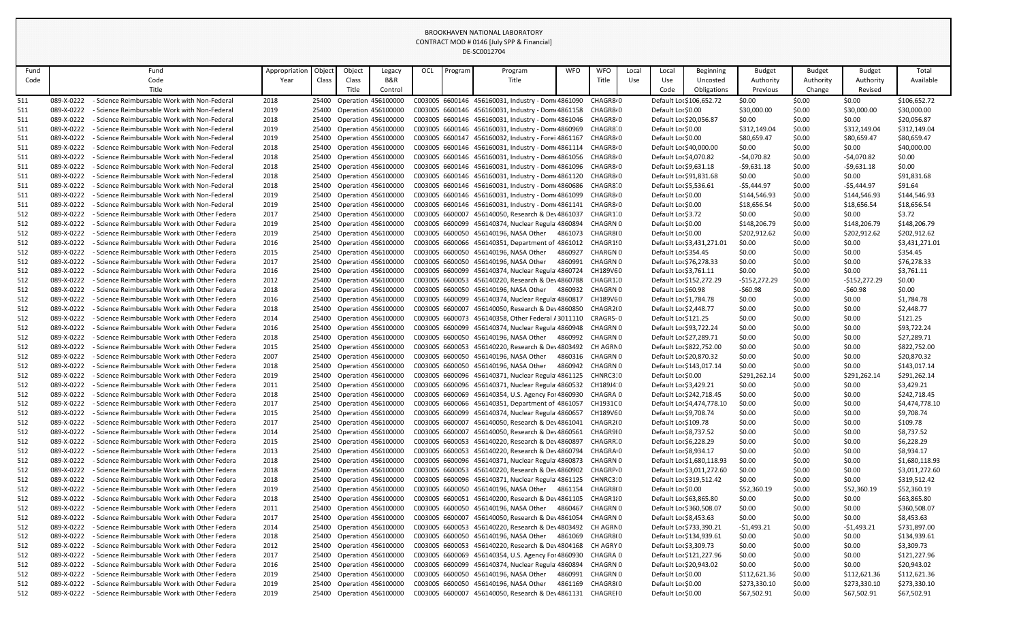| Fund |            | Fund                                          | Appropriation | Object | Object                     | Legacy                    | OCL | Program | Program                                                     | <b>WFO</b>       | <b>WFO</b>            | Local | Local                    | <b>Beginning</b>           | <b>Budget</b> | <b>Budget</b>  | <b>Budget</b>  | Total          |
|------|------------|-----------------------------------------------|---------------|--------|----------------------------|---------------------------|-----|---------|-------------------------------------------------------------|------------------|-----------------------|-------|--------------------------|----------------------------|---------------|----------------|----------------|----------------|
| Code |            | Code                                          | Year          | Class  | Class                      | B&R                       |     |         | Title                                                       |                  | Title                 | Use   | Use                      | Uncosted                   | Authority     | Authority      | Authority      | Available      |
|      |            | Title                                         |               |        | Title                      | Control                   |     |         |                                                             |                  |                       |       | Code                     | Obligations                | Previous      | Change         | Revised        |                |
| 511  | 089-X-0222 | - Science Reimbursable Work with Non-Federal  | 2018          |        | 25400 Operation 456100000  |                           |     |         | C003005 6600146 456160031, Industry - Dome 4861090          |                  | CHAGR8 <sup>,</sup> 0 |       | Default Lor \$106,652.72 |                            | \$0.00        | \$0.00         | \$0.00         | \$106,652.72   |
| 511  | 089-X-0222 | - Science Reimbursable Work with Non-Federal  | 2019          |        | 25400 Operation 456100000  |                           |     |         | C003005 6600146 456160031, Industry - Dom 4861158 CHAGR8.0  |                  |                       |       | Default Lor \$0.00       |                            | \$30,000.00   | \$0.00         | \$30,000.00    | \$30,000.00    |
| 511  | 089-X-0222 | - Science Reimbursable Work with Non-Federal  | 2018          | 25400  | Operation 456100000        |                           |     |         | C003005 6600146 456160031, Industry - Domt 4861046 CHAGR8.0 |                  |                       |       | Default Lor \$20,056.87  |                            | \$0.00        | \$0.00         | \$0.00         | \$20,056.87    |
| 511  | 089-X-0222 | - Science Reimbursable Work with Non-Federal  | 2019          |        | 25400 Operation 456100000  |                           |     |         | C003005 6600146 456160031, Industry - Dom 4860969 CHAGR8 0  |                  |                       |       | Default Lor \$0.00       |                            | \$312,149.04  | \$0.00         | \$312,149.04   | \$312,149.04   |
| 511  | 089-X-0222 | - Science Reimbursable Work with Non-Federal  | 2019          | 25400  | Operation 456100000        |                           |     |         | C003005 6600147 456160032, Industry - Forei 4861167         |                  | CHAGR8 <sup>,</sup> 0 |       | Default Lor \$0.00       |                            | \$80,659.47   | \$0.00         | \$80,659.47    | \$80,659.47    |
| 511  | 089-X-0222 | - Science Reimbursable Work with Non-Federal  | 2018          |        | 25400 Operation 456100000  |                           |     |         | C003005 6600146 456160031, Industry - Dom 4861114           |                  | CHAGR8 <sup>,</sup> 0 |       | Default Lor \$40,000.00  |                            | \$0.00        | \$0.00         | \$0.00         | \$40,000.00    |
| 511  | 089-X-0222 | - Science Reimbursable Work with Non-Federal  | 2018          | 25400  | <b>Operation 456100000</b> |                           |     |         | C003005 6600146 456160031, Industry - Dom 4861056 CHAGR8.0  |                  |                       |       | Default Loc \$4,070.82   |                            | $-54,070.82$  | \$0.00         | $-54,070.82$   | \$0.00         |
| 511  | 089-X-0222 | - Science Reimbursable Work with Non-Federal  | 2018          | 25400  | Operation 456100000        |                           |     |         | C003005 6600146 456160031, Industry - Dom 4861096           |                  | CHAGR8 <sup>,</sup> 0 |       | Default Loc \$9,631.18   |                            | $-59,631.18$  | \$0.00         | $-59,631.18$   | \$0.00         |
| 511  | 089-X-0222 | - Science Reimbursable Work with Non-Federal  | 2018          |        | 25400 Operation 456100000  |                           |     |         | C003005 6600146 456160031, Industry - Dom 4861120 CHAGR8.0  |                  |                       |       | Default Lor \$91,831.68  |                            | \$0.00        | \$0.00         | \$0.00         | \$91,831.68    |
| 511  | 089-X-0222 | - Science Reimbursable Work with Non-Federal  | 2018          | 25400  | Operation 456100000        |                           |     |         | C003005 6600146 456160031, Industry - Dom 4860686           |                  | CHAGR8 0              |       | Default Lor \$5,536.61   |                            | -\$5,444.97   | \$0.00         | $-$5,444.97$   | \$91.64        |
| 511  | 089-X-0222 | - Science Reimbursable Work with Non-Federal  | 2019          |        | 25400 Operation 456100000  |                           |     |         | C003005 6600146 456160031, Industry - Dom(4861099 CHAGR8/0  |                  |                       |       | Default Lor \$0.00       |                            | \$144,546.93  | \$0.00         | \$144,546.93   | \$144,546.93   |
| 511  | 089-X-0222 | - Science Reimbursable Work with Non-Federal  | 2019          |        | 25400 Operation 456100000  |                           |     |         | C003005 6600146 456160031, Industry - Dom 4861141 CHAGR8.0  |                  |                       |       | Default Lor \$0.00       |                            | \$18,656.54   | \$0.00         | \$18,656.54    | \$18,656.54    |
| 512  | 089-X-0222 | - Science Reimbursable Work with Other Federa | 2017          | 25400  | Operation 456100000        |                           |     |         | C003005 6600007 456140050, Research & Dev4861037            |                  | CHAGR1.0              |       | Default Loc \$3.72       |                            | \$0.00        | \$0.00         | \$0.00         | \$3.72         |
| 512  | 089-X-0222 | - Science Reimbursable Work with Other Federa | 2019          | 25400  | <b>Operation 456100000</b> |                           |     |         | C003005 6600099 456140374, Nuclear Regula 4860894           |                  | CHAGRN 0              |       | Default Lor \$0.00       |                            | \$148,206.79  | \$0.00         | \$148,206.79   | \$148,206.79   |
| 512  | 089-X-0222 | - Science Reimbursable Work with Other Federa | 2019          | 25400  | <b>Operation 456100000</b> |                           |     |         | C003005 6600050 456140196, NASA Other                       | 4861073          | CHAGR800              |       | Default Lor \$0.00       |                            | \$202,912.62  | \$0.00         | \$202,912.62   | \$202,912.62   |
| 512  | 089-X-0222 | - Science Reimbursable Work with Other Federa | 2016          |        | 25400 Operation 456100000  |                           |     |         | C003005 6600066 456140351, Department of 4861012            |                  | CHAGR1!0              |       |                          | Default Loc \$3,431,271.01 | \$0.00        | \$0.00         | \$0.00         | \$3,431,271.01 |
| 512  | 089-X-0222 | - Science Reimbursable Work with Other Federa | 2015          |        | 25400 Operation 456100000  |                           |     |         | C003005 6600050 456140196, NASA Other                       | 4860927 CHARGN 0 |                       |       | Default Loc\$354.45      |                            | \$0.00        | \$0.00         | \$0.00         | \$354.45       |
| 512  | 089-X-0222 | - Science Reimbursable Work with Other Federa | 2017          | 25400  | Operation 456100000        |                           |     |         | C003005 6600050 456140196, NASA Other                       | 4860991          | CHAGRN 0              |       | Default Loc \$76,278.33  |                            | \$0.00        | \$0.00         | \$0.00         | \$76,278.33    |
| 512  | 089-X-0222 | - Science Reimbursable Work with Other Federa | 2016          |        | 25400 Operation 456100000  |                           |     |         | C003005 6600099 456140374, Nuclear Regula 4860724           |                  | CH189VE 0             |       | Default Loc \$3,761.11   |                            | \$0.00        | \$0.00         | \$0.00         | \$3,761.11     |
| 512  | 089-X-0222 | - Science Reimbursable Work with Other Federa | 2012          | 25400  | <b>Operation 456100000</b> |                           |     |         | C003005 6600053 456140220, Research & Dev4860788            |                  | CHAGR1.0              |       | Default Lor \$152,272.29 |                            | -\$152,272.29 | \$0.00         | $-$152,272.29$ | \$0.00         |
| 512  | 089-X-0222 | - Science Reimbursable Work with Other Federa | 2018          |        | 25400 Operation 456100000  |                           |     |         | C003005 6600050 456140196, NASA Other                       | 4860932          | CHAGRN 0              |       | Default Lor \$60.98      |                            | -\$60.98      | \$0.00         | $-560.98$      | \$0.00         |
| 512  | 089-X-0222 | - Science Reimbursable Work with Other Federa | 2016          |        | 25400 Operation 456100000  |                           |     |         | C003005 6600099 456140374, Nuclear Regulat 4860817          |                  | CH189VE0              |       | Default Loc \$1,784.78   |                            | \$0.00        | \$0.00         | \$0.00         | \$1,784.78     |
| 512  | 089-X-0222 | - Science Reimbursable Work with Other Federa | 2018          |        | 25400 Operation 456100000  |                           |     |         | C003005 6600007 456140050, Research & Dev4860850            |                  | CHAGR2(0              |       | Default Loc \$2,448.77   |                            | \$0.00        | \$0.00         | \$0.00         | \$2,448.77     |
| 512  | 089-X-0222 | - Science Reimbursable Work with Other Federa | 2014          |        | 25400 Operation 456100000  |                           |     |         | C003005 6600073 456140358, Other Federal #3011110 CRAGRS-0  |                  |                       |       | Default Lor \$121.25     |                            | \$0.00        | \$0.00         | \$0.00         | \$121.25       |
| 512  | 089-X-0222 | - Science Reimbursable Work with Other Federa | 2016          | 25400  | <b>Operation 456100000</b> |                           |     |         | C003005 6600099 456140374, Nuclear Regula 4860948 CHAGRN 0  |                  |                       |       | Default Loc \$93,722.24  |                            | \$0.00        | \$0.00         | \$0.00         | \$93,722.24    |
| 512  | 089-X-0222 | - Science Reimbursable Work with Other Federa | 2018          | 25400  | Operation 456100000        |                           |     |         | C003005 6600050 456140196, NASA Other                       | 4860992          | CHAGRN 0              |       | Default Loc \$27,289.71  |                            | \$0.00        | \$0.00         | \$0.00         | \$27,289.71    |
| 512  | 089-X-0222 | - Science Reimbursable Work with Other Federa | 2015          |        |                            | 25400 Operation 456100000 |     |         | C003005 6600053 456140220, Research & Dev4803492 CH AGRN 0  |                  |                       |       |                          | Default Lo: \$822,752.00   | \$0.00        | \$0.00<br>÷~∙~ | \$0.00         | \$822,752.00   |
| 512  | 089-X-0222 | - Science Reimbursable Work with Other Federa | 2007          | 25400  | <b>Operation 456100000</b> |                           |     |         | C003005 6600050 456140196, NASA Other                       | 4860316 CHAGRN 0 |                       |       | Default Lor \$20,870.32  |                            | \$0.00        | \$0.00         | \$0.00         | \$20,870.32    |
| 512  | 089-X-0222 | - Science Reimbursable Work with Other Federa | 2018          |        | 25400 Operation 456100000  |                           |     |         | C003005 6600050 456140196, NASA Other                       | 4860942 CHAGRN 0 |                       |       | Default Loc \$143,017.14 |                            | \$0.00        | \$0.00         | \$0.00         | \$143,017.14   |
| 512  | 089-X-0222 | - Science Reimbursable Work with Other Federa | 2019          |        | 25400 Operation 456100000  |                           |     |         | C003005 6600096 456140371, Nuclear Regula 4861125 CHNRC3:0  |                  |                       |       | Default Lor \$0.00       |                            | \$291,262.14  | \$0.00         | \$291,262.14   | \$291,262.14   |
| 512  | 089-X-0222 | - Science Reimbursable Work with Other Federa | 2011          |        | 25400 Operation 456100000  |                           |     |         | C003005 6600096 456140371, Nuclear Regula 4860532 CH189J4 0 |                  |                       |       | Default Loc \$3,429.21   |                            | \$0.00        | \$0.00         | \$0.00         | \$3,429.21     |
| 512  | 089-X-0222 | - Science Reimbursable Work with Other Federa | 2018          |        | 25400 Operation 456100000  |                           |     |         | C003005 6600069 456140354, U.S. Agency For 4860930 CHAGRA 0 |                  |                       |       | Default Lor \$242,718.45 |                            | \$0.00        | \$0.00         | \$0.00         | \$242,718.45   |
| 512  | 089-X-0222 | - Science Reimbursable Work with Other Federa | 2017          | 25400  | Operation 456100000        |                           |     |         | C003005 6600066 456140351, Department of 4861057            |                  | CH1931C0              |       |                          | Default Loc \$4,474,778.10 | \$0.00        | \$0.00         | \$0.00         | \$4,474,778.10 |
| 512  | 089-X-0222 | - Science Reimbursable Work with Other Federa | 2015          | 25400  | Operation 456100000        |                           |     |         | C003005 6600099 456140374, Nuclear Regula 4860657           |                  | CH189VE0              |       | Default Loc \$9,708.74   |                            | \$0.00        | \$0.00         | \$0.00         | \$9,708.74     |
| 512  | 089-X-0222 | - Science Reimbursable Work with Other Federa | 2017          |        | 25400 Operation 456100000  |                           |     |         | C003005 6600007 456140050, Research & Dev4861041            |                  | CHAGR2(0              |       | Default Loc\$109.78      |                            | \$0.00        | \$0.00         | \$0.00         | \$109.78       |
| 512  | 089-X-0222 | - Science Reimbursable Work with Other Federa | 2014          |        | 25400 Operation 456100000  |                           |     |         | C003005 6600007 456140050, Research & Dev4860561            |                  | CHAGR9I0              |       | Default Loc \$8,737.52   |                            | \$0.00        | \$0.00         | \$0.00         | \$8,737.52     |
| 512  | 089-X-0222 | - Science Reimbursable Work with Other Federa | 2015          |        | 25400 Operation 456100000  |                           |     |         | C003005 6600053 456140220, Research & Dev4860897            |                  | CHAGRR 0              |       | Default Loc \$6,228.29   |                            | \$0.00        | \$0.00         | \$0.00         | \$6,228.29     |
| 512  | 089-X-0222 | - Science Reimbursable Work with Other Federa | 2013          | 25400  | Operation 456100000        |                           |     |         | C003005 6600053 456140220, Research & Dev4860794            |                  | CHAGRA 0              |       | Default Loc \$8,934.17   |                            | \$0.00        | \$0.00         | \$0.00         | \$8,934.17     |
| 512  | 089-X-0222 | - Science Reimbursable Work with Other Federa | 2018          | 25400  | Operation 456100000        |                           |     |         | C003005 6600096 456140371, Nuclear Regula 4860873 CHAGRN 0  |                  |                       |       |                          | Default Lor \$1,680,118.93 | \$0.00        | \$0.00         | \$0.00         | \$1,680,118.93 |
| 512  | 089-X-0222 | - Science Reimbursable Work with Other Federa | 2018          | 25400  | Operation 456100000        |                           |     |         | C003005 6600053 456140220, Research & Dev4860902            |                  | CHAGRP <sub>'</sub> 0 |       |                          | Default Loc \$3,011,272.60 | \$0.00        | \$0.00         | \$0.00         | \$3,011,272.60 |
| 512  | 089-X-0222 | - Science Reimbursable Work with Other Federa | 2018          |        | 25400 Operation 456100000  |                           |     |         | C003005 6600096 456140371, Nuclear Regula 4861125 CHNRC3:0  |                  |                       |       | Default Lor \$319,512.42 |                            | \$0.00        | \$0.00         | \$0.00         | \$319,512.42   |
| 512  | 089-X-0222 | - Science Reimbursable Work with Other Federa | 2019          |        | 25400 Operation 456100000  |                           |     |         | C003005 6600050 456140196, NASA Other 4861154 CHAGR800      |                  |                       |       | Default Lor \$0.00       |                            | \$52,360.19   | \$0.00         | \$52,360.19    | \$52,360.19    |
| 512  | 089-X-0222 | - Science Reimbursable Work with Other Federa | 2018          | 25400  | Operation 456100000        |                           |     |         | C003005 6600051 456140200, Research & Dev4861105            |                  | CHAGR1¦0              |       | Default Lor \$63,865.80  |                            | \$0.00        | \$0.00         | \$0.00         | \$63,865.80    |
| 512  | 089-X-0222 | - Science Reimbursable Work with Other Federa | 2011          |        | 25400 Operation 456100000  |                           |     |         | C003005 6600050 456140196, NASA Other                       | 4860467 CHAGRN 0 |                       |       | Default Lor \$360,508.07 |                            | \$0.00        | \$0.00         | \$0.00         | \$360,508.07   |
| 512  | 089-X-0222 | - Science Reimbursable Work with Other Federa | 2017          | 25400  | Operation 456100000        |                           |     |         | C003005 6600007 456140050, Research & Dev4861054            |                  | CHAGRN 0              |       | Default Loc \$8,453.63   |                            | \$0.00        | \$0.00         | \$0.00         | \$8,453.63     |
| 512  | 089-X-0222 | - Science Reimbursable Work with Other Federa | 2014          |        | 25400 Operation 456100000  |                           |     |         | C003005 6600053 456140220, Research & Dev4803492            |                  | CH AGRN 0             |       | Default Lor \$733,390.21 |                            | -\$1,493.21   | \$0.00         | $-51,493.21$   | \$731,897.00   |
| 512  | 089-X-0222 | - Science Reimbursable Work with Other Federa | 2018          |        | 25400 Operation 456100000  |                           |     |         | C003005 6600050 456140196, NASA Other 4861069 CHAGR80       |                  |                       |       | Default Loc \$134,939.61 |                            | \$0.00        | \$0.00         | \$0.00         | \$134,939.61   |
| 512  | 089-X-0222 | - Science Reimbursable Work with Other Federa | 2012          |        | 25400 Operation 456100000  |                           |     |         | C003005 6600053 456140220, Research & Dev4804168 CH AGRY0   |                  |                       |       | Default Loc \$3,309.73   |                            | \$0.00        | \$0.00         | \$0.00         | \$3,309.73     |
| 512  | 089-X-0222 | - Science Reimbursable Work with Other Federa | 2017          |        | 25400 Operation 456100000  |                           |     |         | C003005 6600069 456140354, U.S. Agency For 4860930          |                  | CHAGRA 0              |       | Default Loc \$121,227.96 |                            | \$0.00        | \$0.00         | \$0.00         | \$121,227.96   |
| 512  | 089-X-0222 | - Science Reimbursable Work with Other Federa | 2016          | 25400  | Operation 456100000        |                           |     |         | C003005 6600099 456140374, Nuclear Regula 4860894           |                  | CHAGRN 0              |       | Default Lor \$20,943.02  |                            | \$0.00        | \$0.00         | \$0.00         | \$20,943.02    |
| 512  | 089-X-0222 | - Science Reimbursable Work with Other Federa | 2019          |        | 25400 Operation 456100000  |                           |     |         | C003005 6600050 456140196, NASA Other                       | 4860991          | CHAGRN 0              |       | Default Lor \$0.00       |                            | \$112,621.36  | \$0.00         | \$112,621.36   | \$112,621.36   |
| 512  | 089-X-0222 | - Science Reimbursable Work with Other Federa | 2019          |        | 25400 Operation 456100000  |                           |     |         | C003005 6600050 456140196, NASA Other                       | 4861169 CHAGR8(0 |                       |       | Default Lor \$0.00       |                            | \$273,330.10  | \$0.00         | \$273,330.10   | \$273,330.10   |
| 512  | 089-X-0222 | - Science Reimbursable Work with Other Federa | 2019          |        | 25400 Operation 456100000  |                           |     |         | C003005 6600007 456140050, Research & Dev4861131 CHAGREIO   |                  |                       |       | Default Lor \$0.00       |                            | \$67,502.91   | \$0.00         | \$67,502.91    | \$67,502.91    |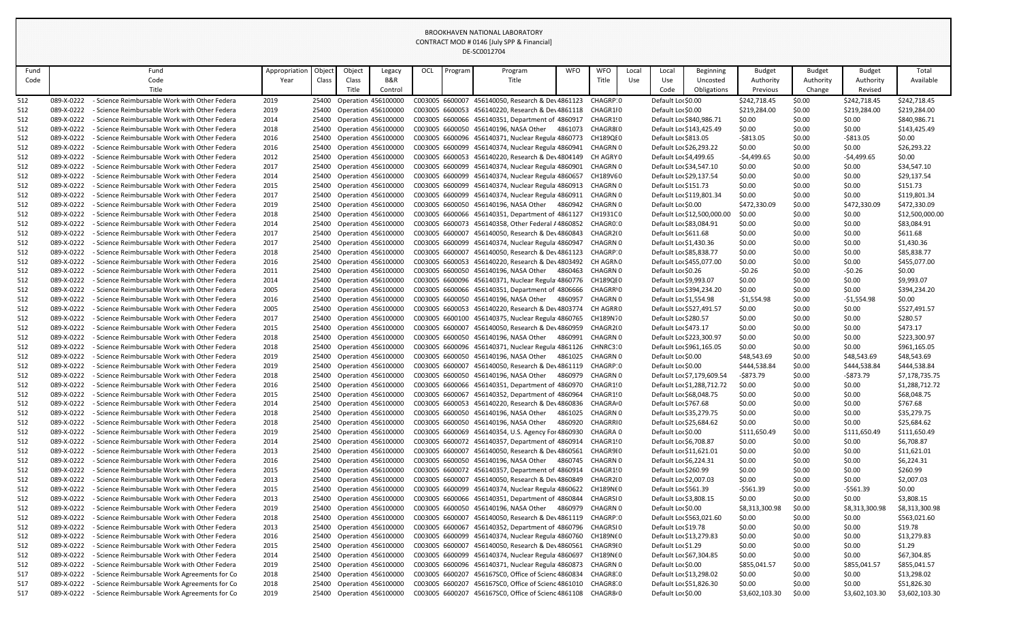| Fund |            | Fund                                               | Appropriation | Object | Object                     | Legacy  | OCL             | Program | Program                                                     | <b>WFO</b> | <b>WFO</b>            | Local | Local                    | <b>Beginning</b>            | <b>Budget</b>  | <b>Budget</b> | <b>Budget</b>  | Total           |
|------|------------|----------------------------------------------------|---------------|--------|----------------------------|---------|-----------------|---------|-------------------------------------------------------------|------------|-----------------------|-------|--------------------------|-----------------------------|----------------|---------------|----------------|-----------------|
| Code |            | Code                                               | Year          | Class  | Class                      | B&R     |                 |         | Title                                                       |            | Title                 | Use   | Use                      | Uncosted                    | Authority      | Authority     | Authority      | Available       |
|      |            | Title                                              |               |        | Title                      | Control |                 |         |                                                             |            |                       |       | Code                     | Obligations                 | Previous       | Change        | Revised        |                 |
| 512  | 089-X-0222 | - Science Reimbursable Work with Other Federa      | 2019          | 25400  | <b>Operation 456100000</b> |         |                 |         | C003005 6600007 456140050, Research & Dev4861123            |            | CHAGRP 0              |       | Default Lor \$0.00       |                             | \$242,718.45   | \$0.00        | \$242,718.45   | \$242,718.45    |
| 512  | 089-X-0222 | - Science Reimbursable Work with Other Federa      | 2019          | 25400  | <b>Operation 456100000</b> |         |                 |         | C003005 6600053 456140220, Research & Dev4861118 CHAGR110   |            |                       |       | Default Lor \$0.00       |                             | \$219,284.00   | \$0.00        | \$219,284.00   | \$219,284.00    |
| 512  | 089-X-0222 | - Science Reimbursable Work with Other Federa      | 2014          | 25400  | <b>Operation 456100000</b> |         |                 |         | C003005 6600066 456140351, Department of 4860917            |            | CHAGR1!0              |       |                          | Default Lor \$840,986.71    | \$0.00         | \$0.00        | \$0.00         | \$840,986.71    |
| 512  | 089-X-0222 | - Science Reimbursable Work with Other Federa      | 2018          |        | 25400 Operation 456100000  |         |                 |         | C003005 6600050 456140196, NASA Other                       | 4861073    | CHAGR800              |       |                          | Default Loc \$143,425.49    | \$0.00         | \$0.00        | \$0.00         | \$143,425.49    |
| 512  | 089-X-0222 | - Science Reimbursable Work with Other Federa      | 2016          | 25400  | <b>Operation 456100000</b> |         |                 |         | C003005 6600096 456140371, Nuclear Regula 4860773           |            | CH189QI0              |       | Default Lor \$813.05     |                             | -\$813.05      | \$0.00        | $-5813.05$     | \$0.00          |
| 512  | 089-X-0222 | - Science Reimbursable Work with Other Federa      | 2016          | 25400  | <b>Operation 456100000</b> |         |                 |         | C003005 6600099 456140374, Nuclear Regulat 4860941          |            | CHAGRN 0              |       | Default Lor \$26,293.22  |                             | \$0.00         | \$0.00        | \$0.00         | \$26,293.22     |
| 512  | 089-X-0222 | - Science Reimbursable Work with Other Federa      | 2012          | 25400  | <b>Operation 456100000</b> |         |                 |         | C003005 6600053 456140220, Research & Dev4804149            |            | CH AGRY 0             |       | Default Loc \$4,499.65   |                             | $-54,499.65$   | \$0.00        | $-54,499.65$   | \$0.00          |
| 512  | 089-X-0222 | - Science Reimbursable Work with Other Federa      | 2017          | 25400  | Operation 456100000        |         |                 |         | C003005 6600099 456140374, Nuclear Regula 4860901           |            | CHAGRN 0              |       | Default Lor \$34,547.10  |                             | \$0.00         | \$0.00        | \$0.00         | \$34,547.10     |
| 512  | 089-X-0222 | - Science Reimbursable Work with Other Federa      | 2014          |        | 25400 Operation 456100000  |         |                 |         | C003005 6600099 456140374, Nuclear Regula 4860657           |            | CH189VE0              |       | Default Loc \$29,137.54  |                             | \$0.00         | \$0.00        | \$0.00         | \$29,137.54     |
| 512  | 089-X-0222 | - Science Reimbursable Work with Other Federa      | 2015          |        | 25400 Operation 456100000  |         |                 |         | C003005 6600099 456140374, Nuclear Regula 4860913           |            | CHAGRN 0              |       | Default Lor \$151.73     |                             | \$0.00         | \$0.00        | \$0.00         | \$151.73        |
| 512  | 089-X-0222 | - Science Reimbursable Work with Other Federa      | 2017          | 25400  | <b>Operation 456100000</b> |         |                 |         | C003005 6600099 456140374, Nuclear Regulat 4860911          |            | CHAGRN 0              |       |                          | Default Loc \$119,801.34    | \$0.00         | \$0.00        | \$0.00         | \$119,801.34    |
| 512  | 089-X-0222 | - Science Reimbursable Work with Other Federa      | 2019          | 25400  | <b>Operation 456100000</b> |         |                 |         | C003005 6600050 456140196, NASA Other                       | 4860942    | CHAGRN 0              |       | Default Lor \$0.00       |                             | \$472,330.09   | \$0.00        | \$472,330.09   | \$472,330.09    |
| 512  | 089-X-0222 | - Science Reimbursable Work with Other Federa      | 2018          | 25400  | Operation 456100000        |         |                 |         | C003005 6600066 456140351, Department of 4861127            |            | CH1931C0              |       |                          | Default Lor \$12,500,000.00 | \$0.00         | \$0.00        | \$0.00         | \$12,500,000.00 |
| 512  | 089-X-0222 | - Science Reimbursable Work with Other Federa      | 2014          |        | 25400 Operation 456100000  |         |                 |         | C003005 6600073 456140358, Other Federal / 4860852          |            | CHAGRO 0              |       | Default Loc \$83,084.91  |                             | \$0.00         | \$0.00        | \$0.00         | \$83,084.91     |
| 512  | 089-X-0222 | - Science Reimbursable Work with Other Federa      | 2017          |        | 25400 Operation 456100000  |         |                 |         | C003005 6600007 456140050, Research & Dev4860843            |            | CHAGR2(0              |       | Default Loc\$611.68      |                             | \$0.00         | \$0.00        | \$0.00         | \$611.68        |
| 512  | 089-X-0222 | - Science Reimbursable Work with Other Federa      | 2017          | 25400  | Operation 456100000        |         |                 |         | C003005 6600099 456140374, Nuclear Regulat 4860947          |            | CHAGRN 0              |       | Default Lor \$1,430.36   |                             | \$0.00         | \$0.00        | \$0.00         | \$1,430.36      |
| 512  | 089-X-0222 | - Science Reimbursable Work with Other Federa      | 2018          | 25400  | <b>Operation 456100000</b> |         |                 |         | C003005 6600007 456140050, Research & Dev4861123            |            | CHAGRP 0              |       | Default Loc \$85,838.77  |                             | \$0.00         | \$0.00        | \$0.00         | \$85,838.77     |
| 512  | 089-X-0222 | - Science Reimbursable Work with Other Federa      | 2016          | 25400  | Operation 456100000        |         |                 |         | C003005 6600053 456140220, Research & Dev4803492            |            | CH AGRN0              |       |                          | Default Lor \$455,077.00    | \$0.00         | \$0.00        | \$0.00         | \$455,077.00    |
| 512  | 089-X-0222 | - Science Reimbursable Work with Other Federa      | 2011          |        | 25400 Operation 456100000  |         |                 |         | C003005 6600050 456140196, NASA Other                       | 4860463    | CHAGRN 0              |       | Default Lor \$0.26       |                             | $-50.26$       | \$0.00        | $-50.26$       | \$0.00          |
| 512  | 089-X-0222 | - Science Reimbursable Work with Other Federa      | 2014          |        | 25400 Operation 456100000  |         |                 |         | C003005 6600096 456140371, Nuclear Regulai 4860776 CH189QI0 |            |                       |       | Default Loc \$9,993.07   |                             | \$0.00         | \$0.00        | \$0.00         | \$9,993.07      |
| 512  | 089-X-0222 | - Science Reimbursable Work with Other Federa      | 2005          | 25400  | Operation 456100000        |         |                 |         | C003005 6600066 456140351, Department of 4806666            |            | CHAGRR'O              |       |                          | Default Lor \$394,234.20    | \$0.00         | \$0.00        | \$0.00         | \$394,234.20    |
| 512  | 089-X-0222 | - Science Reimbursable Work with Other Federa      | 2016          | 25400  | <b>Operation 456100000</b> |         |                 |         | C003005 6600050 456140196, NASA Other                       | 4860957    | CHAGRN 0              |       | Default Loc \$1,554.98   |                             | $-$1,554.98$   | \$0.00        | $-$1,554.98$   | \$0.00          |
| 512  | 089-X-0222 | - Science Reimbursable Work with Other Federa      | 2005          | 25400  | Operation 456100000        |         | C003005 6600053 |         | 456140220, Research & Dev 4803774                           |            | CH AGRRO              |       |                          | Default Lor \$527,491.57    | \$0.00         | \$0.00        | \$0.00         | \$527,491.57    |
| 512  | 089-X-0222 | - Science Reimbursable Work with Other Federa      | 2017          |        | 25400 Operation 456100000  |         |                 |         | C003005 6600100 456140375, Nuclear Regula 4860765           |            | CH189N70              |       | Default Lor \$280.57     |                             | \$0.00         | \$0.00        | \$0.00         | \$280.57        |
| 512  | 089-X-0222 | - Science Reimbursable Work with Other Federa      | 2015          | 25400  | Operation 456100000        |         |                 |         | C003005 6600007 456140050, Research & Dev4860959            |            | CHAGR2(0              |       | Default Loc \$473.17     |                             | \$0.00         | \$0.00        | \$0.00         | \$473.17        |
| 512  | 089-X-0222 | - Science Reimbursable Work with Other Federa      | 2018          | 25400  | Operation 456100000        |         |                 |         | C003005 6600050 456140196, NASA Other                       | 4860991    | CHAGRN 0              |       | Default Lor \$223,300.97 |                             | \$0.00         | \$0.00        | \$0.00         | \$223,300.97    |
| 512  | 089-X-0222 | - Science Reimbursable Work with Other Federa      | 2018          |        | 25400 Operation 456100000  |         |                 |         | C003005 6600096 456140371, Nuclear Regula 4861126 CHNRC3:0  |            |                       |       |                          | Default Lor \$961,165.05    | \$0.00         | \$0.00        | \$0.00         | \$961,165.05    |
| 512  | 089-X-0222 | - Science Reimbursable Work with Other Federa      | 2019          | 25400  | <b>Operation 456100000</b> |         |                 |         | C003005 6600050 456140196, NASA Other                       | 4861025    | CHAGRN 0              |       | Default Lor \$0.00       |                             | \$48,543.69    | \$0.00        | \$48,543.69    | \$48,543.69     |
| 512  | 089-X-0222 | - Science Reimbursable Work with Other Federa      | 2019          |        | 25400 Operation 456100000  |         |                 |         | C003005 6600007 456140050, Research & Dev4861119            |            | CHAGRP 0              |       | Default Lor \$0.00       |                             | \$444,538.84   | \$0.00        | \$444,538.84   | \$444,538.84    |
| 512  | 089-X-0222 | - Science Reimbursable Work with Other Federa      | 2018          | 25400  | Operation 456100000        |         |                 |         | C003005 6600050 456140196, NASA Other                       | 4860979    | CHAGRN 0              |       |                          | Default Lor \$7,179,609.54  | -\$873.79      | \$0.00        | $-$873.79$     | \$7,178,735.75  |
| 512  | 089-X-0222 | - Science Reimbursable Work with Other Federa      | 2016          | 25400  | Operation 456100000        |         |                 |         | C003005 6600066 456140351, Department of 4860970            |            | CHAGR1!0              |       |                          | Default Lor \$1,288,712.72  | \$0.00         | \$0.00        | \$0.00         | \$1,288,712.72  |
| 512  | 089-X-0222 | - Science Reimbursable Work with Other Federa      | 2015          | 25400  | <b>Operation 456100000</b> |         |                 |         | C003005 6600067 456140352, Department of 4860964            |            | CHAGR1!0              |       | Default Lor \$68,048.75  |                             | \$0.00         | \$0.00        | \$0.00         | \$68,048.75     |
| 512  | 089-X-0222 | - Science Reimbursable Work with Other Federa      | 2014          | 25400  | Operation 456100000        |         |                 |         | C003005 6600053 456140220, Research & Dev4860836            |            | CHAGRA 0              |       | Default Lor \$767.68     |                             | \$0.00         | \$0.00        | \$0.00         | \$767.68        |
| 512  | 089-X-0222 | - Science Reimbursable Work with Other Federa      | 2018          |        | 25400 Operation 456100000  |         |                 |         | C003005 6600050 456140196, NASA Other                       | 4861025    | CHAGRN 0              |       | Default Lor \$35,279.75  |                             | \$0.00         | \$0.00        | \$0.00         | \$35,279.75     |
| 512  | 089-X-0222 | - Science Reimbursable Work with Other Federa      | 2018          | 25400  | Operation 456100000        |         |                 |         | C003005 6600050 456140196, NASA Other                       | 4860920    | CHAGRRIO              |       | Default Lor \$25,684.62  |                             | \$0.00         | \$0.00        | \$0.00         | \$25,684.62     |
| 512  | 089-X-0222 | - Science Reimbursable Work with Other Federa      | 2019          | 25400  | Operation 456100000        |         |                 |         | C003005 6600069 456140354, U.S. Agency For 4860930          |            | CHAGRA 0              |       | Default Lor \$0.00       |                             | \$111,650.49   | \$0.00        | \$111,650.49   | \$111,650.49    |
| 512  | 089-X-0222 | - Science Reimbursable Work with Other Federa      | 2014          | 25400  | <b>Operation 456100000</b> |         |                 |         | C003005 6600072 456140357, Department of 4860914            |            | CHAGR1!0              |       | Default Loc \$6,708.87   |                             | \$0.00         | \$0.00        | \$0.00         | \$6,708.87      |
| 512  | 089-X-0222 | - Science Reimbursable Work with Other Federa      | 2013          | 25400  | Operation 456100000        |         | C003005 6600007 |         | 456140050, Research & Dev 4860561                           |            | CHAGR910              |       | Default Lor \$11,621.01  |                             | \$0.00         | \$0.00        | \$0.00         | \$11,621.01     |
| 512  | 089-X-0222 | - Science Reimbursable Work with Other Federa      | 2016          | 25400  | Operation 456100000        |         |                 |         | C003005 6600050 456140196, NASA Other                       |            | 4860745 CHAGRN 0      |       | Default Loc \$6,224.31   |                             | \$0.00         | \$0.00        | \$0.00         | \$6,224.31      |
| 512  | 089-X-0222 | - Science Reimbursable Work with Other Federa      | 2015          | 25400  | Operation 456100000        |         |                 |         | C003005 6600072 456140357, Department of 4860914            |            | CHAGR1!0              |       | Default Lor \$260.99     |                             | \$0.00         | \$0.00        | \$0.00         | \$260.99        |
| 512  | 089-X-0222 | - Science Reimbursable Work with Other Federa      | 2013          | 25400  | Operation 456100000        |         | C003005 6600007 |         | 456140050, Research & Dev4860849                            |            | CHAGR2(0              |       | Default Lor \$2,007.03   |                             | \$0.00         | \$0.00        | \$0.00         | \$2,007.03      |
| 512  | 089-X-0222 | - Science Reimbursable Work with Other Federa      | 2015          | 25400  | Operation 456100000        |         |                 |         | C003005 6600099 456140374, Nuclear Regula 4860622           |            | CH189N60              |       | Default Lor \$561.39     |                             | $-5561.39$     | \$0.00        | $-5561.39$     | \$0.00          |
| 512  | 089-X-0222 | - Science Reimbursable Work with Other Federa      | 2013          | 25400  | <b>Operation 456100000</b> |         | C003005 6600066 |         | 456140351, Department of 4860844                            |            | CHAGRSI0              |       | Default Loc \$3,808.15   |                             | \$0.00         | \$0.00        | \$0.00         | \$3,808.15      |
| 512  | 089-X-0222 | - Science Reimbursable Work with Other Federa      | 2019          | 25400  | <b>Operation 456100000</b> |         |                 |         | C003005 6600050 456140196, NASA Other                       | 4860979    | CHAGRN 0              |       | Default Lor \$0.00       |                             | \$8,313,300.98 | \$0.00        | \$8,313,300.98 | \$8,313,300.98  |
| 512  | 089-X-0222 | - Science Reimbursable Work with Other Federa      | 2018          | 25400  | Operation 456100000        |         | C003005 6600007 |         | 456140050, Research & Dev 4861119                           |            | CHAGRP 0              |       |                          | Default Lor \$563,021.60    | \$0.00         | \$0.00        | \$0.00         | \$563,021.60    |
| 512  | 089-X-0222 | - Science Reimbursable Work with Other Federa      | 2013          | 25400  | Operation 456100000        |         | C003005 6600067 |         | 456140352, Department of 4860796                            |            | CHAGRSI 0             |       | Default Loc \$19.78      |                             | \$0.00         | \$0.00        | \$0.00         | \$19.78         |
| 512  | 089-X-0222 | - Science Reimbursable Work with Other Federa      | 2016          | 25400  | Operation 456100000        |         | C003005 6600099 |         | 456140374, Nuclear Regula 4860760                           |            | CH189N60              |       | Default Lor \$13,279.83  |                             | \$0.00         | \$0.00        | \$0.00         | \$13,279.83     |
| 512  | 089-X-0222 | - Science Reimbursable Work with Other Federa      | 2015          | 25400  | <b>Operation 456100000</b> |         | C003005 6600007 |         | 456140050, Research & Dev4860561                            |            | CHAGR9I0              |       | Default Lor \$1.29       |                             | \$0.00         | \$0.00        | \$0.00         | \$1.29          |
| 512  | 089-X-0222 | <b>Science Reimbursable Work with Other Federa</b> | 2014          | 25400  | <b>Operation 456100000</b> |         | C003005 6600099 |         | 456140374, Nuclear Regula 4860697                           |            | CH189N <del>(</del> 0 |       | Default Loc \$67,304.85  |                             | \$0.00         | \$0.00        | \$0.00         | \$67,304.85     |
| 512  | 089-X-0222 | - Science Reimbursable Work with Other Federa      | 2019          | 25400  | Operation 456100000        |         |                 |         | C003005 6600096 456140371, Nuclear Regula 4860873           |            | CHAGRN 0              |       | Default Lor \$0.00       |                             | \$855,041.57   | \$0.00        | \$855,041.57   | \$855,041.57    |
| 517  | 089-X-0222 | - Science Reimbursable Work Agreements for Co      | 2018          | 25400  | Operation 456100000        |         | C003005 6600207 |         | 456167SC0, Office of Scienc 4860834                         |            | CHAGR8 0              |       | Default Lor \$13,298.02  |                             | \$0.00         | \$0.00        | \$0.00         | \$13,298.02     |
| 517  | 089-X-0222 | - Science Reimbursable Work Agreements for Co      | 2018          |        | 25400 Operation 456100000  |         | C003005 6600207 |         | 456167SC0, Office of Scienc 4861010                         |            | CHAGR8 0              |       | Default Lor \$51,826.30  |                             | \$0.00         | \$0.00        | \$0.00         | \$51,826.30     |
| 517  | 089-X-0222 | - Science Reimbursable Work Agreements for Co      | 2019          | 25400  | Operation 456100000        |         | C003005 6600207 |         | 456167SC0, Office of Scienc 4861108                         |            | CHAGR8 <sub>'</sub> 0 |       | Default Lor \$0.00       |                             | \$3,602,103.30 | \$0.00        | \$3,602,103.30 | \$3,602,103.30  |
|      |            |                                                    |               |        |                            |         |                 |         |                                                             |            |                       |       |                          |                             |                |               |                |                 |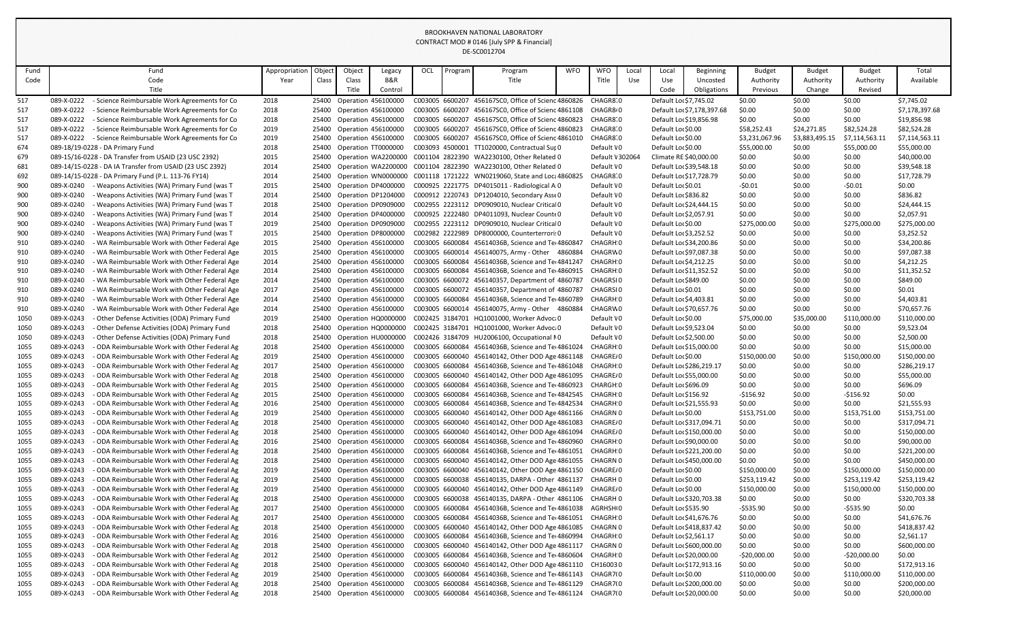| Fund       | Fund                                                                                                                       | Appropriation | Object         | Object                                            | Legacy              | OCL | Program         | Program                                                                                                          | <b>WFO</b> | <b>WFO</b>       | Local | Local                                             | <b>Beginning</b>           | <b>Budget</b>    | <b>Budget</b>    | <b>Budget</b>    | Total                     |
|------------|----------------------------------------------------------------------------------------------------------------------------|---------------|----------------|---------------------------------------------------|---------------------|-----|-----------------|------------------------------------------------------------------------------------------------------------------|------------|------------------|-------|---------------------------------------------------|----------------------------|------------------|------------------|------------------|---------------------------|
| Code       | Code                                                                                                                       | Year          | Class          | Class                                             | B&R                 |     |                 | Title                                                                                                            |            | Title            | Use   | Use                                               | Uncosted                   | Authority        | Authority        | Authority        | Available                 |
|            | Title                                                                                                                      |               |                | Title                                             | Control             |     |                 |                                                                                                                  |            |                  |       | Code                                              | Obligations                | Previous         | Change           | Revised          |                           |
| 517        | 089-X-0222<br>- Science Reimbursable Work Agreements for Co                                                                | 2018          |                | 25400 Operation 456100000                         |                     |     |                 | C003005 6600207 456167SC0, Office of Scienc 4860826                                                              |            | CHAGR810         |       | Default Lo: \$7,745.02                            |                            | \$0.00           | \$0.00           | \$0.00           | \$7,745.02                |
| 517        | 089-X-0222<br>- Science Reimbursable Work Agreements for Co                                                                | 2018          |                | 25400 Operation 456100000                         |                     |     |                 | C003005 6600207 456167SC0, Office of Scienc 4861108 CHAGR8.0                                                     |            |                  |       |                                                   | Default Lor \$7,178,397.68 | \$0.00           | \$0.00           | \$0.00           | \$7,178,397.68            |
| 517        | - Science Reimbursable Work Agreements for Co<br>089-X-0222                                                                | 2018          | 25400          | Operation 456100000                               |                     |     |                 | C003005 6600207 456167SC0, Office of Scienc 4860823                                                              |            | CHAGR8 0         |       | Default Lo: \$19,856.98                           |                            | \$0.00           | \$0.00           | \$0.00           | \$19,856.98               |
| 517        | 089-X-0222<br>- Science Reimbursable Work Agreements for Co                                                                | 2019          | 25400          | Operation 456100000                               |                     |     |                 | C003005 6600207 456167SC0, Office of Scienc 4860823 CHAGR8 0                                                     |            |                  |       | Default Lor \$0.00                                |                            | \$58,252.43      | \$24,271.85      | \$82,524.28      | \$82,524.28               |
| 517        | 089-X-0222<br>- Science Reimbursable Work Agreements for Co                                                                | 2019          | 25400          | <b>Operation 456100000</b>                        |                     |     |                 | C003005 6600207 456167SC0, Office of Scienc 4861010                                                              |            | CHAGR810         |       | Default Lor \$0.00                                |                            | \$3,231,067.96   | \$3,883,495.15   | \$7,114,563.11   | \$7,114,563.11            |
| 674        | 089-18/19-0228 - DA Primary Fund                                                                                           | 2018          | 25400          | Operation TT0000000                               |                     |     |                 | C003093 4500001 TT1020000, Contractual Sur 0                                                                     |            | Default \0       |       | Default Lor \$0.00                                |                            | \$55,000.00      | \$0.00           | \$55,000.00      | \$55,000.00               |
| 679        | 089-15/16-0228 - DA Transfer from USAID (23 USC 2392)                                                                      | 2015          | 25400          |                                                   | Operation WA2200000 |     |                 | C001104 2822390 WA2230100, Other Related 0                                                                       |            | Default \ 302064 |       | Climate RE \$40,000.00                            |                            | \$0.00           | \$0.00           | \$0.00           | \$40,000.00               |
| 681        | 089-14/15-0228 - DA IA Transfer from USAID (23 USC 2392)                                                                   | 2014          | 25400          |                                                   |                     |     |                 | Operation WA2200000 C001104 2822390 WA2230100, Other Related 0                                                   |            | Default \0       |       | Default Lor \$39,548.18                           |                            | \$0.00           | \$0.00           | \$0.00           | \$39,548.18               |
| 692        | 089-14/15-0228 - DA Primary Fund (P.L. 113-76 FY14)                                                                        | 2014          | 25400          |                                                   |                     |     |                 | Operation WN0000000 C001118 1721222 WN0219060, State and Loca 4860829                                            |            | CHAGR8:0         |       | Default Loc \$17,728.79                           |                            | \$0.00           | \$0.00           | \$0.00           | \$17,728.79               |
| 900        | 089-X-0240<br>- Weapons Activities (WA) Primary Fund (was T                                                                | 2015          | 25400          |                                                   | Operation DP4000000 |     |                 | C000925 2221775 DP4015011 - Radiological A:0                                                                     |            | Default \0       |       | Default Lor \$0.01                                |                            | $-50.01$         | \$0.00           | $-50.01$         | \$0.00                    |
| 900        | 089-X-0240<br>- Weapons Activities (WA) Primary Fund (was T                                                                | 2014          | 25400          |                                                   | Operation DP1204000 |     |                 | C000912 2220743 DP1204010, Secondary Asse 0                                                                      |            | Default \0       |       | Default Lor \$836.82                              |                            | \$0.00           | \$0.00           | \$0.00           | \$836.82                  |
| 900        | 089-X-0240<br>Weapons Activities (WA) Primary Fund (was T                                                                  | 2018          | 25400          |                                                   | Operation DP0909000 |     |                 | C002955 2223112 DP0909010, Nuclear Critical0                                                                     |            | Default \0       |       | Default Lor \$24,444.15                           |                            | \$0.00           | \$0.00           | \$0.00           | \$24,444.15               |
| 900        | 089-X-0240<br>- Weapons Activities (WA) Primary Fund (was T                                                                | 2014          | 25400          |                                                   | Operation DP4000000 |     |                 | C000925 2222480 DP4011093, Nuclear Counte0                                                                       |            | Default \0       |       | Default Lor \$2,057.91                            |                            | \$0.00           | \$0.00           | \$0.00           | \$2,057.91                |
| 900        | 089-X-0240<br>- Weapons Activities (WA) Primary Fund (was T                                                                | 2019          | 25400          |                                                   | Operation DP0909000 |     |                 | C002955 2223112 DP0909010, Nuclear Critical0                                                                     |            | Default \0       |       | Default Lor \$0.00                                |                            | \$275,000.00     | \$0.00           | \$275,000.00     | \$275,000.00              |
| 900        | 089-X-0240<br>- Weapons Activities (WA) Primary Fund (was T                                                                | 2015          | 25400          |                                                   | Operation DP8000000 |     |                 | C002982 2222989 DP8000000, Counterterrori: 0                                                                     |            | Default \0       |       | Default Lor \$3,252.52                            |                            | \$0.00           | \$0.00           | \$0.00           | \$3,252.52                |
| 910        | 089-X-0240<br>- WA Reimbursable Work with Other Federal Age                                                                | 2015          | 25400          | Operation 456100000                               |                     |     |                 | C003005 6600084 45614036B, Science and Ter4860847                                                                |            | CHAGRH 0         |       | Default Lor \$34,200.86                           |                            | \$0.00           | \$0.00           | \$0.00           | \$34,200.86               |
| 910        | 089-X-0240<br>WA Reimbursable Work with Other Federal Age                                                                  | 2015          | 25400          | Operation 456100000                               |                     |     |                 | C003005 6600014 456140075, Army - Other 4860884                                                                  |            | CHAGRW0          |       | Default Lor \$97,087.38                           |                            | \$0.00           | \$0.00           | \$0.00           | \$97,087.38               |
| 910        | 089-X-0240<br>- WA Reimbursable Work with Other Federal Age<br>089-X-0240<br>- WA Reimbursable Work with Other Federal Age | 2014          | 25400<br>25400 | <b>Operation 456100000</b><br>Operation 456100000 |                     |     |                 | C003005 6600084 45614036B, Science and Ter4841247<br>C003005 6600084 45614036B, Science and Tel 4860915 CHAGRH 0 |            | CHAGRH 0         |       | Default Lor \$4,212.25<br>Default Loc \$11,352.52 |                            | \$0.00<br>\$0.00 | \$0.00<br>\$0.00 | \$0.00<br>\$0.00 | \$4,212.25<br>\$11,352.52 |
| 910        | 089-X-0240<br>- WA Reimbursable Work with Other Federal Age                                                                | 2014<br>2014  | 25400          | <b>Operation 456100000</b>                        |                     |     |                 | C003005 6600072 456140357, Department of 4860787                                                                 |            | CHAGRSI0         |       | Default Lor \$849.00                              |                            | \$0.00           |                  | \$0.00           | \$849.00                  |
| 910<br>910 | 089-X-0240<br>- WA Reimbursable Work with Other Federal Age                                                                | 2017          | 25400          | Operation 456100000                               |                     |     |                 | C003005 6600072 456140357, Department of 4860787                                                                 |            | CHAGRSI0         |       | Default Lor \$0.01                                |                            | \$0.00           | \$0.00<br>\$0.00 | \$0.00           | \$0.01                    |
| 910        | 089-X-0240<br>WA Reimbursable Work with Other Federal Age                                                                  | 2014          | 25400          | Operation 456100000                               |                     |     |                 | C003005 6600084 45614036B, Science and Ter4860789                                                                |            | CHAGRH 0         |       | Default Lor \$4,403.81                            |                            | \$0.00           | \$0.00           | \$0.00           | \$4,403.81                |
| 910        | - WA Reimbursable Work with Other Federal Age<br>089-X-0240                                                                | 2014          | 25400          | <b>Operation 456100000</b>                        |                     |     |                 | C003005 6600014 456140075, Army - Other 4860884                                                                  |            | CHAGRW0          |       | Default Lor \$70,657.76                           |                            | \$0.00           | \$0.00           | \$0.00           | \$70,657.76               |
| 1050       | 089-X-0243<br>- Other Defense Activities (ODA) Primary Fund                                                                | 2019          | 25400          |                                                   | Operation HQ0000000 |     |                 | C002425 3184701 HQ1001000, Worker Advoca0                                                                        |            | Default \0       |       | Default Lor \$0.00                                |                            | \$75,000.00      | \$35,000.00      | \$110,000.00     | \$110,000.00              |
| 1050       | 089-X-0243<br>- Other Defense Activities (ODA) Primary Fund                                                                | 2018          | 25400          |                                                   | Operation HQ0000000 |     |                 | C002425 3184701 HQ1001000, Worker Advoca0                                                                        |            | Default \0       |       | Default Lor \$9,523.04                            |                            | \$0.00           | \$0.00           | \$0.00           | \$9,523.04                |
| 1050       | 089-X-0243<br>- Other Defense Activities (ODA) Primary Fund                                                                | 2018          | 25400          |                                                   | Operation HU0000000 |     |                 | C002426 3184709 HU2006100, Occupational NO                                                                       |            | Default \0       |       | Default Lor \$2,500.00                            |                            | \$0.00           | \$0.00           | \$0.00           | \$2,500.00                |
| 1055       | - ODA Reimbursable Work with Other Federal Ag<br>089-X-0243                                                                | 2018          |                |                                                   |                     |     |                 | 25400 Operation 456100000 C003005 6600084 45614036B, Science and Tet 4861024 CHAGRH 0                            |            |                  |       | Default Lor \$15,000.00                           |                            | \$0.00           | \$0.00           | \$0.00           | \$15,000.00               |
| 1055       | 089-X-0243<br>- ODA Reimbursable Work with Other Federal Ag                                                                | 2019          | 25400          | Operation 456100000                               |                     |     |                 | C003005 6600040 456140142, Other DOD Age 4861148 CHAGRE/0                                                        |            |                  |       | Default Loc \$0.00                                |                            | \$150,000.00     | \$0.00           | \$150,000.00     | \$150,000.00              |
| 1055       | 089-X-0243<br>- ODA Reimbursable Work with Other Federal Ag                                                                | 2017          |                | 25400 Operation 456100000                         |                     |     |                 | C003005 6600084 45614036B, Science and Tel 4861048 CHAGRH 0                                                      |            |                  |       |                                                   | Default Lor \$286,219.17   | \$0.00           | \$0.00           | \$0.00           | \$286,219.17              |
| 1055       | 089-X-0243<br>- ODA Reimbursable Work with Other Federal Ag                                                                | 2018          | 25400          | <b>Operation 456100000</b>                        |                     |     |                 | C003005 6600040 456140142, Other DOD Age 4861095                                                                 |            | CHAGRE/0         |       | Default Lor \$55,000.00                           |                            | \$0.00           | \$0.00           | \$0.00           | \$55,000.00               |
| 1055       | 089-X-0243<br>- ODA Reimbursable Work with Other Federal Ag                                                                | 2015          |                | 25400 Operation 456100000                         |                     |     |                 | C003005 6600084 45614036B, Science and Tel 4860923 CHARGH 0                                                      |            |                  |       | Default Lor \$696.09                              |                            | \$0.00           | \$0.00           | \$0.00           | \$696.09                  |
| 1055       | 089-X-0243<br>ODA Reimbursable Work with Other Federal Ag                                                                  | 2015          | 25400          | <b>Operation 456100000</b>                        |                     |     |                 | C003005 6600084 45614036B, Science and Ter4842545 CHAGRH 0                                                       |            |                  |       | Default Lor \$156.92                              |                            | $-$156.92$       | \$0.00           | -\$156.92        | \$0.00                    |
| 1055       | 089-X-0243<br>ODA Reimbursable Work with Other Federal Ag                                                                  | 2016          | 25400          | Operation 456100000                               |                     |     |                 | C003005 6600084 45614036B, Science and Ter4842534 CHAGRH 0                                                       |            |                  |       | Default Lor \$21,555.93                           |                            | \$0.00           | \$0.00           | \$0.00           | \$21,555.93               |
| 1055       | 089-X-0243<br>- ODA Reimbursable Work with Other Federal Ag                                                                | 2019          |                | 25400 Operation 456100000                         |                     |     |                 | C003005 6600040 456140142, Other DOD Age 4861166 CHAGRN 0                                                        |            |                  |       | Default Lor \$0.00                                |                            | \$153,751.00     | \$0.00           | \$153,751.00     | \$153,751.00              |
| 1055       | 089-X-0243<br>- ODA Reimbursable Work with Other Federal Ag                                                                | 2018          | 25400          | <b>Operation 456100000</b>                        |                     |     |                 | C003005 6600040 456140142, Other DOD Age 4861083                                                                 |            | CHAGRE/0         |       |                                                   | Default Lor \$317,094.71   | \$0.00           | \$0.00           | \$0.00           | \$317,094.71              |
| 1055       | 089-X-0243<br>- ODA Reimbursable Work with Other Federal Ag                                                                | 2018          |                | 25400 Operation 456100000                         |                     |     |                 | C003005 6600040 456140142, Other DOD Age 4861094                                                                 |            | CHAGRE/0         |       |                                                   | Default Lor \$150,000.00   | \$0.00           | \$0.00           | \$0.00           | \$150,000.00              |
| 1055       | 089-X-0243<br>- ODA Reimbursable Work with Other Federal Ag                                                                | 2016          | 25400          | Operation 456100000                               |                     |     |                 | C003005 6600084 45614036B, Science and Ter4860960 CHAGRH 0                                                       |            |                  |       | Default Lor \$90,000.00                           |                            | \$0.00           | \$0.00           | \$0.00           | \$90,000.00               |
| 1055       | 089-X-0243<br>- ODA Reimbursable Work with Other Federal Ag                                                                | 2018          | 25400          | Operation 456100000                               |                     |     |                 | C003005 6600084 45614036B, Science and Ter4861051                                                                |            | CHAGRH 0         |       |                                                   | Default Lor \$221,200.00   | \$0.00           | \$0.00           | \$0.00           | \$221,200.00              |
| 1055       | 089-X-0243<br>- ODA Reimbursable Work with Other Federal Ag                                                                | 2018          | 25400          | Operation 456100000                               |                     |     |                 | C003005 6600040 456140142, Other DOD Age 4861055 CHAGRN 0                                                        |            |                  |       |                                                   | Default Lor \$450,000.00   | \$0.00           | \$0.00           | \$0.00           | \$450,000.00              |
| 1055       | 089-X-0243<br>- ODA Reimbursable Work with Other Federal Ag                                                                | 2019          | 25400          | Operation 456100000                               |                     |     |                 | C003005 6600040 456140142, Other DOD Age 4861150 CHAGRE, 0                                                       |            |                  |       | Default Lor \$0.00                                |                            | \$150,000.00     | \$0.00           | \$150,000.00     | \$150,000.00              |
| 1055       | 089-X-0243<br>- ODA Reimbursable Work with Other Federal Ag                                                                | 2019          |                | 25400 Operation 456100000                         |                     |     |                 | C003005 6600038 456140135, DARPA - Other 4861137                                                                 |            | CHAGRH 0         |       | Default Lor \$0.00                                |                            | \$253,119.42     | \$0.00           | \$253,119.42     | \$253,119.42              |
| 1055       | 089-X-0243<br>- ODA Reimbursable Work with Other Federal Ag                                                                | 2019          | 25400          | Operation 456100000                               |                     |     |                 | C003005 6600040 456140142, Other DOD Age 4861149 CHAGRE/0                                                        |            |                  |       | Default Lor \$0.00                                |                            | \$150,000.00     | \$0.00           | \$150,000.00     | \$150,000.00              |
| 1055       | 089-X-0243<br>- ODA Reimbursable Work with Other Federal Ag                                                                | 2018          | 25400          | <b>Operation 456100000</b>                        |                     |     |                 | C003005 6600038 456140135, DARPA - Other 4861106                                                                 |            | CHAGRH 0         |       |                                                   | Default Lor \$320,703.38   | \$0.00           | \$0.00           | \$0.00           | \$320,703.38              |
| 1055       | 089-X-0243<br>- ODA Reimbursable Work with Other Federal Ag                                                                | 2017          | 25400          | <b>Operation 456100000</b>                        |                     |     |                 | C003005 6600084 45614036B, Science and Tel 4861038 AGRHSHO                                                       |            |                  |       | Default Loc \$535.90                              |                            | -\$535.90        | \$0.00           | $-5535.90$       | \$0.00                    |
| 1055       | 089-X-0243<br>- ODA Reimbursable Work with Other Federal Ag                                                                | 2017          | 25400          | Operation 456100000                               |                     |     |                 | C003005 6600084 45614036B, Science and Ter4861051                                                                |            | CHAGRH 0         |       | Default Lor \$41,676.76                           |                            | \$0.00           | \$0.00           | \$0.00           | \$41,676.76               |
| 1055       | 089-X-0243<br>- ODA Reimbursable Work with Other Federal Ag                                                                | 2018          |                | 25400 Operation 456100000                         |                     |     |                 | C003005 6600040 456140142, Other DOD Age 4861085                                                                 |            | CHAGRN 0         |       |                                                   | Default Loc \$418,837.42   | \$0.00           | \$0.00           | \$0.00           | \$418,837.42              |
| 1055       | 089-X-0243<br>- ODA Reimbursable Work with Other Federal Ag                                                                | 2016          | 25400          | Operation 456100000                               |                     |     |                 | C003005 6600084 45614036B, Science and Ter4860994 CHAGRH 0                                                       |            |                  |       | Default Lor \$2,561.17                            |                            | \$0.00           | \$0.00           | \$0.00           | \$2,561.17                |
| 1055       | 089-X-0243<br>- ODA Reimbursable Work with Other Federal Ag                                                                | 2018          | 25400          | <b>Operation 456100000</b>                        |                     |     |                 | C003005 6600040 456140142, Other DOD Age 4861117                                                                 |            | CHAGRN 0         |       |                                                   | Default Lor \$600,000.00   | \$0.00           | \$0.00           | \$0.00           | \$600,000.00              |
| 1055       | 089-X-0243<br>- ODA Reimbursable Work with Other Federal Ag                                                                | 2012          | 25400          | Operation 456100000                               |                     |     |                 | C003005 6600084 45614036B, Science and Tel 4860604 CHAGRH 0                                                      |            |                  |       | Default Lor \$20,000.00                           |                            | $-$20,000.00$    | \$0.00           | $-520,000.00$    | \$0.00                    |
| 1055       | 089-X-0243<br>- ODA Reimbursable Work with Other Federal Ag                                                                | 2018          | 25400          | <b>Operation 456100000</b>                        |                     |     |                 | C003005 6600040 456140142, Other DOD Age 4861110 CH160030                                                        |            |                  |       |                                                   | Default Lor \$172,913.16   | \$0.00           | \$0.00           | \$0.00           | \$172,913.16              |
| 1055       | 089-X-0243<br>- ODA Reimbursable Work with Other Federal Ag                                                                | 2019          |                | 25400 Operation 456100000                         |                     |     | C003005 6600084 | 45614036B, Science and Ter4861143 CHAGR710                                                                       |            |                  |       | Default Lor \$0.00                                |                            | \$110,000.00     | \$0.00           | \$110,000.00     | \$110,000.00              |
| 1055       | 089-X-0243<br>- ODA Reimbursable Work with Other Federal Ag                                                                | 2018          |                | 25400 Operation 456100000                         |                     |     |                 | C003005 6600084 45614036B, Science and Ter4861129 CHAGR710                                                       |            |                  |       |                                                   | Default Lor \$200,000.00   | \$0.00           | \$0.00           | \$0.00           | \$200,000.00              |
| 1055       | - ODA Reimbursable Work with Other Federal Ag<br>089-X-0243                                                                | 2018          | 25400          | Operation 456100000                               |                     |     |                 | C003005 6600084 45614036B, Science and Ter4861124 CHAGR710                                                       |            |                  |       | Default Lor \$20,000.00                           |                            | \$0.00           | \$0.00           | \$0.00           | \$20,000.00               |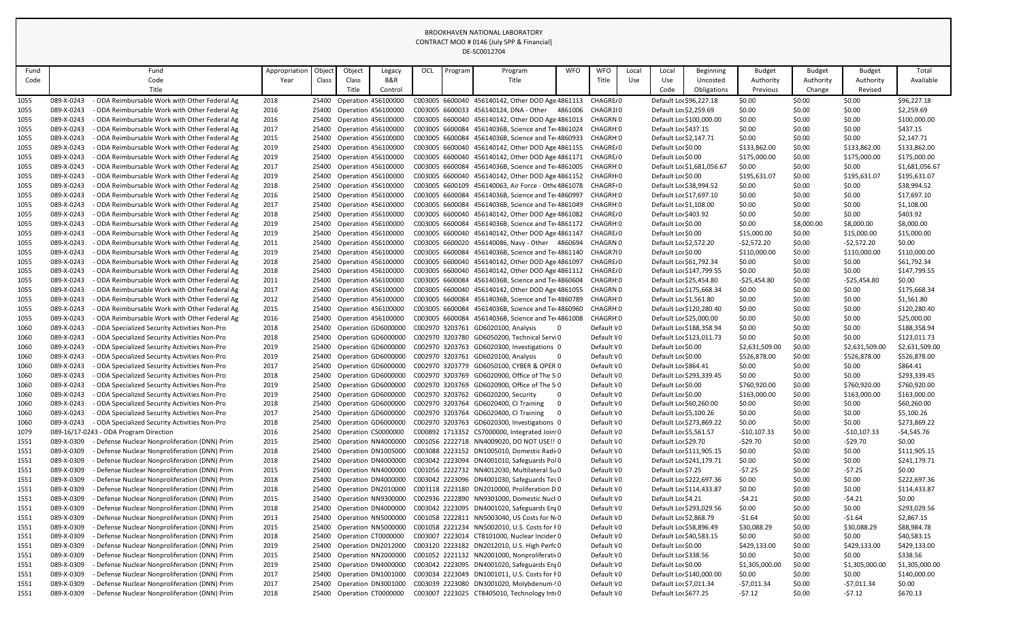| Fund |            | Fund                                          | Appropriation | Object | Object                     | Legacy                    | OCL | Program | Program                                             | <b>WFO</b> | <b>WFO</b>            | Local | Local                    | <b>Beginning</b>           | <b>Budget</b>  | <b>Budget</b> | <b>Budget</b>  | Total          |
|------|------------|-----------------------------------------------|---------------|--------|----------------------------|---------------------------|-----|---------|-----------------------------------------------------|------------|-----------------------|-------|--------------------------|----------------------------|----------------|---------------|----------------|----------------|
| Code |            | Code                                          | Year          | Class  | Class                      | B&R                       |     |         | Title                                               |            | Title                 | Use   | Use                      | Uncosted                   | Authority      | Authority     | Authority      | Available      |
|      |            | Title                                         |               |        | Title                      | Control                   |     |         |                                                     |            |                       |       | Code                     | Obligations                | Previous       | Change        | Revised        |                |
| 1055 | 089-X-0243 | - ODA Reimbursable Work with Other Federal Ag | 2018          | 25400  | <b>Operation 456100000</b> |                           |     |         | C003005 6600040 456140142, Other DOD Age 4861113    |            | CHAGRE/0              |       | Default Lor \$96,227.18  |                            | \$0.00         | \$0.00        | \$0.00         | \$96,227.18    |
| 1055 | 089-X-0243 | - ODA Reimbursable Work with Other Federal Ag | 2016          | 25400  | <b>Operation 456100000</b> |                           |     |         | C003005 6600033 456140124, DNA - Other              |            | 4861006 CHAGR1(0      |       | Default Loc \$2,259.69   |                            | \$0.00         | \$0.00        | \$0.00         | \$2,259.69     |
| 1055 | 089-X-0243 | - ODA Reimbursable Work with Other Federal Ag | 2016          | 25400  | <b>Operation 456100000</b> |                           |     |         | C003005 6600040 456140142, Other DOD Age 4861013    |            | CHAGRN 0              |       |                          | Default Lor \$100,000.00   | \$0.00         | \$0.00        | \$0.00         | \$100,000.00   |
| 1055 | 089-X-0243 | - ODA Reimbursable Work with Other Federal Ag | 2017          | 25400  | Operation 456100000        |                           |     |         | C003005 6600084 45614036B, Science and Ter4861024   |            | CHAGRH 0              |       | Default Loc \$437.15     |                            | \$0.00         | \$0.00        | \$0.00         | \$437.15       |
| 1055 | 089-X-0243 | - ODA Reimbursable Work with Other Federal Ag | 2015          | 25400  | <b>Operation 456100000</b> |                           |     |         | C003005 6600084 45614036B, Science and Tel 4860933  |            | CHAGRH 0              |       | Default Loc \$2,147.71   |                            | \$0.00         | \$0.00        | \$0.00         | \$2,147.71     |
| 1055 | 089-X-0243 | - ODA Reimbursable Work with Other Federal Ag | 2019          | 25400  | Operation 456100000        |                           |     |         | C003005 6600040 456140142, Other DOD Age 4861155    |            | CHAGRE/0              |       | Default Lor \$0.00       |                            | \$133,862.00   | \$0.00        | \$133,862.00   | \$133,862.00   |
| 1055 | 089-X-0243 | - ODA Reimbursable Work with Other Federal Ag | 2019          | 25400  | <b>Operation 456100000</b> |                           |     |         | C003005 6600040 456140142, Other DOD Age 4861171    |            | CHAGRE/0              |       | Default Lor \$0.00       |                            | \$175,000.00   | \$0.00        | \$175,000.00   | \$175,000.00   |
| 1055 | 089-X-0243 | - ODA Reimbursable Work with Other Federal Ag | 2017          | 25400  | <b>Operation 456100000</b> |                           |     |         | C003005 6600084 45614036B, Science and Tel 4861005  |            | CHAGRH 0              |       |                          | Default Lor \$1,681,056.67 | \$0.00         | \$0.00        | \$0.00         | \$1,681,056.67 |
| 1055 | 089-X-0243 | - ODA Reimbursable Work with Other Federal Ag | 2019          |        | 25400 Operation 456100000  |                           |     |         | C003005 6600040 456140142, Other DOD Age 4861152    |            | CHAGRH 0              |       | Default Lor \$0.00       |                            | \$195,631.07   | \$0.00        | \$195,631.07   | \$195,631.07   |
| 1055 | 089-X-0243 | - ODA Reimbursable Work with Other Federal Ag | 2018          | 25400  | <b>Operation 456100000</b> |                           |     |         | C003005 6600109 456140063, Air Force - Othe 4861078 |            | CHAGRF <sup>4</sup> 0 |       | Default Lor \$38,994.52  |                            | \$0.00         | \$0.00        | \$0.00         | \$38,994.52    |
| 1055 | 089-X-0243 | - ODA Reimbursable Work with Other Federal Ag | 2016          | 25400  | <b>Operation 456100000</b> |                           |     |         | C003005 6600084 45614036B, Science and Ter4860997   |            | CHAGRH 0              |       | Default Lor \$17,697.10  |                            | \$0.00         | \$0.00        | \$0.00         | \$17,697.10    |
| 1055 | 089-X-0243 | - ODA Reimbursable Work with Other Federal Ag | 2017          | 25400  | <b>Operation 456100000</b> |                           |     |         | C003005 6600084 45614036B, Science and Ter4861049   |            | CHAGRH 0              |       | Default Lor \$1,108.00   |                            | \$0.00         | \$0.00        | \$0.00         | \$1,108.00     |
| 1055 | 089-X-0243 | - ODA Reimbursable Work with Other Federal Ag | 2018          | 25400  | <b>Operation 456100000</b> |                           |     |         | C003005 6600040 456140142, Other DOD Age 4861082    |            | CHAGRE/0              |       | Default Lor \$403.92     |                            | \$0.00         | \$0.00        | \$0.00         | \$403.92       |
| 1055 | 089-X-0243 | - ODA Reimbursable Work with Other Federal Ag | 2019          |        | 25400 Operation 456100000  |                           |     |         | C003005 6600084 45614036B, Science and Ter4861172   |            | CHAGRH 0              |       | Default Lor \$0.00       |                            | \$0.00         | \$8,000.00    | \$8,000.00     | \$8,000.00     |
| 1055 | 089-X-0243 | - ODA Reimbursable Work with Other Federal Ag | 2019          | 25400  | <b>Operation 456100000</b> |                           |     |         | C003005 6600040 456140142, Other DOD Age 4861147    |            | CHAGRE/0              |       | Default Lor \$0.00       |                            | \$15,000.00    | \$0.00        | \$15,000.00    | \$15,000.00    |
| 1055 | 089-X-0243 | - ODA Reimbursable Work with Other Federal Ag | 2011          | 25400  | <b>Operation 456100000</b> |                           |     |         | C003005 6600020 456140086, Navy - Other 4860694     |            | CHAGRN 0              |       | Default Lor \$2,572.20   |                            | $-52,572.20$   | \$0.00        | $-52,572.20$   | \$0.00         |
| 1055 | 089-X-0243 | - ODA Reimbursable Work with Other Federal Ag | 2019          | 25400  | <b>Operation 456100000</b> |                           |     |         | C003005 6600084 45614036B, Science and Ter4861140   |            | CHAGR7(0              |       | Default Lor \$0.00       |                            | \$110,000.00   | \$0.00        | \$110,000.00   | \$110,000.00   |
| 1055 | 089-X-0243 | - ODA Reimbursable Work with Other Federal Ag | 2018          | 25400  | <b>Operation 456100000</b> |                           |     |         | C003005 6600040 456140142, Other DOD Age 4861097    |            | CHAGRE/0              |       | Default Lor \$61,792.34  |                            | \$0.00         | \$0.00        | \$0.00         | \$61,792.34    |
| 1055 | 089-X-0243 | - ODA Reimbursable Work with Other Federal Ag | 2018          |        | 25400 Operation 456100000  |                           |     |         | C003005 6600040 456140142, Other DOD Age 4861112    |            | CHAGRE/0              |       |                          | Default Loc \$147,799.55   | \$0.00         | \$0.00        | \$0.00         | \$147,799.55   |
| 1055 | 089-X-0243 | - ODA Reimbursable Work with Other Federal Ag | 2011          | 25400  | <b>Operation 456100000</b> |                           |     |         | C003005 6600084 45614036B, Science and Ter4860604   |            | CHAGRH 0              |       | Default Lor \$25,454.80  |                            | $-525,454.80$  | \$0.00        | $-525,454.80$  | \$0.00         |
| 1055 | 089-X-0243 | - ODA Reimbursable Work with Other Federal Ag | 2017          | 25400  | <b>Operation 456100000</b> |                           |     |         | C003005 6600040 456140142, Other DOD Age 4861055    |            | CHAGRN 0              |       | Default Lor \$175,668.34 |                            | \$0.00         | \$0.00        | \$0.00         | \$175,668.34   |
| 1055 | 089-X-0243 | - ODA Reimbursable Work with Other Federal Ag | 2012          | 25400  | <b>Operation 456100000</b> |                           |     |         | C003005 6600084 45614036B, Science and Tel 4860789  |            | CHAGRH 0              |       | Default Lor \$1,561.80   |                            | \$0.00         | \$0.00        | \$0.00         | \$1,561.80     |
| 1055 | 089-X-0243 | - ODA Reimbursable Work with Other Federal Ag | 2015          | 25400  | <b>Operation 456100000</b> |                           |     |         | C003005 6600084 45614036B, Science and Ter4860960   |            | CHAGRH 0              |       |                          | Default Lor \$120,280.40   | \$0.00         | \$0.00        | \$0.00         | \$120,280.40   |
| 1055 | 089-X-0243 | - ODA Reimbursable Work with Other Federal Ag | 2016          | 25400  | Operation 456100000        |                           |     |         | C003005 6600084 45614036B, Science and Ter4861008   |            | CHAGRH 0              |       | Default Lor \$25,000.00  |                            | \$0.00         | \$0.00        | \$0.00         | \$25,000.00    |
| 1060 | 089-X-0243 | - ODA Specialized Security Activities Non-Pro | 2018          | 25400  | Operation GD6000000        |                           |     |         | C002970 3203761 GD6020100, Analysis                 |            | Default VO            |       | Default Lor \$188,358.94 |                            | \$0.00         | \$0.00        | \$0.00         | \$188,358.94   |
| 1060 | 089-X-0243 | - ODA Specialized Security Activities Non-Pro | 2018          | 25400  | Operation GD6000000        |                           |     |         | C002970 3203780 GD6050200, Technical ServiO         |            | Default VO            |       | Default Lor \$123,011.73 |                            | \$0.00         | \$0.00        | \$0.00         | \$123,011.73   |
| 1060 | 089-X-0243 | - ODA Specialized Security Activities Non-Pro | 2019          |        |                            | 25400 Operation GD6000000 |     |         | C002970 3203763 GD6020300, Investigations 0         |            | Default VO            |       | Default Loc \$0.00       |                            | \$2,631,509.00 | \$0.00        | \$2,631,509.00 | \$2,631,509.00 |
| 1060 | 089-X-0243 | - ODA Specialized Security Activities Non-Pro | 2019          | 25400  |                            | Operation GD6000000       |     |         | C002970 3203761 GD6020100, Analysis                 | -0         | Default VO            |       | Default Lor \$0.00       |                            | \$526,878.00   | \$0.00        | \$526,878.00   | \$526,878.00   |
| 1060 | 089-X-0243 | - ODA Specialized Security Activities Non-Pro | 2017          | 25400  | Operation GD6000000        |                           |     |         | C002970 3203779 GD6050100, CYBER & OPER 0           |            | Default VO            |       | Default Lor \$864.41     |                            | \$0.00         | \$0.00        | \$0.00         | \$864.41       |
| 1060 | 089-X-0243 | - ODA Specialized Security Activities Non-Pro | 2018          | 25400  |                            | Operation GD6000000       |     |         | C002970 3203769 GD6020900, Office of The SO         |            | Default VO            |       |                          | Default Lor \$293,339.45   | \$0.00         | \$0.00        | \$0.00         | \$293,339.45   |
| 1060 | 089-X-0243 | - ODA Specialized Security Activities Non-Pro | 2019          |        |                            | 25400 Operation GD6000000 |     |         | C002970 3203769 GD6020900, Office of The SO         |            | Default VO            |       | Default Lor \$0.00       |                            | \$760,920.00   | \$0.00        | \$760,920.00   | \$760,920.00   |
| 1060 | 089-X-0243 | - ODA Specialized Security Activities Non-Pro | 2019          | 25400  |                            | Operation GD6000000       |     |         | C002970 3203762 GD6020200, Security                 |            | Default \0            |       | Default Lor \$0.00       |                            | \$163,000.00   | \$0.00        | \$163,000.00   | \$163,000.00   |
| 1060 | 089-X-0243 | - ODA Specialized Security Activities Non-Pro | 2018          | 25400  | Operation GD6000000        |                           |     |         | C002970 3203764 GD6020400, CI Training              |            | Default \0            |       | Default Lor \$60,260.00  |                            | \$0.00         | \$0.00        | \$0.00         | \$60,260.00    |
| 1060 | 089-X-0243 | - ODA Specialized Security Activities Non-Pro | 2017          | 25400  | Operation GD6000000        |                           |     |         | C002970 3203764 GD6020400, CI Training              |            | Default \0            |       | Default Lor \$5,100.26   |                            | \$0.00         | \$0.00        | \$0.00         | \$5,100.26     |
| 1060 | 089-X-0243 | - ODA Specialized Security Activities Non-Pro | 2018          | 25400  | Operation GD6000000        |                           |     |         | C002970 3203763 GD6020300, Investigations 0         |            | Default VO            |       |                          | Default Lor \$273,869.22   | \$0.00         | \$0.00        | \$0.00         | \$273,869.22   |
| 1079 |            | 089-16/17-0243 - ODA Program Direction        | 2016          |        | 25400 Operation CS0000000  |                           |     |         | C000892 1713352 CS7000000, Integrated Join10        |            | Default \0            |       | Default Loc \$5,561.57   |                            | $-$10,107.33$  | \$0.00        | $-$10,107.33$  | -\$4,545.76    |
| 1551 | 089-X-0309 | - Defense Nuclear Nonproliferation (DNN) Prim | 2015          | 25400  |                            | Operation NN4000000       |     |         | C001056 2222718 NN4009020, DO NOT USE!! 0           |            | Default VO            |       | Default Lor \$29.70      |                            | -\$29.70       | \$0.00        | $-529.70$      | \$0.00         |
| 1551 | 089-X-0309 | - Defense Nuclear Nonproliferation (DNN) Prim | 2018          | 25400  |                            | Operation DN1005000       |     |         | C003088 2223152 DN1005010, Domestic Radio           |            | Default \0            |       |                          | Default Loc \$111,905.15   | \$0.00         | \$0.00        | \$0.00         | \$111,905.15   |
| 1551 | 089-X-0309 | - Defense Nuclear Nonproliferation (DNN) Prim | 2018          | 25400  |                            | Operation DN4000000       |     |         | C003042 2223094 DN4001010, Safeguards Pol 0         |            | Default VO            |       |                          | Default Lor \$241,179.71   | \$0.00         | \$0.00        | \$0.00         | \$241,179.71   |
| 1551 | 089-X-0309 | - Defense Nuclear Nonproliferation (DNN) Prim | 2015          | 25400  |                            | Operation NN4000000       |     |         | C001056 2222732 NN4012030, Multilateral Su0         |            | Default \0            |       | Default Loc \$7.25       |                            | $-57.25$       | \$0.00        | $-57.25$       | \$0.00         |
| 1551 | 089-X-0309 | - Defense Nuclear Nonproliferation (DNN) Prim | 2018          | 25400  |                            | Operation DN4000000       |     |         | C003042 2223096 DN4001030, Safeguards Tec 0         |            | Default \0            |       |                          | Default Loc \$222,697.36   | \$0.00         | \$0.00        | \$0.00         | \$222,697.36   |
| 1551 | 089-X-0309 | - Defense Nuclear Nonproliferation (DNN) Prim | 2018          | 25400  |                            | Operation DN2010000       |     |         | C003118 2223180 DN2010000, Proliferation D 0        |            | Default \0            |       | Default Loc \$114,433.87 |                            | \$0.00         | \$0.00        | \$0.00         | \$114,433.87   |
| 1551 | 089-X-0309 | - Defense Nuclear Nonproliferation (DNN) Prim | 2015          | 25400  |                            | Operation NN9300000       |     |         | C002936 2222890 NN9301000, Domestic Nucli 0         |            | Default \0            |       | Default Lor \$4.21       |                            | -\$4.21        | \$0.00        | $-54.21$       | \$0.00         |
| 1551 | 089-X-0309 | - Defense Nuclear Nonproliferation (DNN) Prim | 2018          | 25400  |                            | Operation DN4000000       |     |         | C003042 2223095 DN4001020, Safeguards Eng0          |            | Default VO            |       |                          | Default Lor \$293,029.56   | \$0.00         | \$0.00        | \$0.00         | \$293,029.56   |
| 1551 | 089-X-0309 | - Defense Nuclear Nonproliferation (DNN) Prim | 2013          | 25400  |                            | Operation NN5000000       |     |         | C001058 2222811 NN5003040, US Costs for No          |            | Default \0            |       | Default Lor \$2,868.79   |                            | $-51.64$       | \$0.00        | $-51.64$       | \$2,867.15     |
| 1551 | 089-X-0309 | - Defense Nuclear Nonproliferation (DNN) Prim | 2015          | 25400  |                            | Operation NN5000000       |     |         | C001058 2221234 NN5002010, U.S. Costs for F0        |            | Default \0            |       | Default Lor \$58,896.49  |                            | \$30,088.29    | \$0.00        | \$30,088.29    | \$88,984.78    |
| 1551 | 089-X-0309 | - Defense Nuclear Nonproliferation (DNN) Prim | 2018          | 25400  | Operation CT0000000        |                           |     |         | C003007 2223014 CT8101000, Nuclear Inciden0         |            | Default \0            |       | Default Lor \$40,583.15  |                            | \$0.00         | \$0.00        | \$0.00         | \$40,583.15    |
| 1551 | 089-X-0309 | - Defense Nuclear Nonproliferation (DNN) Prim | 2019          | 25400  | Operation DN2012000        |                           |     |         | C003120 2223182 DN2012010, U.S. High Perfo0         |            | Default \0            |       | Default Lor \$0.00       |                            | \$429,133.00   | \$0.00        | \$429,133.00   | \$429,133.00   |
| 1551 | 089-X-0309 | Defense Nuclear Nonproliferation (DNN) Prim   | 2015          | 25400  |                            | Operation NN2000000       |     |         | C001052 2221132 NN2001000, Nonproliferatio          |            | Default \0            |       | Default Loc \$338.56     |                            | \$0.00         | \$0.00        | \$0.00         | \$338.56       |
| 1551 | 089-X-0309 | - Defense Nuclear Nonproliferation (DNN) Prim | 2019          | 25400  |                            | Operation DN4000000       |     |         | C003042 2223095 DN4001020, Safeguards EngO          |            | Default \0            |       | Default Lor \$0.00       |                            | \$1,305,000.00 | \$0.00        | \$1,305,000.00 | \$1,305,000.00 |
| 1551 | 089-X-0309 | - Defense Nuclear Nonproliferation (DNN) Prim | 2017          |        |                            | 25400 Operation DN1001000 |     |         | C003034 2223049 DN1001011, U.S. Costs for F0        |            | Default \0            |       |                          | Default Lor \$140,000.00   | \$0.00         | \$0.00        | \$0.00         | \$140,000.00   |
| 1551 | 089-X-0309 | - Defense Nuclear Nonproliferation (DNN) Prim | 2017          | 25400  |                            | Operation DN3001000       |     |         | C003039 2223080 DN3001020, Molybdenum-90            |            | Default VO            |       | Default Loc \$7,011.34   |                            | -\$7,011.34    | \$0.00        | $-57,011.34$   | \$0.00         |
| 1551 | 089-X-0309 | - Defense Nuclear Nonproliferation (DNN) Prim | 2018          | 25400  | Operation CT0000000        |                           |     |         | C003007 2223025 CT8405010, Technology Inte0         |            | Default \0            |       | Default Lor \$677.25     |                            | $-57.12$       | \$0.00        | $-57.12$       | \$670.13       |
|      |            |                                               |               |        |                            |                           |     |         |                                                     |            |                       |       |                          |                            |                |               |                |                |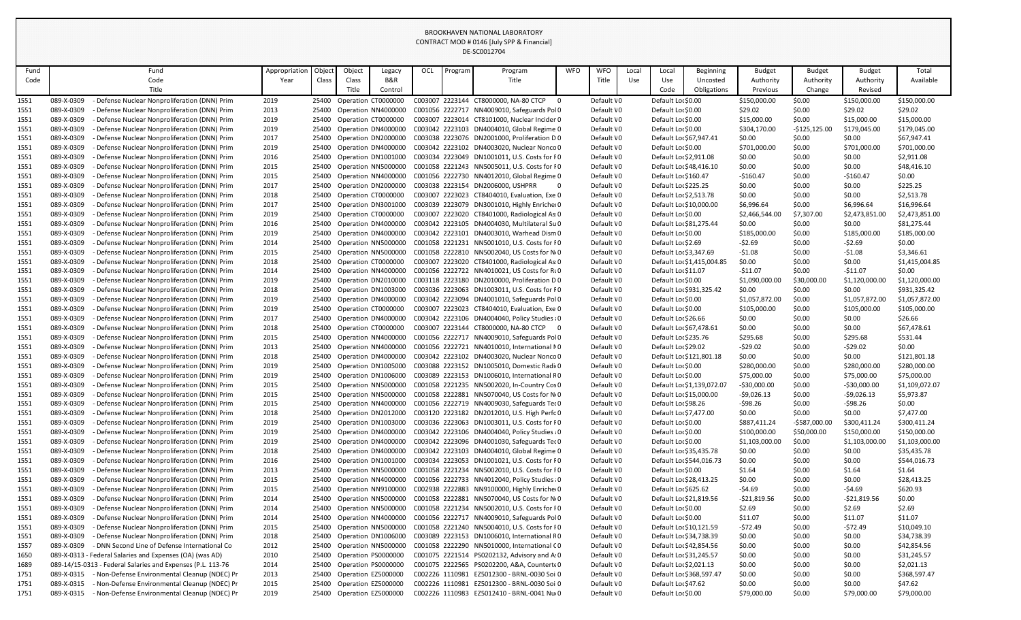|              |                          |                                                                                                |               |                |                           |                                            |     |                 | <u> มนางแบบ 27 บ<del>น</del></u>                                                             |                         |                          |       |                                               |                            |                          |                  |                        |                        |
|--------------|--------------------------|------------------------------------------------------------------------------------------------|---------------|----------------|---------------------------|--------------------------------------------|-----|-----------------|----------------------------------------------------------------------------------------------|-------------------------|--------------------------|-------|-----------------------------------------------|----------------------------|--------------------------|------------------|------------------------|------------------------|
| Fund         |                          | Fund                                                                                           | Appropriation | Objec          | Object                    | Legacy                                     | OCL | Program         | Program                                                                                      | <b>WFO</b>              | <b>WFO</b>               | Local | Local                                         | <b>Beginning</b>           | <b>Budget</b>            | <b>Budget</b>    | <b>Budget</b>          | Total                  |
| Code         |                          | Code                                                                                           | Year          | Class          | Class                     | <b>B&amp;R</b>                             |     |                 | Title                                                                                        |                         | Title                    | Use   | Use                                           | Uncosted                   | Authority                | Authority        | Authority              | Available              |
|              |                          | Title                                                                                          |               |                | Title                     | Control                                    |     |                 |                                                                                              |                         |                          |       | Code                                          | Obligations                | Previous                 | Change           | Revised                |                        |
| 1551         | 089-X-0309               | - Defense Nuclear Nonproliferation (DNN) Prim                                                  | 2019          | 25400          | Operation CT0000000       |                                            |     |                 | C003007 2223144 CT8000000, NA-80 CTCP                                                        | $\overline{\mathbf{0}}$ | Default \0               |       | Default Lor \$0.00                            |                            | \$150,000.00             | \$0.00           | \$150,000.00           | \$150,000.00           |
| 1551         | 089-X-0309               | - Defense Nuclear Nonproliferation (DNN) Prim                                                  | 2013          | 25400          |                           | Operation NN4000000                        |     |                 | C001056 2222717 NN4009010, Safeguards Pol0                                                   |                         | Default \0               |       | Default Lor \$0.00                            |                            | \$29.02                  | \$0.00           | \$29.02                | \$29.02                |
| 1551         | 089-X-0309               | - Defense Nuclear Nonproliferation (DNN) Prim                                                  | 2019          | 25400          | Operation CT0000000       |                                            |     |                 | C003007 2223014 CT8101000, Nuclear Inciden0                                                  |                         | Default \0               |       | Default Lor \$0.00                            |                            | \$15,000.00              | \$0.00           | \$15,000.00            | \$15,000.00            |
| 1551         | 089-X-0309               | - Defense Nuclear Nonproliferation (DNN) Prim                                                  | 2019          | 25400          |                           | Operation DN4000000                        |     |                 | C003042 2223103 DN4004010, Global Regime 0                                                   |                         | Default \0               |       | Default Lor \$0.00                            |                            | \$304,170.00             | $-$125,125.00$   | \$179,045.00           | \$179,045.00           |
| 1551         | 089-X-0309               | - Defense Nuclear Nonproliferation (DNN) Prim                                                  | 2017          | 25400          |                           | Operation DN2000000                        |     |                 | C003038 2223076 DN2001000, Proliferation D 0                                                 |                         | Default \0               |       | Default Lor \$67,947.41                       |                            | \$0.00                   | \$0.00           | \$0.00                 | \$67,947.41            |
| 1551         | 089-X-0309               | - Defense Nuclear Nonproliferation (DNN) Prim                                                  | 2019          | 25400          |                           | Operation DN4000000                        |     |                 | C003042 2223102 DN4003020, Nuclear Nonco 0                                                   |                         | Default \0               |       | Default Lor \$0.00                            |                            | \$701,000.00             | \$0.00           | \$701,000.00           | \$701,000.00           |
| 1551         | 089-X-0309               | - Defense Nuclear Nonproliferation (DNN) Prim                                                  | 2016          | 25400          |                           | Operation DN1001000                        |     |                 | C003034 2223049 DN1001011, U.S. Costs for F0                                                 |                         | Default \0               |       | Default Lor \$2,911.08                        |                            | \$0.00                   | \$0.00           | \$0.00                 | \$2,911.08             |
| 1551         | 089-X-0309               | - Defense Nuclear Nonproliferation (DNN) Prim                                                  | 2015          | 25400          |                           | Operation NN5000000                        |     |                 | C001058 2221243 NN5005011, U.S. Costs for F0                                                 |                         | Default \0               |       | Default Lor \$48,416.10                       |                            | \$0.00                   | \$0.00           | \$0.00                 | \$48,416.10            |
| 1551         | 089-X-0309               | - Defense Nuclear Nonproliferation (DNN) Prim                                                  | 2015          | 25400          |                           | Operation NN4000000                        |     |                 | C001056 2222730 NN4012010, Global Regime 0                                                   |                         | Default \0               |       | Default Lor \$160.47                          |                            | $-$160.47$               | \$0.00           | $-$160.47$             | \$0.00                 |
| 1551         | 089-X-0309               | - Defense Nuclear Nonproliferation (DNN) Prim                                                  | 2017          | 25400          |                           | Operation DN2000000                        |     |                 | C003038 2223154 DN2006000, USHPRR                                                            |                         | Default \0               |       | Default Lor \$225.25                          |                            | \$0.00                   | \$0.00           | \$0.00                 | \$225.25               |
| 1551         | 089-X-0309               | Defense Nuclear Nonproliferation (DNN) Prim                                                    | 2018          | 25400          | Operation CT0000000       |                                            |     |                 | C003007 2223023 CT8404010, Evaluation, Exe 0                                                 |                         | Default \0               |       | Default Loc \$2,513.78                        |                            | \$0.00                   | \$0.00           | \$0.00                 | \$2,513.78             |
| 1551         | 089-X-0309               | - Defense Nuclear Nonproliferation (DNN) Prim                                                  | 2017          | 25400          |                           | Operation DN3001000                        |     |                 | C003039 2223079 DN3001010, Highly Enricher0                                                  |                         | Default \0               |       | Default Lor \$10,000.00                       |                            | \$6,996.64               | \$0.00           | \$6,996.64             | \$16,996.64            |
| 1551         | 089-X-0309<br>089-X-0309 | - Defense Nuclear Nonproliferation (DNN) Prim<br>- Defense Nuclear Nonproliferation (DNN) Prim | 2019          | 25400          | Operation CT0000000       |                                            |     |                 | C003007 2223020 CT8401000, Radiological As: 0<br>C003042 2223105 DN4004030, Multilateral Su0 |                         | Default \0               |       | Default Lor \$0.00                            |                            | \$2,466,544.00           | \$7,307.00       | \$2,473,851.00         | \$2,473,851.00         |
| 1551         | 089-X-0309               | - Defense Nuclear Nonproliferation (DNN) Prim                                                  | 2016          | 25400          |                           | Operation DN4000000<br>Operation DN4000000 |     |                 | C003042 2223101 DN4003010, Warhead Dism 0                                                    |                         | Default \0<br>Default \0 |       | Default Loc \$81,275.44<br>Default Lor \$0.00 |                            | \$0.00                   | \$0.00           | \$0.00<br>\$185,000.00 | \$81,275.44            |
| 1551<br>1551 | 089-X-0309               | Defense Nuclear Nonproliferation (DNN) Prim                                                    | 2019<br>2014  | 25400<br>25400 |                           | Operation NN5000000                        |     |                 | C001058 2221231 NN5001010, U.S. Costs for FO                                                 |                         | Default \0               |       | Default Lor \$2.69                            |                            | \$185,000.00<br>$-52.69$ | \$0.00<br>\$0.00 | $-52.69$               | \$185,000.00<br>\$0.00 |
| 1551         | 089-X-0309               | - Defense Nuclear Nonproliferation (DNN) Prim                                                  | 2015          | 25400          |                           | Operation NN5000000                        |     |                 | C001058 2222810 NN5002040, US Costs for No                                                   |                         | Default \0               |       | Default Loc \$3,347.69                        |                            | $-51.08$                 | \$0.00           | $-51.08$               | \$3,346.61             |
| 1551         | 089-X-0309               | - Defense Nuclear Nonproliferation (DNN) Prim                                                  | 2018          | 25400          | Operation CT0000000       |                                            |     |                 | C003007 2223020 CT8401000, Radiological As: 0                                                |                         | Default \0               |       |                                               | Default Lor \$1,415,004.85 | \$0.00                   | \$0.00           | \$0.00                 | \$1,415,004.85         |
| 1551         | 089-X-0309               | - Defense Nuclear Nonproliferation (DNN) Prim                                                  | 2014          | 25400          |                           | Operation NN4000000                        |     |                 | C001056 2222722 NN4010021, US Costs for RLO                                                  |                         | Default \0               |       | Default Loc\$11.07                            |                            | $-$11.07$                | \$0.00           | $-511.07$              | \$0.00                 |
| 1551         | 089-X-0309               | - Defense Nuclear Nonproliferation (DNN) Prim                                                  | 2019          | 25400          |                           | Operation DN2010000                        |     |                 | C003118 2223180 DN2010000, Proliferation D 0                                                 |                         | Default \0               |       | Default Lor \$0.00                            |                            | \$1,090,000.00           | \$30,000.00      | \$1,120,000.00         | \$1,120,000.00         |
| 1551         | 089-X-0309               | - Defense Nuclear Nonproliferation (DNN) Prim                                                  | 2018          | 25400          |                           | Operation DN1003000                        |     |                 | C003036 2223063 DN1003011, U.S. Costs for F0                                                 |                         | Default \0               |       | Default Lor \$931,325.42                      |                            | \$0.00                   | \$0.00           | \$0.00                 | \$931,325.42           |
| 1551         | 089-X-0309               | - Defense Nuclear Nonproliferation (DNN) Prim                                                  | 2019          | 25400          |                           | Operation DN4000000                        |     |                 | C003042 2223094 DN4001010, Safeguards Pol 0                                                  |                         | Default \0               |       | Default Lor \$0.00                            |                            | \$1,057,872.00           | \$0.00           | \$1,057,872.00         | \$1,057,872.00         |
| 1551         | 089-X-0309               | - Defense Nuclear Nonproliferation (DNN) Prim                                                  | 2019          | 25400          | Operation CT0000000       |                                            |     |                 | C003007 2223023 CT8404010, Evaluation, Exe 0                                                 |                         | Default \0               |       | Default Lor \$0.00                            |                            | \$105,000.00             | \$0.00           | \$105,000.00           | \$105,000.00           |
| 1551         | 089-X-0309               | - Defense Nuclear Nonproliferation (DNN) Prim                                                  | 2017          | 25400          |                           | Operation DN4000000                        |     |                 | C003042 2223106 DN4004040, Policy Studies (0                                                 |                         | Default \0               |       | Default Lor \$26.66                           |                            | \$0.00                   | \$0.00           | \$0.00                 | \$26.66                |
| 1551         | 089-X-0309               | - Defense Nuclear Nonproliferation (DNN) Prim                                                  | 2018          | 25400          | Operation CT0000000       |                                            |     |                 | C003007 2223144 CT8000000, NA-80 CTCP                                                        | $\overline{0}$          | Default \0               |       | Default Loc \$67,478.61                       |                            | \$0.00                   | \$0.00           | \$0.00                 | \$67,478.61            |
| 1551         | 089-X-0309               | - Defense Nuclear Nonproliferation (DNN) Prim                                                  | 2015          | 25400          |                           | Operation NN4000000                        |     |                 | C001056 2222717 NN4009010, Safeguards Pol0                                                   |                         | Default \0               |       | Default Lor \$235.76                          |                            | \$295.68                 | \$0.00           | \$295.68               | \$531.44               |
| 1551         | 089-X-0309               | - Defense Nuclear Nonproliferation (DNN) Prim                                                  | 2013          |                |                           |                                            |     |                 | 25400 Operation NN4000000 C001056 2222721 NN4010010, International NO                        |                         | Default \0               |       | Default Lor \$29.02                           |                            | $-529.02$                | \$0.00           | $-529.02$              | \$0.00                 |
| 1551         | 089-X-0309               | - Defense Nuclear Nonproliferation (DNN) Prim                                                  | 2018          | 25400          |                           |                                            |     |                 | Operation DN4000000 C003042 2223102 DN4003020, Nuclear Nonco 0                               |                         | Default VO               |       |                                               | Default Lor \$121,801.18   | \$0.00                   | \$0.00           | \$0.00                 | \$121,801.18           |
| 1551         | 089-X-0309               | - Defense Nuclear Nonproliferation (DNN) Prim                                                  | 2019          | 25400          |                           | Operation DN1005000                        |     |                 | C003088 2223152 DN1005010, Domestic Radio                                                    |                         | Default \0               |       | Default Lor \$0.00                            |                            | \$280,000.00             | \$0.00           | \$280,000.00           | \$280,000.00           |
| 1551         | 089-X-0309               | - Defense Nuclear Nonproliferation (DNN) Prim                                                  | 2019          | 25400          |                           | Operation DN1006000                        |     |                 | C003089 2223153 DN1006010, International RO                                                  |                         | Default \0               |       | Default Lor \$0.00                            |                            | \$75,000.00              | \$0.00           | \$75,000.00            | \$75,000.00            |
| 1551         | 089-X-0309               | - Defense Nuclear Nonproliferation (DNN) Prim                                                  | 2015          |                |                           | 25400 Operation NN5000000                  |     |                 | C001058 2221235 NN5002020, In-Country Cos0                                                   |                         | Default \0               |       |                                               | Default Lor \$1,139,072.07 | $-530,000.00$            | \$0.00           | $-530,000.00$          | \$1,109,072.07         |
| 1551         | 089-X-0309               | - Defense Nuclear Nonproliferation (DNN) Prim                                                  | 2015          | 25400          |                           | Operation NN5000000                        |     |                 | C001058 2222881 NN5070040, US Costs for No                                                   |                         | Default \0               |       | Default Lor \$15,000.00                       |                            | $-59,026.13$             | \$0.00           | $-59,026.13$           | \$5,973.87             |
| 1551         | 089-X-0309               | - Defense Nuclear Nonproliferation (DNN) Prim                                                  | 2015          | 25400          |                           | Operation NN4000000                        |     |                 | C001056 2222719 NN4009030, Safeguards Tec0                                                   |                         | Default \0               |       | Default Lor \$98.26                           |                            | -\$98.26                 | \$0.00           | $-598.26$              | \$0.00                 |
| 1551         | 089-X-0309               | - Defense Nuclear Nonproliferation (DNN) Prim                                                  | 2018          | 25400          |                           | Operation DN2012000                        |     |                 | C003120 2223182 DN2012010, U.S. High Perfo0                                                  |                         | Default \0               |       | Default Loc \$7,477.00                        |                            | \$0.00                   | \$0.00           | \$0.00                 | \$7,477.00             |
| 1551         | 089-X-0309               | - Defense Nuclear Nonproliferation (DNN) Prim                                                  | 2019          | 25400          |                           | Operation DN1003000                        |     |                 | C003036 2223063 DN1003011, U.S. Costs for F0                                                 |                         | Default \0               |       | Default Lor \$0.00                            |                            | \$887,411.24             | -\$587,000.00    | \$300,411.24           | \$300,411.24           |
| 1551         | 089-X-0309               | - Defense Nuclear Nonproliferation (DNN) Prim                                                  | 2019          | 25400          |                           | Operation DN4000000                        |     |                 | C003042 2223106 DN4004040, Policy Studies a 0                                                |                         | Default \0               |       | Default Lor \$0.00                            |                            | \$100,000.00             | \$50,000.00      | \$150,000.00           | \$150,000.00           |
| 1551         | 089-X-0309               | - Defense Nuclear Nonproliferation (DNN) Prim                                                  | 2019          | 25400          |                           | Operation DN4000000                        |     |                 | C003042 2223096 DN4001030, Safeguards Tec 0                                                  |                         | Default \0               |       | Default Lor \$0.00                            |                            | \$1,103,000.00           | \$0.00           | \$1,103,000.00         | \$1,103,000.00         |
| 1551         | 089-X-0309               | - Defense Nuclear Nonproliferation (DNN) Prim                                                  | 2018          | 25400          |                           | Operation DN4000000                        |     |                 | C003042 2223103 DN4004010, Global Regime 0                                                   |                         | Default \0               |       | Default Loc \$35,435.78                       |                            | \$0.00                   | \$0.00           | \$0.00                 | \$35,435.78            |
| 1551         | 089-X-0309               | - Defense Nuclear Nonproliferation (DNN) Prim                                                  | 2016          | 25400          |                           | Operation DN1001000                        |     |                 | C003034 2223053 DN1001021, U.S. Costs for F0                                                 |                         | Default \0               |       | Default Lor \$544,016.73                      |                            | \$0.00                   | \$0.00           | \$0.00                 | \$544,016.73           |
| 1551         | 089-X-0309               | - Defense Nuclear Nonproliferation (DNN) Prim                                                  | 2013          | 25400          |                           | Operation NN5000000                        |     |                 | C001058 2221234 NN5002010, U.S. Costs for F0                                                 |                         | Default \0               |       | Default Lor \$0.00                            |                            | \$1.64                   | \$0.00           | \$1.64                 | \$1.64                 |
| 1551         | 089-X-0309               | - Defense Nuclear Nonproliferation (DNN) Prim                                                  | 2015          | 25400          |                           | Operation NN4000000                        |     |                 | C001056 2222733 NN4012040, Policy Studies (0                                                 |                         | Default \0               |       | Default Lor \$28,413.25                       |                            | \$0.00                   | \$0.00           | \$0.00                 | \$28,413.25            |
| 1551         | 089-X-0309               | - Defense Nuclear Nonproliferation (DNN) Prim                                                  | 2015          | 25400          |                           | Operation NN9100000                        |     |                 | C002938 2222883 NN9100000, Highly Enricher0<br>C001058 2222881 NN5070040, US Costs for No0   |                         | Default \0               |       | Default Lor \$625.62                          |                            | -\$4.69                  | \$0.00           | $-54.69$               | \$620.93               |
| 1551         | 089-X-0309<br>089-X-0309 | - Defense Nuclear Nonproliferation (DNN) Prim<br>- Defense Nuclear Nonproliferation (DNN) Prim | 2014<br>2014  | 25400          |                           | Operation NN5000000<br>Operation NN5000000 |     |                 | C001058 2221234 NN5002010, U.S. Costs for F0                                                 |                         | Default \0<br>Default \0 |       | Default Lor \$21,819.56<br>Default Lor \$0.00 |                            | -\$21,819.56<br>\$2.69   | \$0.00<br>\$0.00 | $-521,819.56$          | \$0.00<br>\$2.69       |
| 1551         |                          |                                                                                                |               | 25400          |                           |                                            |     |                 | C001056 2222717 NN4009010, Safeguards Pol0                                                   |                         |                          |       | Default Lor \$0.00                            |                            |                          |                  | \$2.69                 |                        |
| 1551<br>1551 | 089-X-0309<br>089-X-0309 | - Defense Nuclear Nonproliferation (DNN) Prim<br>- Defense Nuclear Nonproliferation (DNN) Prim | 2014<br>2015  | 25400<br>25400 |                           | Operation NN4000000<br>Operation NN5000000 |     |                 | C001058 2221240 NN5004010, U.S. Costs for F0                                                 |                         | Default \0<br>Default \0 |       | Default Loc \$10,121.59                       |                            | \$11.07<br>-\$72.49      | \$0.00<br>\$0.00 | \$11.07<br>$-572.49$   | \$11.07<br>\$10,049.10 |
| 1551         | 089-X-0309               | - Defense Nuclear Nonproliferation (DNN) Prim                                                  | 2018          | 25400          |                           | Operation DN1006000                        |     |                 | C003089 2223153 DN1006010, International R0                                                  |                         | Default \0               |       | Default Loc \$34,738.39                       |                            | \$0.00                   | \$0.00           | \$0.00                 | \$34,738.39            |
| 1557         | 089-X-0309               | - DNN Second Line of Defense International Co                                                  | 2012          | 25400          |                           | Operation NN5000000                        |     |                 | C001058 2222290 NN5010000, International CO                                                  |                         | Default \0               |       | Default Lor \$42,854.56                       |                            | \$0.00                   | \$0.00           | \$0.00                 | \$42,854.56            |
| 1650         |                          | 089-X-0313 - Federal Salaries and Expenses (OA) (was AD)                                       | 2010          | 25400          | Operation PS0000000       |                                            |     |                 | C001075 2221514 PS0202132, Advisory and A:0                                                  |                         | Default \0               |       | Default Loc \$31,245.57                       |                            | \$0.00                   | \$0.00           | \$0.00                 | \$31,245.57            |
| 1689         |                          | 089-14/15-0313 - Federal Salaries and Expenses (P.L. 113-76                                    | 2014          | 25400          | Operation PS0000000       |                                            |     |                 | C001075 2222565 PS0202200, A&A, Counterte0                                                   |                         | Default \0               |       | Default Lor \$2,021.13                        |                            | \$0.00                   | \$0.00           | \$0.00                 | \$2,021.13             |
| 1751         | 089-X-0315               | - Non-Defense Environmental Cleanup (NDEC) Pr                                                  | 2013          |                | 25400 Operation EZ5000000 |                                            |     | C002226 1110981 | EZ5012300 - BRNL-0030 Soi 0                                                                  |                         | Default \0               |       | Default Lor \$368,597.47                      |                            | \$0.00                   | \$0.00           | \$0.00                 | \$368,597.47           |
| 1751         | 089-X-0315               | - Non-Defense Environmental Cleanup (NDEC) Pr                                                  | 2015          | 25400          | Operation EZ5000000       |                                            |     | C002226 1110981 | EZ5012300 - BRNL-0030 Soi 0                                                                  |                         | Default \0               |       | Default Loc\$47.62                            |                            | \$0.00                   | \$0.00           | \$0.00                 | \$47.62                |
| 1751         | 089-X-0315               | - Non-Defense Environmental Cleanup (NDEC) Pr                                                  | 2019          |                | 25400 Operation EZ5000000 |                                            |     |                 | C002226 1110983 EZ5012410 - BRNL-0041 Nu(0                                                   |                         | Default \0               |       | Default Lor \$0.00                            |                            | \$79,000.00              | \$0.00           | \$79,000.00            | \$79,000.00            |
|              |                          |                                                                                                |               |                |                           |                                            |     |                 |                                                                                              |                         |                          |       |                                               |                            |                          |                  |                        |                        |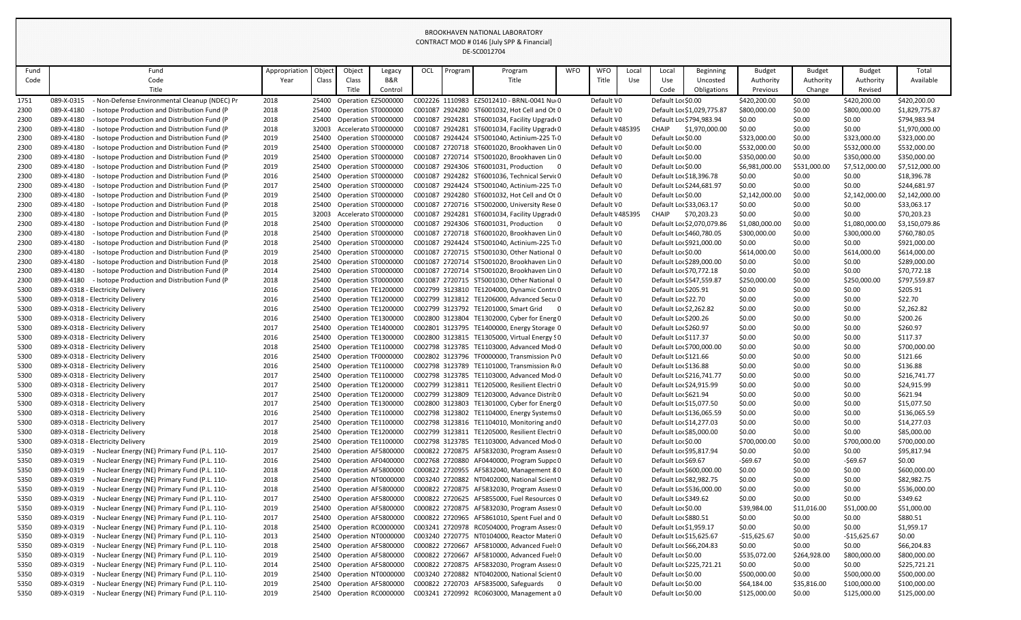| Fund         | Fund                                                                                             | Appropriation | Object | Object                                           | Legacy                    | <b>OCL</b> | Program | Program                                                                                    | <b>WFO</b>               | <b>WFO</b>               | Local | Local                   | Beginning                  | <b>Budget</b>          | <b>Budget</b>    | <b>Budget</b>          | Total                    |
|--------------|--------------------------------------------------------------------------------------------------|---------------|--------|--------------------------------------------------|---------------------------|------------|---------|--------------------------------------------------------------------------------------------|--------------------------|--------------------------|-------|-------------------------|----------------------------|------------------------|------------------|------------------------|--------------------------|
| Code         | Code                                                                                             | Year          | Class  | Class                                            | B&R                       |            |         | Title                                                                                      |                          | Title                    | Use   | Use                     | Uncosted                   | Authority              | Authority        | Authority              | Available                |
|              | Title                                                                                            |               |        | Title                                            | Control                   |            |         |                                                                                            |                          |                          |       | Code                    | Obligations                | Previous               | Change           | Revised                |                          |
| 1751         | 089-X-0315<br>- Non-Defense Environmental Cleanup (NDEC) Pr                                      | 2018          |        | 25400 Operation EZ5000000                        |                           |            |         | C002226 1110983 EZ5012410 - BRNL-0041 Nu(0                                                 |                          | Default \0               |       | Default Lor \$0.00      |                            | \$420,200.00           | \$0.00           | \$420,200.00           | \$420,200.00             |
| 2300         | 089-X-4180<br>Isotope Production and Distribution Fund (P                                        | 2018          |        | 25400 Operation ST0000000                        |                           |            |         | C001087 2924280 ST6001032, Hot Cell and Ot 0                                               |                          | Default \0               |       |                         | Default Loc \$1,029,775.87 | \$800,000.00           | \$0.00           | \$800,000.00           | \$1,829,775.87           |
| 2300         | 089-X-4180<br>- Isotope Production and Distribution Fund (P                                      | 2018          |        |                                                  | 25400 Operation ST0000000 |            |         | C001087 2924281 ST6001034, Facility Upgrad(0                                               |                          | Default \0               |       |                         | Default Lor \$794,983.94   | \$0.00                 | \$0.00           | \$0.00                 | \$794,983.94             |
| 2300         | 089-X-4180<br>- Isotope Production and Distribution Fund (P                                      | 2018          |        | 32003 Accelerato ST0000000                       |                           |            |         | C001087 2924281 ST6001034, Facility Upgrad(0                                               |                          | Default \485395          |       | CHAIP                   | \$1,970,000.00             | \$0.00                 | \$0.00           | \$0.00                 | \$1,970,000.00           |
| 2300         | 089-X-4180<br>- Isotope Production and Distribution Fund (P                                      | 2019          | 25400  | Operation ST0000000                              |                           |            |         | C001087 2924424 ST5001040, Actinium-225 TiO                                                |                          | Default \0               |       | Default Lor \$0.00      |                            | \$323,000.00           | \$0.00           | \$323,000.00           | \$323,000.00             |
| 2300         | 089-X-4180<br>Isotope Production and Distribution Fund (P                                        | 2019          | 25400  | Operation ST0000000                              |                           |            |         | C001087 2720718 ST6001020, Brookhaven Lin 0                                                |                          | Default \0               |       | Default Lor \$0.00      |                            | \$532,000.00           | \$0.00           | \$532,000.00           | \$532,000.00             |
| 2300         | 089-X-4180<br>Isotope Production and Distribution Fund (P                                        | 2019          | 25400  |                                                  | Operation ST0000000       |            |         | C001087 2720714 ST5001020, Brookhaven Lin 0                                                |                          | Default \0               |       | Default Lor \$0.00      |                            | \$350,000.00           | \$0.00           | \$350,000.00           | \$350,000.00             |
| 2300         | 089-X-4180<br>Isotope Production and Distribution Fund (P                                        | 2019          |        | 25400 Operation ST0000000                        |                           |            |         | C001087 2924306 ST6001031, Production                                                      | $\overline{\phantom{0}}$ | Default \0               |       | Default Lor \$0.00      |                            | \$6,981,000.00         | \$531,000.00     | \$7,512,000.00         | \$7,512,000.00           |
| 2300         | 089-X-4180<br>- Isotope Production and Distribution Fund (P                                      | 2016          |        | 25400 Operation ST0000000                        |                           |            |         | C001087 2924282 ST6001036, Technical Servic0                                               |                          | Default \0               |       | Default Loc \$18,396.78 |                            | \$0.00                 | \$0.00           | \$0.00                 | \$18,396.78              |
| 2300         | 089-X-4180<br>- Isotope Production and Distribution Fund (P                                      | 2017          | 25400  | Operation ST0000000                              |                           |            |         | C001087 2924424 ST5001040, Actinium-225 TiO                                                |                          | Default \0               |       |                         | Default Loc \$244,681.97   | \$0.00                 | \$0.00           | \$0.00                 | \$244,681.97             |
| 2300         | 089-X-4180<br>Isotope Production and Distribution Fund (P                                        | 2019          | 25400  | Operation ST0000000                              |                           |            |         | C001087 2924280 ST6001032, Hot Cell and Ot 0                                               |                          | Default \0               |       | Default Lor \$0.00      |                            | \$2,142,000.00         | \$0.00           | \$2,142,000.00         | \$2,142,000.00           |
| 2300         | 089-X-4180<br>Isotope Production and Distribution Fund (P                                        | 2018          | 25400  | Operation ST0000000                              |                           |            |         | C001087 2720716 ST5002000, University Rese 0                                               |                          | Default \0               |       | Default Loc \$33,063.17 |                            | \$0.00                 | \$0.00           | \$0.00                 | \$33,063.17              |
| 2300         | 089-X-4180<br>Isotope Production and Distribution Fund (P                                        | 2015          | 32003  | Accelerato ST0000000                             |                           |            |         | C001087 2924281 ST6001034, Facility Upgrad(0                                               |                          | Default \485395          |       | CHAIP                   | \$70,203.23                | \$0.00                 | \$0.00           | \$0.00                 | \$70,203.23              |
| 2300         | 089-X-4180<br>Isotope Production and Distribution Fund (P                                        | 2018          |        | 25400 Operation ST0000000                        |                           |            |         | C001087 2924306 ST6001031, Production<br>$\overline{\phantom{0}}$                          |                          | Default \0               |       |                         | Default Lor \$2,070,079.86 | \$1,080,000.00         | \$0.00           | \$1,080,000.00         | \$3,150,079.86           |
| 2300         | 089-X-4180<br>- Isotope Production and Distribution Fund (P                                      | 2018          | 25400  | Operation ST0000000                              |                           |            |         | C001087 2720718 ST6001020, Brookhaven Lin 0                                                |                          | Default \0               |       |                         | Default Lor \$460,780.05   | \$300,000.00           | \$0.00           | \$300,000.00           | \$760,780.05             |
| 2300         | 089-X-4180<br>- Isotope Production and Distribution Fund (P                                      | 2018          |        | 25400 Operation ST0000000                        |                           |            |         | C001087 2924424 ST5001040, Actinium-225 T(0                                                |                          | Default \0               |       |                         | Default Lor \$921,000.00   | \$0.00                 | \$0.00           | \$0.00                 | \$921,000.00             |
| 2300         | 089-X-4180<br>Isotope Production and Distribution Fund (P                                        | 2019          |        | 25400 Operation ST0000000                        |                           |            |         | C001087 2720715 ST5001030, Other National 0                                                |                          | Default \0               |       | Default Lor \$0.00      |                            | \$614,000.00           | \$0.00           | \$614,000.00           | \$614,000.00             |
| 2300         | 089-X-4180<br>- Isotope Production and Distribution Fund (P<br>089-X-4180                        | 2018          |        | 25400 Operation ST0000000                        |                           |            |         | C001087 2720714 ST5001020, Brookhaven Lin 0                                                |                          | Default \0               |       |                         | Default Lor \$289,000.00   | \$0.00                 | \$0.00           | \$0.00                 | \$289,000.00             |
| 2300         | - Isotope Production and Distribution Fund (P                                                    | 2014          |        | 25400 Operation ST0000000                        |                           |            |         | C001087 2720714 ST5001020, Brookhaven Lin 0<br>C001087 2720715 ST5001030, Other National 0 |                          | Default \0               |       | Default Loc \$70,772.18 |                            | \$0.00                 | \$0.00           | \$0.00                 | \$70,772.18              |
| 2300<br>5300 | 089-X-4180<br>- Isotope Production and Distribution Fund (P<br>089-X-0318 - Electricity Delivery | 2018<br>2016  | 25400  | Operation ST0000000<br>25400 Operation TE1200000 |                           |            |         | C002799 3123810 TE1204000, Dynamic Control                                                 |                          | Default \0<br>Default \0 |       | Default Lor \$205.91    | Default Loc \$547,559.87   | \$250,000.00<br>\$0.00 | \$0.00<br>\$0.00 | \$250,000.00<br>\$0.00 | \$797,559.87<br>\$205.91 |
| 5300         | 089-X-0318 - Electricity Delivery                                                                | 2016          |        | 25400 Operation TE1200000                        |                           |            |         | C002799 3123812 TE1206000, Advanced Secui0                                                 |                          | Default \0               |       | Default Lor \$22.70     |                            | \$0.00                 | \$0.00           | \$0.00                 | \$22.70                  |
| 5300         | 089-X-0318 - Electricity Delivery                                                                | 2016          |        |                                                  | 25400 Operation TE1200000 |            |         | C002799 3123792 TE1201000, Smart Grid                                                      | - 0                      | Default \0               |       | Default Loc \$2,262.82  |                            | \$0.00                 | \$0.00           | \$0.00                 | \$2,262.82               |
| 5300         | 089-X-0318 - Electricity Delivery                                                                | 2016          |        | 25400 Operation TE1300000                        |                           |            |         | C002800 3123804 TE1302000, Cyber for Energ 0                                               |                          | Default \0               |       | Default Lor \$200.26    |                            | \$0.00                 | \$0.00           | \$0.00                 | \$200.26                 |
| 5300         | 089-X-0318 - Electricity Delivery                                                                | 2017          | 25400  | Operation TE1400000                              |                           |            |         | C002801 3123795 TE1400000, Energy Storage 0                                                |                          | Default \0               |       | Default Lor \$260.97    |                            | \$0.00                 | \$0.00           | \$0.00                 | \$260.97                 |
| 5300         | 089-X-0318 - Electricity Delivery                                                                | 2016          |        | 25400 Operation TE1300000                        |                           |            |         | C002800 3123815 TE1305000, Virtual Energy SO                                               |                          | Default \0               |       | Default Lor \$117.37    |                            | \$0.00                 | \$0.00           | \$0.00                 | \$117.37                 |
| 5300         | 089-X-0318 - Electricity Delivery                                                                | 2018          |        |                                                  | 25400 Operation TE1100000 |            |         | C002798 3123785 TE1103000, Advanced Mod(0                                                  |                          | Default \0               |       |                         | Default Lor \$700,000.00   | \$0.00                 | \$0.00           | \$0.00                 | \$700,000.00             |
| 5300         | 089-X-0318 - Electricity Delivery                                                                | 2016          |        |                                                  | 25400 Operation TF0000000 |            |         | C002802 3123796 TF0000000, Transmission Pt0                                                |                          | Default \0               |       | Default Loc\$121.66     |                            | \$0.00                 | \$0.00           | \$0.00                 | \$121.66                 |
| 5300         | 089-X-0318 - Electricity Delivery                                                                | 2016          |        |                                                  | 25400 Operation TE1100000 |            |         | C002798 3123789 TE1101000, Transmission R(0                                                |                          | Default \0               |       | Default Lor \$136.88    |                            | \$0.00                 | \$0.00           | \$0.00                 | \$136.88                 |
| 5300         | 089-X-0318 - Electricity Delivery                                                                | 2017          |        | 25400 Operation TE1100000                        |                           |            |         | C002798 3123785 TE1103000, Advanced Mod(0                                                  |                          | Default \0               |       |                         | Default Lor \$216,741.77   | \$0.00                 | \$0.00           | \$0.00                 | \$216,741.77             |
| 5300         | 089-X-0318 - Electricity Delivery                                                                | 2017          |        |                                                  | 25400 Operation TE1200000 |            |         | C002799 3123811 TE1205000, Resilient Electri 0                                             |                          | Default \0               |       | Default Loc \$24,915.99 |                            | \$0.00                 | \$0.00           | \$0.00                 | \$24,915.99              |
| 5300         | 089-X-0318 - Electricity Delivery                                                                | 2017          |        |                                                  | 25400 Operation TE1200000 |            |         | C002799 3123809 TE1203000, Advance Distrib0                                                |                          | Default \0               |       | Default Lor \$621.94    |                            | \$0.00                 | \$0.00           | \$0.00                 | \$621.94                 |
| 5300         | 089-X-0318 - Electricity Delivery                                                                | 2017          |        |                                                  | 25400 Operation TE1300000 |            |         | C002800 3123803 TE1301000, Cyber for Energ 0                                               |                          | Default \0               |       | Default Lor \$15,077.50 |                            | \$0.00                 | \$0.00           | \$0.00                 | \$15,077.50              |
| 5300         | 089-X-0318 - Electricity Delivery                                                                | 2016          |        |                                                  | 25400 Operation TE1100000 |            |         | C002798 3123802 TE1104000, Energy Systems 0                                                |                          | Default \0               |       |                         | Default Lor \$136,065.59   | \$0.00                 | \$0.00           | \$0.00                 | \$136,065.59             |
| 5300         | 089-X-0318 - Electricity Delivery                                                                | 2017          |        | 25400 Operation TE1100000                        |                           |            |         | C002798 3123816 TE1104010, Monitoring and 0                                                |                          | Default \0               |       | Default Lor \$14,277.03 |                            | \$0.00                 | \$0.00           | \$0.00                 | \$14,277.03              |
| 5300         | 089-X-0318 - Electricity Delivery                                                                | 2018          |        |                                                  | 25400 Operation TE1200000 |            |         | C002799 3123811 TE1205000, Resilient Electri 0                                             |                          | Default \0               |       | Default Lor \$85,000.00 |                            | \$0.00                 | \$0.00           | \$0.00                 | \$85,000.00              |
| 5300         | 089-X-0318 - Electricity Delivery                                                                | 2019          |        |                                                  | 25400 Operation TE1100000 |            |         | C002798 3123785 TE1103000, Advanced Mod 0                                                  |                          | Default \0               |       | Default Lor\$0.00       |                            | \$700,000.00           | \$0.00           | \$700,000.00           | \$700,000.00             |
| 5350         | 089-X-0319<br>- Nuclear Energy (NE) Primary Fund (P.L. 110-                                      | 2017          |        |                                                  | 25400 Operation AF5800000 |            |         | C000822 2720875 AF5832030, Program Assess 0                                                |                          | Default \0               |       | Default Loc \$95,817.94 |                            | \$0.00                 | \$0.00           | \$0.00                 | \$95,817.94              |
| 5350         | 089-X-0319<br>- Nuclear Energy (NE) Primary Fund (P.L. 110-                                      | 2016          |        |                                                  | 25400 Operation AF0400000 |            |         | C002768 2720880 AF0440000, Program Suppo0                                                  |                          | Default \0               |       | Default Lor \$69.67     |                            | $-569.67$              | \$0.00           | $-569.67$              | \$0.00                   |
| 5350         | - Nuclear Energy (NE) Primary Fund (P.L. 110-<br>089-X-0319                                      | 2018          |        |                                                  | 25400 Operation AF5800000 |            |         | C000822 2720955 AF5832040, Management 80                                                   |                          | Default VO               |       |                         | Default Lor \$600,000.00   | \$0.00                 | \$0.00           | \$0.00                 | \$600,000.00             |
| 5350         | 089-X-0319<br>- Nuclear Energy (NE) Primary Fund (P.L. 110-                                      | 2018          |        |                                                  | 25400 Operation NT0000000 |            |         | C003240 2720882 NT0402000, National Scient 0                                               |                          | Default \0               |       | Default Lor \$82,982.75 |                            | \$0.00                 | \$0.00           | \$0.00                 | \$82,982.75              |
| 5350         | 089-X-0319<br>Nuclear Energy (NE) Primary Fund (P.L. 110-                                        | 2018          |        |                                                  | 25400 Operation AF5800000 |            |         | C000822 2720875 AF5832030, Program Assess 0                                                |                          | Default \0               |       |                         | Default Lor \$536,000.00   | \$0.00                 | \$0.00           | \$0.00                 | \$536,000.00             |
| 5350         | 089-X-0319<br>- Nuclear Energy (NE) Primary Fund (P.L. 110-                                      | 2017          |        |                                                  | 25400 Operation AF5800000 |            |         | C000822 2720625 AF5855000, Fuel Resources 0                                                |                          | Default \0               |       | Default Lor \$349.62    |                            | \$0.00                 | \$0.00           | \$0.00                 | \$349.62                 |
| 5350         | 089-X-0319<br>- Nuclear Energy (NE) Primary Fund (P.L. 110-                                      | 2019          |        |                                                  | 25400 Operation AF5800000 |            |         | C000822 2720875 AF5832030, Program Assess 0                                                |                          | Default \0               |       | Default Lor\$0.00       |                            | \$39,984.00            | \$11,016.00      | \$51,000.00            | \$51,000.00              |
| 5350         | 089-X-0319<br>- Nuclear Energy (NE) Primary Fund (P.L. 110-                                      | 2017          |        |                                                  | 25400 Operation AF5800000 |            |         | C000822 2720965 AF5861010, Spent Fuel and 0                                                |                          | Default \0               |       | Default Lor \$880.51    |                            | \$0.00                 | \$0.00           | \$0.00                 | \$880.51                 |
| 5350         | 089-X-0319<br>Nuclear Energy (NE) Primary Fund (P.L. 110-                                        | 2018          |        |                                                  | 25400 Operation RC0000000 |            |         | C003241 2720978 RC0504000, Program Assess 0                                                |                          | Default \0               |       | Default Lor \$1,959.17  |                            | \$0.00                 | \$0.00           | \$0.00                 | \$1,959.17               |
| 5350         | 089-X-0319<br>- Nuclear Energy (NE) Primary Fund (P.L. 110-                                      | 2013          |        |                                                  | 25400 Operation NT0000000 |            |         | C003240 2720775 NT0104000, Reactor Materi 0                                                |                          | Default \0               |       | Default Lor \$15,625.67 |                            | $-$15,625.67$          | \$0.00           | $-$15,625.67$          | \$0.00                   |
| 5350         | 089-X-0319<br>Nuclear Energy (NE) Primary Fund (P.L. 110-                                        | 2018          | 25400  |                                                  | Operation AF5800000       |            |         | C000822 2720667 AF5810000, Advanced Fuels 0                                                |                          | Default \0               |       | Default Lor \$66,204.83 |                            | \$0.00                 | \$0.00           | \$0.00                 | \$66,204.83              |
| 5350         | 089-X-0319<br>- Nuclear Energy (NE) Primary Fund (P.L. 110-                                      | 2019          |        |                                                  | 25400 Operation AF5800000 |            |         | C000822 2720667 AF5810000, Advanced Fuels 0                                                |                          | Default \0               |       | Default Lor \$0.00      |                            | \$535,072.00           | \$264,928.00     | \$800,000.00           | \$800,000.00             |
| 5350         | 089-X-0319<br>- Nuclear Energy (NE) Primary Fund (P.L. 110-                                      | 2014          | 25400  |                                                  | Operation AF5800000       |            |         | C000822 2720875 AF5832030, Program Assess 0                                                |                          | Default \0               |       |                         | Default Lor \$225,721.21   | \$0.00                 | \$0.00           | \$0.00                 | \$225,721.21             |
| 5350         | 089-X-0319<br>- Nuclear Energy (NE) Primary Fund (P.L. 110-                                      | 2019          |        |                                                  | 25400 Operation NT0000000 |            |         | C003240 2720882 NT0402000, National Scient 0                                               |                          | Default \0               |       | Default Lor \$0.00      |                            | \$500,000.00           | \$0.00           | \$500,000.00           | \$500,000.00             |
| 5350         | 089-X-0319<br>- Nuclear Energy (NE) Primary Fund (P.L. 110-                                      | 2019          |        |                                                  | 25400 Operation AF5800000 |            |         | C000822 2720703 AF5835000, Safeguards 0                                                    |                          | Default \0               |       | Default Lor \$0.00      |                            | \$64,184.00            | \$35,816.00      | \$100,000.00           | \$100,000.00             |
| 5350         | 089-X-0319<br>Nuclear Energy (NE) Primary Fund (P.L. 110-                                        | 2019          |        |                                                  | 25400 Operation RC0000000 |            |         | C003241 2720992 RC0603000, Management a 0                                                  |                          | Default \0               |       | Default Lor \$0.00      |                            | \$125,000.00           | \$0.00           | \$125,000.00           | \$125,000.00             |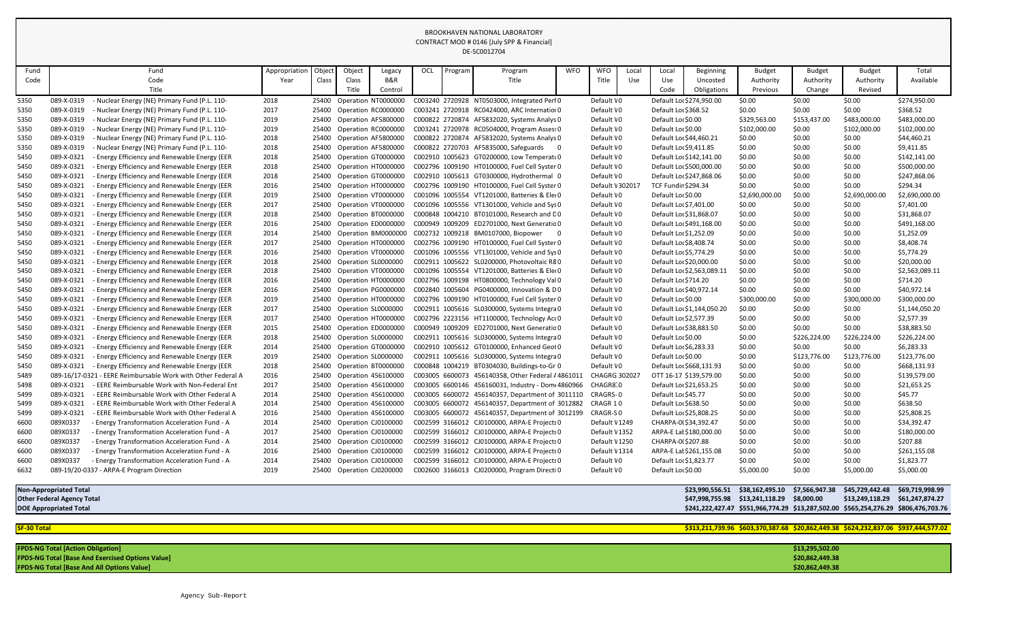| I Object<br>Object<br><b>WFO</b><br>Fund<br><b>Budget</b><br>Total<br>Fund<br>Appropriation<br>OCL<br>Program<br><b>WFO</b><br><b>Beginning</b><br><b>Budget</b><br><b>Budget</b><br>Program<br>Local<br>Local<br>Legacy<br>Class<br><b>B&amp;R</b><br>Available<br>Code<br>Code<br>Class<br>Title<br>Title<br>Use<br>Use<br>Authority<br>Authority<br>Authority<br>Year<br>Uncosted<br>Title<br>Title<br>Change<br>Revised<br>Control<br>Code<br>Obligations<br>Previous<br>Nuclear Energy (NE) Primary Fund (P.L. 110-<br>089-X-0319<br>25400 Operation NT0000000<br>C003240 2720928 NT0503000, Integrated Perf 0<br>Default \0<br>Default Lor \$274,950.00<br>\$0.00<br>\$0.00<br>\$0.00<br>\$274,950.00<br>5350<br>2018<br>\$0.00<br>\$368.52<br>089-X-0319<br>2017<br>Operation RC0000000<br>Default \0<br>\$0.00<br>\$0.00<br>5350<br>C003241 2720918 RC0424000, ARC Internation 0<br>Default Lor \$368.52<br>Nuclear Energy (NE) Primary Fund (P.L. 110-<br>25400<br>089-X-0319<br>2019<br>Operation AF5800000<br>Default VO<br>Default Lor \$0.00<br>\$329,563.00<br>\$153,437.00<br>\$483,000.00<br>\$483,000.00<br>5350<br>Nuclear Energy (NE) Primary Fund (P.L. 110-<br>25400<br>C000822 2720874 AF5832020, Systems Analys 0<br>089-X-0319<br>Operation RC0000000<br>C003241 2720978 RC0504000, Program Assess 0<br>Default \0<br>Default Lor \$0.00<br>\$102,000.00<br>\$0.00<br>\$102,000.00<br>\$102,000.00<br>5350<br>Nuclear Energy (NE) Primary Fund (P.L. 110-<br>2019<br>25400<br>C000822 2720874 AF5832020, Systems Analys 0<br>Default \0<br>Default Lor \$44,460.21<br>\$0.00<br>089-X-0319<br>Nuclear Energy (NE) Primary Fund (P.L. 110-<br>2018<br>25400 Operation AF5800000<br>\$0.00<br>\$0.00<br>\$44,460.21<br>5350<br>089-X-0319<br>Nuclear Energy (NE) Primary Fund (P.L. 110-<br>25400 Operation AF5800000<br>C000822 2720703 AF5835000, Safeguards<br>Default \0<br>Default Lo: \$9,411.85<br>\$0.00<br>\$9,411.85<br>5350<br>2018<br>\$0.00<br>\$0.00<br>089-X-0321<br><b>Energy Efficiency and Renewable Energy (EER</b><br>Default \0<br>Default Lor \$142,141.00<br>\$0.00<br>5450<br>2018<br>Operation GT0000000<br>C002910 1005623 GT0200000, Low Temperatu0<br>\$0.00<br>\$142,141.00<br>25400<br>\$0.00<br>089-X-0321<br><b>Energy Efficiency and Renewable Energy (EER</b><br>2018<br>Operation HT0000000<br>C002796 1009190 HT0100000, Fuel Cell Syster 0<br>Default \0<br>Default Lor \$500,000.00<br>\$0.00<br>\$0.00<br>\$0.00<br>\$500,000.00<br>5450<br>25400<br>- Energy Efficiency and Renewable Energy (EER<br>Default VO<br>Default Lo: \$247,868.06<br>\$0.00<br>\$247,868.06<br>5450<br>089-X-0321<br>2018<br>25400<br>Operation GT0000000<br>C002910 1005613 GT0300000, Hydrothermal 0<br>\$0.00<br>\$0.00<br>\$294.34<br>089-X-0321<br><b>Energy Efficiency and Renewable Energy (EER</b><br>Operation HT0000000<br>C002796 1009190 HT0100000, Fuel Cell Syster 0<br>Default \ 302017<br><b>TCF Fundir \$294.34</b><br>\$0.00<br>\$0.00<br>\$0.00<br>5450<br>2016<br>25400<br>089-X-0321<br><b>Energy Efficiency and Renewable Energy (EER</b><br>Operation VT0000000<br>C001096 1005554 VT1201000, Batteries & Eleo<br>Default \0<br>Default Lor \$0.00<br>\$2,690,000.00<br>\$0.00<br>\$2,690,000.00<br>\$2,690,000.00<br>5450<br>2019<br>25400<br>089-X-0321<br>Operation VT0000000<br>Default \0<br>\$0.00<br>\$0.00<br>\$7,401.00<br>5450<br><b>Energy Efficiency and Renewable Energy (EER</b><br>2017<br>25400<br>C001096 1005556 VT1301000, Vehicle and Sys0<br>Default Lo: \$7,401.00<br>\$0.00<br>089-X-0321<br><b>Energy Efficiency and Renewable Energy (EER</b><br>2018<br>Operation BT0000000<br>C000848 1004210 BT0101000, Research and D0<br>Default \0<br>\$0.00<br>\$0.00<br>\$31,868.07<br>5450<br>25400<br>Default Lor \$31,868.07<br>\$0.00<br>089-X-0321<br>- Energy Efficiency and Renewable Energy (EER<br>Operation ED0000000<br>C000949 1009209 ED2701000, Next Generatio 0<br>Default \0<br>Default Lor \$491,168.00<br>\$0.00<br>\$0.00<br>\$491,168.00<br>5450<br>2016<br>25400<br>\$0.00<br>089-X-0321<br>- Energy Efficiency and Renewable Energy (EER<br>C002732 1009218 BM0107000, Biopower<br>Default \0<br>Default Lo: \$1,252.09<br>\$0.00<br>\$0.00<br>\$1,252.09<br>2014<br>25400 Operation BM0000000<br>\$0.00<br>5450<br>089-X-0321<br><b>Energy Efficiency and Renewable Energy (EER</b><br>25400 Operation HT0000000<br>C002796 1009190 HT0100000, Fuel Cell Syster 0<br>Default \0<br>Default Lo: \$8,408.74<br>\$8,408.74<br>5450<br>2017<br>\$0.00<br>\$0.00<br>\$0.00<br>089-X-0321<br><b>Energy Efficiency and Renewable Energy (EER</b><br>C001096 1005556 VT1301000, Vehicle and Sys0<br>Default \0<br>\$5,774.29<br>5450<br>2016<br>Operation VT0000000<br>Default Lor \$5,774.29<br>\$0.00<br>\$0.00<br>25400<br>\$0.00<br>089-X-0321<br><b>Energy Efficiency and Renewable Energy (EER</b><br>2018<br>C002911 1005622 SL0200000, Photovoltaic R80<br>Default \0<br>Default Lor \$20,000.00<br>\$0.00<br>\$0.00<br>\$20,000.00<br>5450<br>25400<br>Operation SL0000000<br>\$0.00<br>- Energy Efficiency and Renewable Energy (EER<br>Default \0<br>Default Lor \$2,563,089.11<br>\$0.00<br>\$2,563,089.11<br>5450<br>089-X-0321<br>2018<br>Operation VT0000000<br>C001096 1005554 VT1201000, Batteries & Eleo<br>\$0.00<br>25400<br>\$0.00<br>089-X-0321<br><b>Energy Efficiency and Renewable Energy (EER</b><br>Operation HT0000000<br>C002796 1009198 HT0800000, Technology Val 0<br>Default \0<br>\$0.00<br>\$0.00<br>\$714.20<br>5450<br>2016<br>25400<br>Default Lor \$714.20<br>\$0.00<br>\$40,972.14<br>089-X-0321<br><b>Energy Efficiency and Renewable Energy (EER</b><br>Operation PG0000000<br>C002840 1005604 PG0400000, Innovation & D0<br>Default \0<br>Default Lor \$40,972.14<br>\$0.00<br>5450<br>2016<br>25400<br>\$0.00<br>\$0.00<br>089-X-0321<br>C002796 1009190 HT0100000, Fuel Cell Syster 0<br>Default \0<br>\$0.00<br>\$300,000.00<br>5450<br><b>Energy Efficiency and Renewable Energy (EER</b><br>2019<br>25400<br>Operation HT0000000<br>Default Lor \$0.00<br>\$300,000.00<br>\$300,000.00<br>\$0.00<br>089-X-0321<br><b>Energy Efficiency and Renewable Energy (EER</b><br>2017<br>C002911 1005616 SL0300000, Systems Integra0<br>Default VO<br>\$0.00<br>\$1,144,050.20<br>5450<br>25400<br>Operation SL0000000<br>Default Lor \$1,144,050.20<br>\$0.00<br>\$2,577.39<br>089-X-0321<br>- Energy Efficiency and Renewable Energy (EER<br>Operation HT0000000<br>C002796 2223156 HT1100000, Technology Act0<br>Default \0<br>Default Lo: \$2,577.39<br>\$0.00<br>5450<br>2017<br>25400<br>\$0.00<br>\$0.00<br>089-X-0321<br>- Energy Efficiency and Renewable Energy (EER<br>C000949 1009209 ED2701000, Next Generatio 0<br>Default \0<br>Default Lor \$38,883.50<br>\$0.00<br>\$0.00<br>\$38,883.50<br>2015<br>25400 Operation ED0000000<br>\$0.00<br>5450<br><b>Energy Efficiency and Renewable Energy (EER</b><br>089-X-0321<br>C002911 1005616 SL0300000, Systems Integra 0<br>Default \0<br>Default Lor \$0.00<br>\$226,224.00<br>\$226,224.00<br>5450<br>2018<br>25400 Operation SL0000000<br>\$0.00<br>\$226,224.00<br>- Energy Efficiency and Renewable Energy (EER<br>2014<br>C002910 1005612 GT0100000, Enhanced Geot 0<br>Default \0<br>\$0.00<br>\$0.00<br>5450<br>089-X-0321<br>25400<br>Operation GT0000000<br>Default Lor \$6,283.33<br>\$0.00<br>\$6,283.33<br>089-X-0321<br>- Energy Efficiency and Renewable Energy (EER<br>2019<br>C002911 1005616 SL0300000, Systems Integra 0<br>\$0.00<br>\$123,776.00<br>\$123,776.00<br>\$123,776.00<br>5450<br>25400 Operation SL0000000<br>Default \0<br>Default Lor \$0.00<br>089-X-0321<br>- Energy Efficiency and Renewable Energy (EER<br>C000848 1004219 BT0304030, Buildings-to-Gr 0<br>Default \0<br>\$668,131.93<br>5450<br>2018<br>25400 Operation BT0000000<br>Default Lor \$668,131.93<br>\$0.00<br>\$0.00<br>\$0.00<br>\$0.00<br>\$0.00<br>\$139,579.00<br>089-16/17-0321<br>- EERE Reimbursable Work with Other Federal A<br>2016<br>25400 Operation 456100000<br>C003005 6600073 456140358, Other Federal £4861011<br><b>CHAGRG 302027</b><br>OTT 16-17 \$139,579.00<br>\$0.00<br>5489<br>2017<br>25400 Operation 456100000<br>C003005 6600146 456160031, Industry - Dom 4860966<br>CHAGR8 0<br>Default Lo: \$21,653.25<br>\$21,653.25<br>5498<br>089-X-0321<br>- EERE Reimbursable Work with Non-Federal Ent<br>\$0.00<br>\$0.00<br>\$0.00<br>\$45.77<br>25400 Operation 456100000<br>C003005 6600072 456140357, Department of 3011110<br>CRAGRS-0<br>\$0.00<br>\$0.00<br>089-X-0321<br>- EERE Reimbursable Work with Other Federal A<br>2014<br>Default Lor \$45.77<br>\$0.00<br>5499<br>\$638.50<br>089-X-0321<br>2014<br>25400 Operation 456100000<br>C003005 6600072 456140357, Department of 3012882<br>CRAGR 10<br>\$0.00<br>\$0.00<br>\$0.00<br>5499<br>- EERE Reimbursable Work with Other Federal A<br>Default Lor \$638.50<br>089-X-0321<br>- EERE Reimbursable Work with Other Federal A<br>25400 Operation 456100000<br>C003005 6600072 456140357, Department of 3012199<br>CRAGR-SO<br>\$25,808.25<br>5499<br>2016<br>Default Lor \$25,808.25<br>\$0.00<br>\$0.00<br>\$0.00<br>089X0337<br>C002599 3166012 CJ0100000, ARPA-E Projects 0<br>Default \1249<br>- Energy Transformation Acceleration Fund - A<br>2014<br>25400 Operation CJ0100000<br>CHARPA-0(\$34,392.47<br>\$0.00<br>\$0.00<br>\$0.00<br>\$34,392.47<br>6600<br>089X0337<br>- Energy Transformation Acceleration Fund - A<br>2017<br>25400 Operation CJ0100000<br>C002599 3166012 CJ0100000, ARPA-E Projects 0<br>Default \1352<br>ARPA-E Lal \$180,000.00<br>\$180,000.00<br>6600<br>\$0.00<br>\$0.00<br>\$0.00<br>\$207.88<br>089X0337<br>25400 Operation CJ0100000<br>C002599 3166012 CJ0100000, ARPA-E Projects 0<br>Default \1250<br>\$0.00<br>6600<br>- Energy Transformation Acceleration Fund - A<br>2014<br>CHARPA-0(\$207.88<br>\$0.00<br>\$0.00<br>089X0337<br>- Energy Transformation Acceleration Fund - A<br>2016<br>25400 Operation CJ0100000<br>C002599 3166012 CJ0100000, ARPA-E Projects 0<br>Default \1314<br>\$0.00<br>\$0.00<br>\$261,155.08<br>6600<br>ARPA-E Lal \$261,155.08<br>\$0.00<br>089X0337<br>- Energy Transformation Acceleration Fund - A<br>25400 Operation CJ0100000<br>C002599 3166012 CJ0100000, ARPA-E Projects 0<br>Default \0<br>Default Lo: \$1,823.77<br>\$0.00<br>\$1,823.77<br>2014<br>\$0.00<br>6600<br>\$0.00<br>089-19/20-0337 - ARPA-E Program Direction<br>2019<br>25400 Operation CJ0200000<br>C002600 3166013 CJ0200000, Program Directi 0<br>\$0.00<br>\$5,000.00<br>Default VO<br>Default Lor \$0.00<br>\$5,000.00<br>\$5,000.00<br>6632<br><b>Non-Appropriated Total</b><br>\$38,162,495.10 \$7,566,947.38<br>\$45,729,442.48<br>\$69,719,998.99<br>\$23,990,556.51<br><b>Other Federal Agency Total</b><br>\$47,998,755.98    \$13,241,118.29    \$8,000.00<br>\$13,249,118.29<br>\$61,247,874.27<br>\$241,222,427.47 \$551,966,774.29 \$13,287,502.00 \$565,254,276.29 \$806,476,703.76<br><b>DOE Appropriated Total</b><br><b>SF-30 Total</b><br>\$313,211,739.96 \$603,370,387.68 \$20,862,449.38 \$624,232,837.06 \$937,444,577.02 |  |  |  |  |  |  |  |  |  |  |  |  |  |  |
|-----------------------------------------------------------------------------------------------------------------------------------------------------------------------------------------------------------------------------------------------------------------------------------------------------------------------------------------------------------------------------------------------------------------------------------------------------------------------------------------------------------------------------------------------------------------------------------------------------------------------------------------------------------------------------------------------------------------------------------------------------------------------------------------------------------------------------------------------------------------------------------------------------------------------------------------------------------------------------------------------------------------------------------------------------------------------------------------------------------------------------------------------------------------------------------------------------------------------------------------------------------------------------------------------------------------------------------------------------------------------------------------------------------------------------------------------------------------------------------------------------------------------------------------------------------------------------------------------------------------------------------------------------------------------------------------------------------------------------------------------------------------------------------------------------------------------------------------------------------------------------------------------------------------------------------------------------------------------------------------------------------------------------------------------------------------------------------------------------------------------------------------------------------------------------------------------------------------------------------------------------------------------------------------------------------------------------------------------------------------------------------------------------------------------------------------------------------------------------------------------------------------------------------------------------------------------------------------------------------------------------------------------------------------------------------------------------------------------------------------------------------------------------------------------------------------------------------------------------------------------------------------------------------------------------------------------------------------------------------------------------------------------------------------------------------------------------------------------------------------------------------------------------------------------------------------------------------------------------------------------------------------------------------------------------------------------------------------------------------------------------------------------------------------------------------------------------------------------------------------------------------------------------------------------------------------------------------------------------------------------------------------------------------------------------------------------------------------------------------------------------------------------------------------------------------------------------------------------------------------------------------------------------------------------------------------------------------------------------------------------------------------------------------------------------------------------------------------------------------------------------------------------------------------------------------------------------------------------------------------------------------------------------------------------------------------------------------------------------------------------------------------------------------------------------------------------------------------------------------------------------------------------------------------------------------------------------------------------------------------------------------------------------------------------------------------------------------------------------------------------------------------------------------------------------------------------------------------------------------------------------------------------------------------------------------------------------------------------------------------------------------------------------------------------------------------------------------------------------------------------------------------------------------------------------------------------------------------------------------------------------------------------------------------------------------------------------------------------------------------------------------------------------------------------------------------------------------------------------------------------------------------------------------------------------------------------------------------------------------------------------------------------------------------------------------------------------------------------------------------------------------------------------------------------------------------------------------------------------------------------------------------------------------------------------------------------------------------------------------------------------------------------------------------------------------------------------------------------------------------------------------------------------------------------------------------------------------------------------------------------------------------------------------------------------------------------------------------------------------------------------------------------------------------------------------------------------------------------------------------------------------------------------------------------------------------------------------------------------------------------------------------------------------------------------------------------------------------------------------------------------------------------------------------------------------------------------------------------------------------------------------------------------------------------------------------------------------------------------------------------------------------------------------------------------------------------------------------------------------------------------------------------------------------------------------------------------------------------------------------------------------------------------------------------------------------------------------------------------------------------------------------------------------------------------------------------------------------------------------------------------------------------------------------------------------------------------------------------------------------------------------------------------------------------------------------------------------------------------------------------------------------------------------------------------------------------------------------------------------------------------------------------------------------------------------------------------------------------------------------------------------------------------------------------------------------------------------------------------------------------------------------------------------------------------------------------------------------------------------------------------------------------------------------------------------------------------------------------------------------------------------------------------------------------------------------------------------------------------------------------------------------------------------------------------------------------------------------------------------------------------------------------------------------------------------------------------------------------------------------------------------------------------------------------------------------------------------------------------------------------------------------------------------------------------------------------------------------------------------------------------------------------------------------------------------------------------------------------------------------------------------------------------------------------------------------------------------------------------------------------------------------------------------------------------------------------------------------------------------------------------------------------------------------------------------------------------------------------------------------------------------------------------------------------------------------------------------------------------------------------------------------------------------------------------------------------------------------------------------------------------------------------------------------------------------------------------------------------------------------------------------------------------------------------------------------------------------------------------------------------------------------------------------------------------------------------------------------------------------------------------------------------------------------------------------------------------------------------------------------------------------------------------------------------------------------------------------------------------------------------------------------------------------------------------------------------------------------------------------------------------------------------------------------------------------------------------------------------------------------------------------------------------------------------------------------------------------------------------------------------------------------------------------------------------------------------------------------------------------------------------------------------------------------------------------------------------------------------------------------------------------------------------------------------------------------------------------------------------------------------------------------------------------------------------------------------|--|--|--|--|--|--|--|--|--|--|--|--|--|--|
|                                                                                                                                                                                                                                                                                                                                                                                                                                                                                                                                                                                                                                                                                                                                                                                                                                                                                                                                                                                                                                                                                                                                                                                                                                                                                                                                                                                                                                                                                                                                                                                                                                                                                                                                                                                                                                                                                                                                                                                                                                                                                                                                                                                                                                                                                                                                                                                                                                                                                                                                                                                                                                                                                                                                                                                                                                                                                                                                                                                                                                                                                                                                                                                                                                                                                                                                                                                                                                                                                                                                                                                                                                                                                                                                                                                                                                                                                                                                                                                                                                                                                                                                                                                                                                                                                                                                                                                                                                                                                                                                                                                                                                                                                                                                                                                                                                                                                                                                                                                                                                                                                                                                                                                                                                                                                                                                                                                                                                                                                                                                                                                                                                                                                                                                                                                                                                                                                                                                                                                                                                                                                                                                                                                                                                                                                                                                                                                                                                                                                                                                                                                                                                                                                                                                                                                                                                                                                                                                                                                                                                                                                                                                                                                                                                                                                                                                                                                                                                                                                                                                                                                                                                                                                                                                                                                                                                                                                                                                                                                                                                                                                                                                                                                                                                                                                                                                                                                                                                                                                                                                                                                                                                                                                                                                                                                                                                                                                                                                                                                                                                                                                                                                                                                                                                                                                                                                                                                                                                                                                                                                                                                                                                                                                                                                                                                                                                                                                                                                                                                                                                                                                                                                                                                                                                                                                                                                                                                                                                                                                                                                                                                                                                                                                                                                                                                                                                                                                                                                                                                                                                                                                                                                                                                               |  |  |  |  |  |  |  |  |  |  |  |  |  |  |
|                                                                                                                                                                                                                                                                                                                                                                                                                                                                                                                                                                                                                                                                                                                                                                                                                                                                                                                                                                                                                                                                                                                                                                                                                                                                                                                                                                                                                                                                                                                                                                                                                                                                                                                                                                                                                                                                                                                                                                                                                                                                                                                                                                                                                                                                                                                                                                                                                                                                                                                                                                                                                                                                                                                                                                                                                                                                                                                                                                                                                                                                                                                                                                                                                                                                                                                                                                                                                                                                                                                                                                                                                                                                                                                                                                                                                                                                                                                                                                                                                                                                                                                                                                                                                                                                                                                                                                                                                                                                                                                                                                                                                                                                                                                                                                                                                                                                                                                                                                                                                                                                                                                                                                                                                                                                                                                                                                                                                                                                                                                                                                                                                                                                                                                                                                                                                                                                                                                                                                                                                                                                                                                                                                                                                                                                                                                                                                                                                                                                                                                                                                                                                                                                                                                                                                                                                                                                                                                                                                                                                                                                                                                                                                                                                                                                                                                                                                                                                                                                                                                                                                                                                                                                                                                                                                                                                                                                                                                                                                                                                                                                                                                                                                                                                                                                                                                                                                                                                                                                                                                                                                                                                                                                                                                                                                                                                                                                                                                                                                                                                                                                                                                                                                                                                                                                                                                                                                                                                                                                                                                                                                                                                                                                                                                                                                                                                                                                                                                                                                                                                                                                                                                                                                                                                                                                                                                                                                                                                                                                                                                                                                                                                                                                                                                                                                                                                                                                                                                                                                                                                                                                                                                                                                                               |  |  |  |  |  |  |  |  |  |  |  |  |  |  |
|                                                                                                                                                                                                                                                                                                                                                                                                                                                                                                                                                                                                                                                                                                                                                                                                                                                                                                                                                                                                                                                                                                                                                                                                                                                                                                                                                                                                                                                                                                                                                                                                                                                                                                                                                                                                                                                                                                                                                                                                                                                                                                                                                                                                                                                                                                                                                                                                                                                                                                                                                                                                                                                                                                                                                                                                                                                                                                                                                                                                                                                                                                                                                                                                                                                                                                                                                                                                                                                                                                                                                                                                                                                                                                                                                                                                                                                                                                                                                                                                                                                                                                                                                                                                                                                                                                                                                                                                                                                                                                                                                                                                                                                                                                                                                                                                                                                                                                                                                                                                                                                                                                                                                                                                                                                                                                                                                                                                                                                                                                                                                                                                                                                                                                                                                                                                                                                                                                                                                                                                                                                                                                                                                                                                                                                                                                                                                                                                                                                                                                                                                                                                                                                                                                                                                                                                                                                                                                                                                                                                                                                                                                                                                                                                                                                                                                                                                                                                                                                                                                                                                                                                                                                                                                                                                                                                                                                                                                                                                                                                                                                                                                                                                                                                                                                                                                                                                                                                                                                                                                                                                                                                                                                                                                                                                                                                                                                                                                                                                                                                                                                                                                                                                                                                                                                                                                                                                                                                                                                                                                                                                                                                                                                                                                                                                                                                                                                                                                                                                                                                                                                                                                                                                                                                                                                                                                                                                                                                                                                                                                                                                                                                                                                                                                                                                                                                                                                                                                                                                                                                                                                                                                                                                                                               |  |  |  |  |  |  |  |  |  |  |  |  |  |  |
|                                                                                                                                                                                                                                                                                                                                                                                                                                                                                                                                                                                                                                                                                                                                                                                                                                                                                                                                                                                                                                                                                                                                                                                                                                                                                                                                                                                                                                                                                                                                                                                                                                                                                                                                                                                                                                                                                                                                                                                                                                                                                                                                                                                                                                                                                                                                                                                                                                                                                                                                                                                                                                                                                                                                                                                                                                                                                                                                                                                                                                                                                                                                                                                                                                                                                                                                                                                                                                                                                                                                                                                                                                                                                                                                                                                                                                                                                                                                                                                                                                                                                                                                                                                                                                                                                                                                                                                                                                                                                                                                                                                                                                                                                                                                                                                                                                                                                                                                                                                                                                                                                                                                                                                                                                                                                                                                                                                                                                                                                                                                                                                                                                                                                                                                                                                                                                                                                                                                                                                                                                                                                                                                                                                                                                                                                                                                                                                                                                                                                                                                                                                                                                                                                                                                                                                                                                                                                                                                                                                                                                                                                                                                                                                                                                                                                                                                                                                                                                                                                                                                                                                                                                                                                                                                                                                                                                                                                                                                                                                                                                                                                                                                                                                                                                                                                                                                                                                                                                                                                                                                                                                                                                                                                                                                                                                                                                                                                                                                                                                                                                                                                                                                                                                                                                                                                                                                                                                                                                                                                                                                                                                                                                                                                                                                                                                                                                                                                                                                                                                                                                                                                                                                                                                                                                                                                                                                                                                                                                                                                                                                                                                                                                                                                                                                                                                                                                                                                                                                                                                                                                                                                                                                                                                               |  |  |  |  |  |  |  |  |  |  |  |  |  |  |
|                                                                                                                                                                                                                                                                                                                                                                                                                                                                                                                                                                                                                                                                                                                                                                                                                                                                                                                                                                                                                                                                                                                                                                                                                                                                                                                                                                                                                                                                                                                                                                                                                                                                                                                                                                                                                                                                                                                                                                                                                                                                                                                                                                                                                                                                                                                                                                                                                                                                                                                                                                                                                                                                                                                                                                                                                                                                                                                                                                                                                                                                                                                                                                                                                                                                                                                                                                                                                                                                                                                                                                                                                                                                                                                                                                                                                                                                                                                                                                                                                                                                                                                                                                                                                                                                                                                                                                                                                                                                                                                                                                                                                                                                                                                                                                                                                                                                                                                                                                                                                                                                                                                                                                                                                                                                                                                                                                                                                                                                                                                                                                                                                                                                                                                                                                                                                                                                                                                                                                                                                                                                                                                                                                                                                                                                                                                                                                                                                                                                                                                                                                                                                                                                                                                                                                                                                                                                                                                                                                                                                                                                                                                                                                                                                                                                                                                                                                                                                                                                                                                                                                                                                                                                                                                                                                                                                                                                                                                                                                                                                                                                                                                                                                                                                                                                                                                                                                                                                                                                                                                                                                                                                                                                                                                                                                                                                                                                                                                                                                                                                                                                                                                                                                                                                                                                                                                                                                                                                                                                                                                                                                                                                                                                                                                                                                                                                                                                                                                                                                                                                                                                                                                                                                                                                                                                                                                                                                                                                                                                                                                                                                                                                                                                                                                                                                                                                                                                                                                                                                                                                                                                                                                                                                                               |  |  |  |  |  |  |  |  |  |  |  |  |  |  |
|                                                                                                                                                                                                                                                                                                                                                                                                                                                                                                                                                                                                                                                                                                                                                                                                                                                                                                                                                                                                                                                                                                                                                                                                                                                                                                                                                                                                                                                                                                                                                                                                                                                                                                                                                                                                                                                                                                                                                                                                                                                                                                                                                                                                                                                                                                                                                                                                                                                                                                                                                                                                                                                                                                                                                                                                                                                                                                                                                                                                                                                                                                                                                                                                                                                                                                                                                                                                                                                                                                                                                                                                                                                                                                                                                                                                                                                                                                                                                                                                                                                                                                                                                                                                                                                                                                                                                                                                                                                                                                                                                                                                                                                                                                                                                                                                                                                                                                                                                                                                                                                                                                                                                                                                                                                                                                                                                                                                                                                                                                                                                                                                                                                                                                                                                                                                                                                                                                                                                                                                                                                                                                                                                                                                                                                                                                                                                                                                                                                                                                                                                                                                                                                                                                                                                                                                                                                                                                                                                                                                                                                                                                                                                                                                                                                                                                                                                                                                                                                                                                                                                                                                                                                                                                                                                                                                                                                                                                                                                                                                                                                                                                                                                                                                                                                                                                                                                                                                                                                                                                                                                                                                                                                                                                                                                                                                                                                                                                                                                                                                                                                                                                                                                                                                                                                                                                                                                                                                                                                                                                                                                                                                                                                                                                                                                                                                                                                                                                                                                                                                                                                                                                                                                                                                                                                                                                                                                                                                                                                                                                                                                                                                                                                                                                                                                                                                                                                                                                                                                                                                                                                                                                                                                                                               |  |  |  |  |  |  |  |  |  |  |  |  |  |  |
|                                                                                                                                                                                                                                                                                                                                                                                                                                                                                                                                                                                                                                                                                                                                                                                                                                                                                                                                                                                                                                                                                                                                                                                                                                                                                                                                                                                                                                                                                                                                                                                                                                                                                                                                                                                                                                                                                                                                                                                                                                                                                                                                                                                                                                                                                                                                                                                                                                                                                                                                                                                                                                                                                                                                                                                                                                                                                                                                                                                                                                                                                                                                                                                                                                                                                                                                                                                                                                                                                                                                                                                                                                                                                                                                                                                                                                                                                                                                                                                                                                                                                                                                                                                                                                                                                                                                                                                                                                                                                                                                                                                                                                                                                                                                                                                                                                                                                                                                                                                                                                                                                                                                                                                                                                                                                                                                                                                                                                                                                                                                                                                                                                                                                                                                                                                                                                                                                                                                                                                                                                                                                                                                                                                                                                                                                                                                                                                                                                                                                                                                                                                                                                                                                                                                                                                                                                                                                                                                                                                                                                                                                                                                                                                                                                                                                                                                                                                                                                                                                                                                                                                                                                                                                                                                                                                                                                                                                                                                                                                                                                                                                                                                                                                                                                                                                                                                                                                                                                                                                                                                                                                                                                                                                                                                                                                                                                                                                                                                                                                                                                                                                                                                                                                                                                                                                                                                                                                                                                                                                                                                                                                                                                                                                                                                                                                                                                                                                                                                                                                                                                                                                                                                                                                                                                                                                                                                                                                                                                                                                                                                                                                                                                                                                                                                                                                                                                                                                                                                                                                                                                                                                                                                                                                               |  |  |  |  |  |  |  |  |  |  |  |  |  |  |
|                                                                                                                                                                                                                                                                                                                                                                                                                                                                                                                                                                                                                                                                                                                                                                                                                                                                                                                                                                                                                                                                                                                                                                                                                                                                                                                                                                                                                                                                                                                                                                                                                                                                                                                                                                                                                                                                                                                                                                                                                                                                                                                                                                                                                                                                                                                                                                                                                                                                                                                                                                                                                                                                                                                                                                                                                                                                                                                                                                                                                                                                                                                                                                                                                                                                                                                                                                                                                                                                                                                                                                                                                                                                                                                                                                                                                                                                                                                                                                                                                                                                                                                                                                                                                                                                                                                                                                                                                                                                                                                                                                                                                                                                                                                                                                                                                                                                                                                                                                                                                                                                                                                                                                                                                                                                                                                                                                                                                                                                                                                                                                                                                                                                                                                                                                                                                                                                                                                                                                                                                                                                                                                                                                                                                                                                                                                                                                                                                                                                                                                                                                                                                                                                                                                                                                                                                                                                                                                                                                                                                                                                                                                                                                                                                                                                                                                                                                                                                                                                                                                                                                                                                                                                                                                                                                                                                                                                                                                                                                                                                                                                                                                                                                                                                                                                                                                                                                                                                                                                                                                                                                                                                                                                                                                                                                                                                                                                                                                                                                                                                                                                                                                                                                                                                                                                                                                                                                                                                                                                                                                                                                                                                                                                                                                                                                                                                                                                                                                                                                                                                                                                                                                                                                                                                                                                                                                                                                                                                                                                                                                                                                                                                                                                                                                                                                                                                                                                                                                                                                                                                                                                                                                                                                                               |  |  |  |  |  |  |  |  |  |  |  |  |  |  |
|                                                                                                                                                                                                                                                                                                                                                                                                                                                                                                                                                                                                                                                                                                                                                                                                                                                                                                                                                                                                                                                                                                                                                                                                                                                                                                                                                                                                                                                                                                                                                                                                                                                                                                                                                                                                                                                                                                                                                                                                                                                                                                                                                                                                                                                                                                                                                                                                                                                                                                                                                                                                                                                                                                                                                                                                                                                                                                                                                                                                                                                                                                                                                                                                                                                                                                                                                                                                                                                                                                                                                                                                                                                                                                                                                                                                                                                                                                                                                                                                                                                                                                                                                                                                                                                                                                                                                                                                                                                                                                                                                                                                                                                                                                                                                                                                                                                                                                                                                                                                                                                                                                                                                                                                                                                                                                                                                                                                                                                                                                                                                                                                                                                                                                                                                                                                                                                                                                                                                                                                                                                                                                                                                                                                                                                                                                                                                                                                                                                                                                                                                                                                                                                                                                                                                                                                                                                                                                                                                                                                                                                                                                                                                                                                                                                                                                                                                                                                                                                                                                                                                                                                                                                                                                                                                                                                                                                                                                                                                                                                                                                                                                                                                                                                                                                                                                                                                                                                                                                                                                                                                                                                                                                                                                                                                                                                                                                                                                                                                                                                                                                                                                                                                                                                                                                                                                                                                                                                                                                                                                                                                                                                                                                                                                                                                                                                                                                                                                                                                                                                                                                                                                                                                                                                                                                                                                                                                                                                                                                                                                                                                                                                                                                                                                                                                                                                                                                                                                                                                                                                                                                                                                                                                                                               |  |  |  |  |  |  |  |  |  |  |  |  |  |  |
|                                                                                                                                                                                                                                                                                                                                                                                                                                                                                                                                                                                                                                                                                                                                                                                                                                                                                                                                                                                                                                                                                                                                                                                                                                                                                                                                                                                                                                                                                                                                                                                                                                                                                                                                                                                                                                                                                                                                                                                                                                                                                                                                                                                                                                                                                                                                                                                                                                                                                                                                                                                                                                                                                                                                                                                                                                                                                                                                                                                                                                                                                                                                                                                                                                                                                                                                                                                                                                                                                                                                                                                                                                                                                                                                                                                                                                                                                                                                                                                                                                                                                                                                                                                                                                                                                                                                                                                                                                                                                                                                                                                                                                                                                                                                                                                                                                                                                                                                                                                                                                                                                                                                                                                                                                                                                                                                                                                                                                                                                                                                                                                                                                                                                                                                                                                                                                                                                                                                                                                                                                                                                                                                                                                                                                                                                                                                                                                                                                                                                                                                                                                                                                                                                                                                                                                                                                                                                                                                                                                                                                                                                                                                                                                                                                                                                                                                                                                                                                                                                                                                                                                                                                                                                                                                                                                                                                                                                                                                                                                                                                                                                                                                                                                                                                                                                                                                                                                                                                                                                                                                                                                                                                                                                                                                                                                                                                                                                                                                                                                                                                                                                                                                                                                                                                                                                                                                                                                                                                                                                                                                                                                                                                                                                                                                                                                                                                                                                                                                                                                                                                                                                                                                                                                                                                                                                                                                                                                                                                                                                                                                                                                                                                                                                                                                                                                                                                                                                                                                                                                                                                                                                                                                                                                               |  |  |  |  |  |  |  |  |  |  |  |  |  |  |
|                                                                                                                                                                                                                                                                                                                                                                                                                                                                                                                                                                                                                                                                                                                                                                                                                                                                                                                                                                                                                                                                                                                                                                                                                                                                                                                                                                                                                                                                                                                                                                                                                                                                                                                                                                                                                                                                                                                                                                                                                                                                                                                                                                                                                                                                                                                                                                                                                                                                                                                                                                                                                                                                                                                                                                                                                                                                                                                                                                                                                                                                                                                                                                                                                                                                                                                                                                                                                                                                                                                                                                                                                                                                                                                                                                                                                                                                                                                                                                                                                                                                                                                                                                                                                                                                                                                                                                                                                                                                                                                                                                                                                                                                                                                                                                                                                                                                                                                                                                                                                                                                                                                                                                                                                                                                                                                                                                                                                                                                                                                                                                                                                                                                                                                                                                                                                                                                                                                                                                                                                                                                                                                                                                                                                                                                                                                                                                                                                                                                                                                                                                                                                                                                                                                                                                                                                                                                                                                                                                                                                                                                                                                                                                                                                                                                                                                                                                                                                                                                                                                                                                                                                                                                                                                                                                                                                                                                                                                                                                                                                                                                                                                                                                                                                                                                                                                                                                                                                                                                                                                                                                                                                                                                                                                                                                                                                                                                                                                                                                                                                                                                                                                                                                                                                                                                                                                                                                                                                                                                                                                                                                                                                                                                                                                                                                                                                                                                                                                                                                                                                                                                                                                                                                                                                                                                                                                                                                                                                                                                                                                                                                                                                                                                                                                                                                                                                                                                                                                                                                                                                                                                                                                                                                                               |  |  |  |  |  |  |  |  |  |  |  |  |  |  |
|                                                                                                                                                                                                                                                                                                                                                                                                                                                                                                                                                                                                                                                                                                                                                                                                                                                                                                                                                                                                                                                                                                                                                                                                                                                                                                                                                                                                                                                                                                                                                                                                                                                                                                                                                                                                                                                                                                                                                                                                                                                                                                                                                                                                                                                                                                                                                                                                                                                                                                                                                                                                                                                                                                                                                                                                                                                                                                                                                                                                                                                                                                                                                                                                                                                                                                                                                                                                                                                                                                                                                                                                                                                                                                                                                                                                                                                                                                                                                                                                                                                                                                                                                                                                                                                                                                                                                                                                                                                                                                                                                                                                                                                                                                                                                                                                                                                                                                                                                                                                                                                                                                                                                                                                                                                                                                                                                                                                                                                                                                                                                                                                                                                                                                                                                                                                                                                                                                                                                                                                                                                                                                                                                                                                                                                                                                                                                                                                                                                                                                                                                                                                                                                                                                                                                                                                                                                                                                                                                                                                                                                                                                                                                                                                                                                                                                                                                                                                                                                                                                                                                                                                                                                                                                                                                                                                                                                                                                                                                                                                                                                                                                                                                                                                                                                                                                                                                                                                                                                                                                                                                                                                                                                                                                                                                                                                                                                                                                                                                                                                                                                                                                                                                                                                                                                                                                                                                                                                                                                                                                                                                                                                                                                                                                                                                                                                                                                                                                                                                                                                                                                                                                                                                                                                                                                                                                                                                                                                                                                                                                                                                                                                                                                                                                                                                                                                                                                                                                                                                                                                                                                                                                                                                                                               |  |  |  |  |  |  |  |  |  |  |  |  |  |  |
|                                                                                                                                                                                                                                                                                                                                                                                                                                                                                                                                                                                                                                                                                                                                                                                                                                                                                                                                                                                                                                                                                                                                                                                                                                                                                                                                                                                                                                                                                                                                                                                                                                                                                                                                                                                                                                                                                                                                                                                                                                                                                                                                                                                                                                                                                                                                                                                                                                                                                                                                                                                                                                                                                                                                                                                                                                                                                                                                                                                                                                                                                                                                                                                                                                                                                                                                                                                                                                                                                                                                                                                                                                                                                                                                                                                                                                                                                                                                                                                                                                                                                                                                                                                                                                                                                                                                                                                                                                                                                                                                                                                                                                                                                                                                                                                                                                                                                                                                                                                                                                                                                                                                                                                                                                                                                                                                                                                                                                                                                                                                                                                                                                                                                                                                                                                                                                                                                                                                                                                                                                                                                                                                                                                                                                                                                                                                                                                                                                                                                                                                                                                                                                                                                                                                                                                                                                                                                                                                                                                                                                                                                                                                                                                                                                                                                                                                                                                                                                                                                                                                                                                                                                                                                                                                                                                                                                                                                                                                                                                                                                                                                                                                                                                                                                                                                                                                                                                                                                                                                                                                                                                                                                                                                                                                                                                                                                                                                                                                                                                                                                                                                                                                                                                                                                                                                                                                                                                                                                                                                                                                                                                                                                                                                                                                                                                                                                                                                                                                                                                                                                                                                                                                                                                                                                                                                                                                                                                                                                                                                                                                                                                                                                                                                                                                                                                                                                                                                                                                                                                                                                                                                                                                                                                               |  |  |  |  |  |  |  |  |  |  |  |  |  |  |
|                                                                                                                                                                                                                                                                                                                                                                                                                                                                                                                                                                                                                                                                                                                                                                                                                                                                                                                                                                                                                                                                                                                                                                                                                                                                                                                                                                                                                                                                                                                                                                                                                                                                                                                                                                                                                                                                                                                                                                                                                                                                                                                                                                                                                                                                                                                                                                                                                                                                                                                                                                                                                                                                                                                                                                                                                                                                                                                                                                                                                                                                                                                                                                                                                                                                                                                                                                                                                                                                                                                                                                                                                                                                                                                                                                                                                                                                                                                                                                                                                                                                                                                                                                                                                                                                                                                                                                                                                                                                                                                                                                                                                                                                                                                                                                                                                                                                                                                                                                                                                                                                                                                                                                                                                                                                                                                                                                                                                                                                                                                                                                                                                                                                                                                                                                                                                                                                                                                                                                                                                                                                                                                                                                                                                                                                                                                                                                                                                                                                                                                                                                                                                                                                                                                                                                                                                                                                                                                                                                                                                                                                                                                                                                                                                                                                                                                                                                                                                                                                                                                                                                                                                                                                                                                                                                                                                                                                                                                                                                                                                                                                                                                                                                                                                                                                                                                                                                                                                                                                                                                                                                                                                                                                                                                                                                                                                                                                                                                                                                                                                                                                                                                                                                                                                                                                                                                                                                                                                                                                                                                                                                                                                                                                                                                                                                                                                                                                                                                                                                                                                                                                                                                                                                                                                                                                                                                                                                                                                                                                                                                                                                                                                                                                                                                                                                                                                                                                                                                                                                                                                                                                                                                                                                                               |  |  |  |  |  |  |  |  |  |  |  |  |  |  |
|                                                                                                                                                                                                                                                                                                                                                                                                                                                                                                                                                                                                                                                                                                                                                                                                                                                                                                                                                                                                                                                                                                                                                                                                                                                                                                                                                                                                                                                                                                                                                                                                                                                                                                                                                                                                                                                                                                                                                                                                                                                                                                                                                                                                                                                                                                                                                                                                                                                                                                                                                                                                                                                                                                                                                                                                                                                                                                                                                                                                                                                                                                                                                                                                                                                                                                                                                                                                                                                                                                                                                                                                                                                                                                                                                                                                                                                                                                                                                                                                                                                                                                                                                                                                                                                                                                                                                                                                                                                                                                                                                                                                                                                                                                                                                                                                                                                                                                                                                                                                                                                                                                                                                                                                                                                                                                                                                                                                                                                                                                                                                                                                                                                                                                                                                                                                                                                                                                                                                                                                                                                                                                                                                                                                                                                                                                                                                                                                                                                                                                                                                                                                                                                                                                                                                                                                                                                                                                                                                                                                                                                                                                                                                                                                                                                                                                                                                                                                                                                                                                                                                                                                                                                                                                                                                                                                                                                                                                                                                                                                                                                                                                                                                                                                                                                                                                                                                                                                                                                                                                                                                                                                                                                                                                                                                                                                                                                                                                                                                                                                                                                                                                                                                                                                                                                                                                                                                                                                                                                                                                                                                                                                                                                                                                                                                                                                                                                                                                                                                                                                                                                                                                                                                                                                                                                                                                                                                                                                                                                                                                                                                                                                                                                                                                                                                                                                                                                                                                                                                                                                                                                                                                                                                                                               |  |  |  |  |  |  |  |  |  |  |  |  |  |  |
|                                                                                                                                                                                                                                                                                                                                                                                                                                                                                                                                                                                                                                                                                                                                                                                                                                                                                                                                                                                                                                                                                                                                                                                                                                                                                                                                                                                                                                                                                                                                                                                                                                                                                                                                                                                                                                                                                                                                                                                                                                                                                                                                                                                                                                                                                                                                                                                                                                                                                                                                                                                                                                                                                                                                                                                                                                                                                                                                                                                                                                                                                                                                                                                                                                                                                                                                                                                                                                                                                                                                                                                                                                                                                                                                                                                                                                                                                                                                                                                                                                                                                                                                                                                                                                                                                                                                                                                                                                                                                                                                                                                                                                                                                                                                                                                                                                                                                                                                                                                                                                                                                                                                                                                                                                                                                                                                                                                                                                                                                                                                                                                                                                                                                                                                                                                                                                                                                                                                                                                                                                                                                                                                                                                                                                                                                                                                                                                                                                                                                                                                                                                                                                                                                                                                                                                                                                                                                                                                                                                                                                                                                                                                                                                                                                                                                                                                                                                                                                                                                                                                                                                                                                                                                                                                                                                                                                                                                                                                                                                                                                                                                                                                                                                                                                                                                                                                                                                                                                                                                                                                                                                                                                                                                                                                                                                                                                                                                                                                                                                                                                                                                                                                                                                                                                                                                                                                                                                                                                                                                                                                                                                                                                                                                                                                                                                                                                                                                                                                                                                                                                                                                                                                                                                                                                                                                                                                                                                                                                                                                                                                                                                                                                                                                                                                                                                                                                                                                                                                                                                                                                                                                                                                                                                               |  |  |  |  |  |  |  |  |  |  |  |  |  |  |
|                                                                                                                                                                                                                                                                                                                                                                                                                                                                                                                                                                                                                                                                                                                                                                                                                                                                                                                                                                                                                                                                                                                                                                                                                                                                                                                                                                                                                                                                                                                                                                                                                                                                                                                                                                                                                                                                                                                                                                                                                                                                                                                                                                                                                                                                                                                                                                                                                                                                                                                                                                                                                                                                                                                                                                                                                                                                                                                                                                                                                                                                                                                                                                                                                                                                                                                                                                                                                                                                                                                                                                                                                                                                                                                                                                                                                                                                                                                                                                                                                                                                                                                                                                                                                                                                                                                                                                                                                                                                                                                                                                                                                                                                                                                                                                                                                                                                                                                                                                                                                                                                                                                                                                                                                                                                                                                                                                                                                                                                                                                                                                                                                                                                                                                                                                                                                                                                                                                                                                                                                                                                                                                                                                                                                                                                                                                                                                                                                                                                                                                                                                                                                                                                                                                                                                                                                                                                                                                                                                                                                                                                                                                                                                                                                                                                                                                                                                                                                                                                                                                                                                                                                                                                                                                                                                                                                                                                                                                                                                                                                                                                                                                                                                                                                                                                                                                                                                                                                                                                                                                                                                                                                                                                                                                                                                                                                                                                                                                                                                                                                                                                                                                                                                                                                                                                                                                                                                                                                                                                                                                                                                                                                                                                                                                                                                                                                                                                                                                                                                                                                                                                                                                                                                                                                                                                                                                                                                                                                                                                                                                                                                                                                                                                                                                                                                                                                                                                                                                                                                                                                                                                                                                                                                                               |  |  |  |  |  |  |  |  |  |  |  |  |  |  |
|                                                                                                                                                                                                                                                                                                                                                                                                                                                                                                                                                                                                                                                                                                                                                                                                                                                                                                                                                                                                                                                                                                                                                                                                                                                                                                                                                                                                                                                                                                                                                                                                                                                                                                                                                                                                                                                                                                                                                                                                                                                                                                                                                                                                                                                                                                                                                                                                                                                                                                                                                                                                                                                                                                                                                                                                                                                                                                                                                                                                                                                                                                                                                                                                                                                                                                                                                                                                                                                                                                                                                                                                                                                                                                                                                                                                                                                                                                                                                                                                                                                                                                                                                                                                                                                                                                                                                                                                                                                                                                                                                                                                                                                                                                                                                                                                                                                                                                                                                                                                                                                                                                                                                                                                                                                                                                                                                                                                                                                                                                                                                                                                                                                                                                                                                                                                                                                                                                                                                                                                                                                                                                                                                                                                                                                                                                                                                                                                                                                                                                                                                                                                                                                                                                                                                                                                                                                                                                                                                                                                                                                                                                                                                                                                                                                                                                                                                                                                                                                                                                                                                                                                                                                                                                                                                                                                                                                                                                                                                                                                                                                                                                                                                                                                                                                                                                                                                                                                                                                                                                                                                                                                                                                                                                                                                                                                                                                                                                                                                                                                                                                                                                                                                                                                                                                                                                                                                                                                                                                                                                                                                                                                                                                                                                                                                                                                                                                                                                                                                                                                                                                                                                                                                                                                                                                                                                                                                                                                                                                                                                                                                                                                                                                                                                                                                                                                                                                                                                                                                                                                                                                                                                                                                                                               |  |  |  |  |  |  |  |  |  |  |  |  |  |  |
|                                                                                                                                                                                                                                                                                                                                                                                                                                                                                                                                                                                                                                                                                                                                                                                                                                                                                                                                                                                                                                                                                                                                                                                                                                                                                                                                                                                                                                                                                                                                                                                                                                                                                                                                                                                                                                                                                                                                                                                                                                                                                                                                                                                                                                                                                                                                                                                                                                                                                                                                                                                                                                                                                                                                                                                                                                                                                                                                                                                                                                                                                                                                                                                                                                                                                                                                                                                                                                                                                                                                                                                                                                                                                                                                                                                                                                                                                                                                                                                                                                                                                                                                                                                                                                                                                                                                                                                                                                                                                                                                                                                                                                                                                                                                                                                                                                                                                                                                                                                                                                                                                                                                                                                                                                                                                                                                                                                                                                                                                                                                                                                                                                                                                                                                                                                                                                                                                                                                                                                                                                                                                                                                                                                                                                                                                                                                                                                                                                                                                                                                                                                                                                                                                                                                                                                                                                                                                                                                                                                                                                                                                                                                                                                                                                                                                                                                                                                                                                                                                                                                                                                                                                                                                                                                                                                                                                                                                                                                                                                                                                                                                                                                                                                                                                                                                                                                                                                                                                                                                                                                                                                                                                                                                                                                                                                                                                                                                                                                                                                                                                                                                                                                                                                                                                                                                                                                                                                                                                                                                                                                                                                                                                                                                                                                                                                                                                                                                                                                                                                                                                                                                                                                                                                                                                                                                                                                                                                                                                                                                                                                                                                                                                                                                                                                                                                                                                                                                                                                                                                                                                                                                                                                                                                               |  |  |  |  |  |  |  |  |  |  |  |  |  |  |
|                                                                                                                                                                                                                                                                                                                                                                                                                                                                                                                                                                                                                                                                                                                                                                                                                                                                                                                                                                                                                                                                                                                                                                                                                                                                                                                                                                                                                                                                                                                                                                                                                                                                                                                                                                                                                                                                                                                                                                                                                                                                                                                                                                                                                                                                                                                                                                                                                                                                                                                                                                                                                                                                                                                                                                                                                                                                                                                                                                                                                                                                                                                                                                                                                                                                                                                                                                                                                                                                                                                                                                                                                                                                                                                                                                                                                                                                                                                                                                                                                                                                                                                                                                                                                                                                                                                                                                                                                                                                                                                                                                                                                                                                                                                                                                                                                                                                                                                                                                                                                                                                                                                                                                                                                                                                                                                                                                                                                                                                                                                                                                                                                                                                                                                                                                                                                                                                                                                                                                                                                                                                                                                                                                                                                                                                                                                                                                                                                                                                                                                                                                                                                                                                                                                                                                                                                                                                                                                                                                                                                                                                                                                                                                                                                                                                                                                                                                                                                                                                                                                                                                                                                                                                                                                                                                                                                                                                                                                                                                                                                                                                                                                                                                                                                                                                                                                                                                                                                                                                                                                                                                                                                                                                                                                                                                                                                                                                                                                                                                                                                                                                                                                                                                                                                                                                                                                                                                                                                                                                                                                                                                                                                                                                                                                                                                                                                                                                                                                                                                                                                                                                                                                                                                                                                                                                                                                                                                                                                                                                                                                                                                                                                                                                                                                                                                                                                                                                                                                                                                                                                                                                                                                                                                                               |  |  |  |  |  |  |  |  |  |  |  |  |  |  |
|                                                                                                                                                                                                                                                                                                                                                                                                                                                                                                                                                                                                                                                                                                                                                                                                                                                                                                                                                                                                                                                                                                                                                                                                                                                                                                                                                                                                                                                                                                                                                                                                                                                                                                                                                                                                                                                                                                                                                                                                                                                                                                                                                                                                                                                                                                                                                                                                                                                                                                                                                                                                                                                                                                                                                                                                                                                                                                                                                                                                                                                                                                                                                                                                                                                                                                                                                                                                                                                                                                                                                                                                                                                                                                                                                                                                                                                                                                                                                                                                                                                                                                                                                                                                                                                                                                                                                                                                                                                                                                                                                                                                                                                                                                                                                                                                                                                                                                                                                                                                                                                                                                                                                                                                                                                                                                                                                                                                                                                                                                                                                                                                                                                                                                                                                                                                                                                                                                                                                                                                                                                                                                                                                                                                                                                                                                                                                                                                                                                                                                                                                                                                                                                                                                                                                                                                                                                                                                                                                                                                                                                                                                                                                                                                                                                                                                                                                                                                                                                                                                                                                                                                                                                                                                                                                                                                                                                                                                                                                                                                                                                                                                                                                                                                                                                                                                                                                                                                                                                                                                                                                                                                                                                                                                                                                                                                                                                                                                                                                                                                                                                                                                                                                                                                                                                                                                                                                                                                                                                                                                                                                                                                                                                                                                                                                                                                                                                                                                                                                                                                                                                                                                                                                                                                                                                                                                                                                                                                                                                                                                                                                                                                                                                                                                                                                                                                                                                                                                                                                                                                                                                                                                                                                                                               |  |  |  |  |  |  |  |  |  |  |  |  |  |  |
|                                                                                                                                                                                                                                                                                                                                                                                                                                                                                                                                                                                                                                                                                                                                                                                                                                                                                                                                                                                                                                                                                                                                                                                                                                                                                                                                                                                                                                                                                                                                                                                                                                                                                                                                                                                                                                                                                                                                                                                                                                                                                                                                                                                                                                                                                                                                                                                                                                                                                                                                                                                                                                                                                                                                                                                                                                                                                                                                                                                                                                                                                                                                                                                                                                                                                                                                                                                                                                                                                                                                                                                                                                                                                                                                                                                                                                                                                                                                                                                                                                                                                                                                                                                                                                                                                                                                                                                                                                                                                                                                                                                                                                                                                                                                                                                                                                                                                                                                                                                                                                                                                                                                                                                                                                                                                                                                                                                                                                                                                                                                                                                                                                                                                                                                                                                                                                                                                                                                                                                                                                                                                                                                                                                                                                                                                                                                                                                                                                                                                                                                                                                                                                                                                                                                                                                                                                                                                                                                                                                                                                                                                                                                                                                                                                                                                                                                                                                                                                                                                                                                                                                                                                                                                                                                                                                                                                                                                                                                                                                                                                                                                                                                                                                                                                                                                                                                                                                                                                                                                                                                                                                                                                                                                                                                                                                                                                                                                                                                                                                                                                                                                                                                                                                                                                                                                                                                                                                                                                                                                                                                                                                                                                                                                                                                                                                                                                                                                                                                                                                                                                                                                                                                                                                                                                                                                                                                                                                                                                                                                                                                                                                                                                                                                                                                                                                                                                                                                                                                                                                                                                                                                                                                                                                               |  |  |  |  |  |  |  |  |  |  |  |  |  |  |
|                                                                                                                                                                                                                                                                                                                                                                                                                                                                                                                                                                                                                                                                                                                                                                                                                                                                                                                                                                                                                                                                                                                                                                                                                                                                                                                                                                                                                                                                                                                                                                                                                                                                                                                                                                                                                                                                                                                                                                                                                                                                                                                                                                                                                                                                                                                                                                                                                                                                                                                                                                                                                                                                                                                                                                                                                                                                                                                                                                                                                                                                                                                                                                                                                                                                                                                                                                                                                                                                                                                                                                                                                                                                                                                                                                                                                                                                                                                                                                                                                                                                                                                                                                                                                                                                                                                                                                                                                                                                                                                                                                                                                                                                                                                                                                                                                                                                                                                                                                                                                                                                                                                                                                                                                                                                                                                                                                                                                                                                                                                                                                                                                                                                                                                                                                                                                                                                                                                                                                                                                                                                                                                                                                                                                                                                                                                                                                                                                                                                                                                                                                                                                                                                                                                                                                                                                                                                                                                                                                                                                                                                                                                                                                                                                                                                                                                                                                                                                                                                                                                                                                                                                                                                                                                                                                                                                                                                                                                                                                                                                                                                                                                                                                                                                                                                                                                                                                                                                                                                                                                                                                                                                                                                                                                                                                                                                                                                                                                                                                                                                                                                                                                                                                                                                                                                                                                                                                                                                                                                                                                                                                                                                                                                                                                                                                                                                                                                                                                                                                                                                                                                                                                                                                                                                                                                                                                                                                                                                                                                                                                                                                                                                                                                                                                                                                                                                                                                                                                                                                                                                                                                                                                                                                                               |  |  |  |  |  |  |  |  |  |  |  |  |  |  |
|                                                                                                                                                                                                                                                                                                                                                                                                                                                                                                                                                                                                                                                                                                                                                                                                                                                                                                                                                                                                                                                                                                                                                                                                                                                                                                                                                                                                                                                                                                                                                                                                                                                                                                                                                                                                                                                                                                                                                                                                                                                                                                                                                                                                                                                                                                                                                                                                                                                                                                                                                                                                                                                                                                                                                                                                                                                                                                                                                                                                                                                                                                                                                                                                                                                                                                                                                                                                                                                                                                                                                                                                                                                                                                                                                                                                                                                                                                                                                                                                                                                                                                                                                                                                                                                                                                                                                                                                                                                                                                                                                                                                                                                                                                                                                                                                                                                                                                                                                                                                                                                                                                                                                                                                                                                                                                                                                                                                                                                                                                                                                                                                                                                                                                                                                                                                                                                                                                                                                                                                                                                                                                                                                                                                                                                                                                                                                                                                                                                                                                                                                                                                                                                                                                                                                                                                                                                                                                                                                                                                                                                                                                                                                                                                                                                                                                                                                                                                                                                                                                                                                                                                                                                                                                                                                                                                                                                                                                                                                                                                                                                                                                                                                                                                                                                                                                                                                                                                                                                                                                                                                                                                                                                                                                                                                                                                                                                                                                                                                                                                                                                                                                                                                                                                                                                                                                                                                                                                                                                                                                                                                                                                                                                                                                                                                                                                                                                                                                                                                                                                                                                                                                                                                                                                                                                                                                                                                                                                                                                                                                                                                                                                                                                                                                                                                                                                                                                                                                                                                                                                                                                                                                                                                                                               |  |  |  |  |  |  |  |  |  |  |  |  |  |  |
|                                                                                                                                                                                                                                                                                                                                                                                                                                                                                                                                                                                                                                                                                                                                                                                                                                                                                                                                                                                                                                                                                                                                                                                                                                                                                                                                                                                                                                                                                                                                                                                                                                                                                                                                                                                                                                                                                                                                                                                                                                                                                                                                                                                                                                                                                                                                                                                                                                                                                                                                                                                                                                                                                                                                                                                                                                                                                                                                                                                                                                                                                                                                                                                                                                                                                                                                                                                                                                                                                                                                                                                                                                                                                                                                                                                                                                                                                                                                                                                                                                                                                                                                                                                                                                                                                                                                                                                                                                                                                                                                                                                                                                                                                                                                                                                                                                                                                                                                                                                                                                                                                                                                                                                                                                                                                                                                                                                                                                                                                                                                                                                                                                                                                                                                                                                                                                                                                                                                                                                                                                                                                                                                                                                                                                                                                                                                                                                                                                                                                                                                                                                                                                                                                                                                                                                                                                                                                                                                                                                                                                                                                                                                                                                                                                                                                                                                                                                                                                                                                                                                                                                                                                                                                                                                                                                                                                                                                                                                                                                                                                                                                                                                                                                                                                                                                                                                                                                                                                                                                                                                                                                                                                                                                                                                                                                                                                                                                                                                                                                                                                                                                                                                                                                                                                                                                                                                                                                                                                                                                                                                                                                                                                                                                                                                                                                                                                                                                                                                                                                                                                                                                                                                                                                                                                                                                                                                                                                                                                                                                                                                                                                                                                                                                                                                                                                                                                                                                                                                                                                                                                                                                                                                                                                               |  |  |  |  |  |  |  |  |  |  |  |  |  |  |
|                                                                                                                                                                                                                                                                                                                                                                                                                                                                                                                                                                                                                                                                                                                                                                                                                                                                                                                                                                                                                                                                                                                                                                                                                                                                                                                                                                                                                                                                                                                                                                                                                                                                                                                                                                                                                                                                                                                                                                                                                                                                                                                                                                                                                                                                                                                                                                                                                                                                                                                                                                                                                                                                                                                                                                                                                                                                                                                                                                                                                                                                                                                                                                                                                                                                                                                                                                                                                                                                                                                                                                                                                                                                                                                                                                                                                                                                                                                                                                                                                                                                                                                                                                                                                                                                                                                                                                                                                                                                                                                                                                                                                                                                                                                                                                                                                                                                                                                                                                                                                                                                                                                                                                                                                                                                                                                                                                                                                                                                                                                                                                                                                                                                                                                                                                                                                                                                                                                                                                                                                                                                                                                                                                                                                                                                                                                                                                                                                                                                                                                                                                                                                                                                                                                                                                                                                                                                                                                                                                                                                                                                                                                                                                                                                                                                                                                                                                                                                                                                                                                                                                                                                                                                                                                                                                                                                                                                                                                                                                                                                                                                                                                                                                                                                                                                                                                                                                                                                                                                                                                                                                                                                                                                                                                                                                                                                                                                                                                                                                                                                                                                                                                                                                                                                                                                                                                                                                                                                                                                                                                                                                                                                                                                                                                                                                                                                                                                                                                                                                                                                                                                                                                                                                                                                                                                                                                                                                                                                                                                                                                                                                                                                                                                                                                                                                                                                                                                                                                                                                                                                                                                                                                                                                                               |  |  |  |  |  |  |  |  |  |  |  |  |  |  |
|                                                                                                                                                                                                                                                                                                                                                                                                                                                                                                                                                                                                                                                                                                                                                                                                                                                                                                                                                                                                                                                                                                                                                                                                                                                                                                                                                                                                                                                                                                                                                                                                                                                                                                                                                                                                                                                                                                                                                                                                                                                                                                                                                                                                                                                                                                                                                                                                                                                                                                                                                                                                                                                                                                                                                                                                                                                                                                                                                                                                                                                                                                                                                                                                                                                                                                                                                                                                                                                                                                                                                                                                                                                                                                                                                                                                                                                                                                                                                                                                                                                                                                                                                                                                                                                                                                                                                                                                                                                                                                                                                                                                                                                                                                                                                                                                                                                                                                                                                                                                                                                                                                                                                                                                                                                                                                                                                                                                                                                                                                                                                                                                                                                                                                                                                                                                                                                                                                                                                                                                                                                                                                                                                                                                                                                                                                                                                                                                                                                                                                                                                                                                                                                                                                                                                                                                                                                                                                                                                                                                                                                                                                                                                                                                                                                                                                                                                                                                                                                                                                                                                                                                                                                                                                                                                                                                                                                                                                                                                                                                                                                                                                                                                                                                                                                                                                                                                                                                                                                                                                                                                                                                                                                                                                                                                                                                                                                                                                                                                                                                                                                                                                                                                                                                                                                                                                                                                                                                                                                                                                                                                                                                                                                                                                                                                                                                                                                                                                                                                                                                                                                                                                                                                                                                                                                                                                                                                                                                                                                                                                                                                                                                                                                                                                                                                                                                                                                                                                                                                                                                                                                                                                                                                                                               |  |  |  |  |  |  |  |  |  |  |  |  |  |  |
|                                                                                                                                                                                                                                                                                                                                                                                                                                                                                                                                                                                                                                                                                                                                                                                                                                                                                                                                                                                                                                                                                                                                                                                                                                                                                                                                                                                                                                                                                                                                                                                                                                                                                                                                                                                                                                                                                                                                                                                                                                                                                                                                                                                                                                                                                                                                                                                                                                                                                                                                                                                                                                                                                                                                                                                                                                                                                                                                                                                                                                                                                                                                                                                                                                                                                                                                                                                                                                                                                                                                                                                                                                                                                                                                                                                                                                                                                                                                                                                                                                                                                                                                                                                                                                                                                                                                                                                                                                                                                                                                                                                                                                                                                                                                                                                                                                                                                                                                                                                                                                                                                                                                                                                                                                                                                                                                                                                                                                                                                                                                                                                                                                                                                                                                                                                                                                                                                                                                                                                                                                                                                                                                                                                                                                                                                                                                                                                                                                                                                                                                                                                                                                                                                                                                                                                                                                                                                                                                                                                                                                                                                                                                                                                                                                                                                                                                                                                                                                                                                                                                                                                                                                                                                                                                                                                                                                                                                                                                                                                                                                                                                                                                                                                                                                                                                                                                                                                                                                                                                                                                                                                                                                                                                                                                                                                                                                                                                                                                                                                                                                                                                                                                                                                                                                                                                                                                                                                                                                                                                                                                                                                                                                                                                                                                                                                                                                                                                                                                                                                                                                                                                                                                                                                                                                                                                                                                                                                                                                                                                                                                                                                                                                                                                                                                                                                                                                                                                                                                                                                                                                                                                                                                                                                               |  |  |  |  |  |  |  |  |  |  |  |  |  |  |
|                                                                                                                                                                                                                                                                                                                                                                                                                                                                                                                                                                                                                                                                                                                                                                                                                                                                                                                                                                                                                                                                                                                                                                                                                                                                                                                                                                                                                                                                                                                                                                                                                                                                                                                                                                                                                                                                                                                                                                                                                                                                                                                                                                                                                                                                                                                                                                                                                                                                                                                                                                                                                                                                                                                                                                                                                                                                                                                                                                                                                                                                                                                                                                                                                                                                                                                                                                                                                                                                                                                                                                                                                                                                                                                                                                                                                                                                                                                                                                                                                                                                                                                                                                                                                                                                                                                                                                                                                                                                                                                                                                                                                                                                                                                                                                                                                                                                                                                                                                                                                                                                                                                                                                                                                                                                                                                                                                                                                                                                                                                                                                                                                                                                                                                                                                                                                                                                                                                                                                                                                                                                                                                                                                                                                                                                                                                                                                                                                                                                                                                                                                                                                                                                                                                                                                                                                                                                                                                                                                                                                                                                                                                                                                                                                                                                                                                                                                                                                                                                                                                                                                                                                                                                                                                                                                                                                                                                                                                                                                                                                                                                                                                                                                                                                                                                                                                                                                                                                                                                                                                                                                                                                                                                                                                                                                                                                                                                                                                                                                                                                                                                                                                                                                                                                                                                                                                                                                                                                                                                                                                                                                                                                                                                                                                                                                                                                                                                                                                                                                                                                                                                                                                                                                                                                                                                                                                                                                                                                                                                                                                                                                                                                                                                                                                                                                                                                                                                                                                                                                                                                                                                                                                                                                                               |  |  |  |  |  |  |  |  |  |  |  |  |  |  |
|                                                                                                                                                                                                                                                                                                                                                                                                                                                                                                                                                                                                                                                                                                                                                                                                                                                                                                                                                                                                                                                                                                                                                                                                                                                                                                                                                                                                                                                                                                                                                                                                                                                                                                                                                                                                                                                                                                                                                                                                                                                                                                                                                                                                                                                                                                                                                                                                                                                                                                                                                                                                                                                                                                                                                                                                                                                                                                                                                                                                                                                                                                                                                                                                                                                                                                                                                                                                                                                                                                                                                                                                                                                                                                                                                                                                                                                                                                                                                                                                                                                                                                                                                                                                                                                                                                                                                                                                                                                                                                                                                                                                                                                                                                                                                                                                                                                                                                                                                                                                                                                                                                                                                                                                                                                                                                                                                                                                                                                                                                                                                                                                                                                                                                                                                                                                                                                                                                                                                                                                                                                                                                                                                                                                                                                                                                                                                                                                                                                                                                                                                                                                                                                                                                                                                                                                                                                                                                                                                                                                                                                                                                                                                                                                                                                                                                                                                                                                                                                                                                                                                                                                                                                                                                                                                                                                                                                                                                                                                                                                                                                                                                                                                                                                                                                                                                                                                                                                                                                                                                                                                                                                                                                                                                                                                                                                                                                                                                                                                                                                                                                                                                                                                                                                                                                                                                                                                                                                                                                                                                                                                                                                                                                                                                                                                                                                                                                                                                                                                                                                                                                                                                                                                                                                                                                                                                                                                                                                                                                                                                                                                                                                                                                                                                                                                                                                                                                                                                                                                                                                                                                                                                                                                                                               |  |  |  |  |  |  |  |  |  |  |  |  |  |  |
|                                                                                                                                                                                                                                                                                                                                                                                                                                                                                                                                                                                                                                                                                                                                                                                                                                                                                                                                                                                                                                                                                                                                                                                                                                                                                                                                                                                                                                                                                                                                                                                                                                                                                                                                                                                                                                                                                                                                                                                                                                                                                                                                                                                                                                                                                                                                                                                                                                                                                                                                                                                                                                                                                                                                                                                                                                                                                                                                                                                                                                                                                                                                                                                                                                                                                                                                                                                                                                                                                                                                                                                                                                                                                                                                                                                                                                                                                                                                                                                                                                                                                                                                                                                                                                                                                                                                                                                                                                                                                                                                                                                                                                                                                                                                                                                                                                                                                                                                                                                                                                                                                                                                                                                                                                                                                                                                                                                                                                                                                                                                                                                                                                                                                                                                                                                                                                                                                                                                                                                                                                                                                                                                                                                                                                                                                                                                                                                                                                                                                                                                                                                                                                                                                                                                                                                                                                                                                                                                                                                                                                                                                                                                                                                                                                                                                                                                                                                                                                                                                                                                                                                                                                                                                                                                                                                                                                                                                                                                                                                                                                                                                                                                                                                                                                                                                                                                                                                                                                                                                                                                                                                                                                                                                                                                                                                                                                                                                                                                                                                                                                                                                                                                                                                                                                                                                                                                                                                                                                                                                                                                                                                                                                                                                                                                                                                                                                                                                                                                                                                                                                                                                                                                                                                                                                                                                                                                                                                                                                                                                                                                                                                                                                                                                                                                                                                                                                                                                                                                                                                                                                                                                                                                                                                               |  |  |  |  |  |  |  |  |  |  |  |  |  |  |
|                                                                                                                                                                                                                                                                                                                                                                                                                                                                                                                                                                                                                                                                                                                                                                                                                                                                                                                                                                                                                                                                                                                                                                                                                                                                                                                                                                                                                                                                                                                                                                                                                                                                                                                                                                                                                                                                                                                                                                                                                                                                                                                                                                                                                                                                                                                                                                                                                                                                                                                                                                                                                                                                                                                                                                                                                                                                                                                                                                                                                                                                                                                                                                                                                                                                                                                                                                                                                                                                                                                                                                                                                                                                                                                                                                                                                                                                                                                                                                                                                                                                                                                                                                                                                                                                                                                                                                                                                                                                                                                                                                                                                                                                                                                                                                                                                                                                                                                                                                                                                                                                                                                                                                                                                                                                                                                                                                                                                                                                                                                                                                                                                                                                                                                                                                                                                                                                                                                                                                                                                                                                                                                                                                                                                                                                                                                                                                                                                                                                                                                                                                                                                                                                                                                                                                                                                                                                                                                                                                                                                                                                                                                                                                                                                                                                                                                                                                                                                                                                                                                                                                                                                                                                                                                                                                                                                                                                                                                                                                                                                                                                                                                                                                                                                                                                                                                                                                                                                                                                                                                                                                                                                                                                                                                                                                                                                                                                                                                                                                                                                                                                                                                                                                                                                                                                                                                                                                                                                                                                                                                                                                                                                                                                                                                                                                                                                                                                                                                                                                                                                                                                                                                                                                                                                                                                                                                                                                                                                                                                                                                                                                                                                                                                                                                                                                                                                                                                                                                                                                                                                                                                                                                                                                                               |  |  |  |  |  |  |  |  |  |  |  |  |  |  |
|                                                                                                                                                                                                                                                                                                                                                                                                                                                                                                                                                                                                                                                                                                                                                                                                                                                                                                                                                                                                                                                                                                                                                                                                                                                                                                                                                                                                                                                                                                                                                                                                                                                                                                                                                                                                                                                                                                                                                                                                                                                                                                                                                                                                                                                                                                                                                                                                                                                                                                                                                                                                                                                                                                                                                                                                                                                                                                                                                                                                                                                                                                                                                                                                                                                                                                                                                                                                                                                                                                                                                                                                                                                                                                                                                                                                                                                                                                                                                                                                                                                                                                                                                                                                                                                                                                                                                                                                                                                                                                                                                                                                                                                                                                                                                                                                                                                                                                                                                                                                                                                                                                                                                                                                                                                                                                                                                                                                                                                                                                                                                                                                                                                                                                                                                                                                                                                                                                                                                                                                                                                                                                                                                                                                                                                                                                                                                                                                                                                                                                                                                                                                                                                                                                                                                                                                                                                                                                                                                                                                                                                                                                                                                                                                                                                                                                                                                                                                                                                                                                                                                                                                                                                                                                                                                                                                                                                                                                                                                                                                                                                                                                                                                                                                                                                                                                                                                                                                                                                                                                                                                                                                                                                                                                                                                                                                                                                                                                                                                                                                                                                                                                                                                                                                                                                                                                                                                                                                                                                                                                                                                                                                                                                                                                                                                                                                                                                                                                                                                                                                                                                                                                                                                                                                                                                                                                                                                                                                                                                                                                                                                                                                                                                                                                                                                                                                                                                                                                                                                                                                                                                                                                                                                                                               |  |  |  |  |  |  |  |  |  |  |  |  |  |  |
|                                                                                                                                                                                                                                                                                                                                                                                                                                                                                                                                                                                                                                                                                                                                                                                                                                                                                                                                                                                                                                                                                                                                                                                                                                                                                                                                                                                                                                                                                                                                                                                                                                                                                                                                                                                                                                                                                                                                                                                                                                                                                                                                                                                                                                                                                                                                                                                                                                                                                                                                                                                                                                                                                                                                                                                                                                                                                                                                                                                                                                                                                                                                                                                                                                                                                                                                                                                                                                                                                                                                                                                                                                                                                                                                                                                                                                                                                                                                                                                                                                                                                                                                                                                                                                                                                                                                                                                                                                                                                                                                                                                                                                                                                                                                                                                                                                                                                                                                                                                                                                                                                                                                                                                                                                                                                                                                                                                                                                                                                                                                                                                                                                                                                                                                                                                                                                                                                                                                                                                                                                                                                                                                                                                                                                                                                                                                                                                                                                                                                                                                                                                                                                                                                                                                                                                                                                                                                                                                                                                                                                                                                                                                                                                                                                                                                                                                                                                                                                                                                                                                                                                                                                                                                                                                                                                                                                                                                                                                                                                                                                                                                                                                                                                                                                                                                                                                                                                                                                                                                                                                                                                                                                                                                                                                                                                                                                                                                                                                                                                                                                                                                                                                                                                                                                                                                                                                                                                                                                                                                                                                                                                                                                                                                                                                                                                                                                                                                                                                                                                                                                                                                                                                                                                                                                                                                                                                                                                                                                                                                                                                                                                                                                                                                                                                                                                                                                                                                                                                                                                                                                                                                                                                                                                               |  |  |  |  |  |  |  |  |  |  |  |  |  |  |
|                                                                                                                                                                                                                                                                                                                                                                                                                                                                                                                                                                                                                                                                                                                                                                                                                                                                                                                                                                                                                                                                                                                                                                                                                                                                                                                                                                                                                                                                                                                                                                                                                                                                                                                                                                                                                                                                                                                                                                                                                                                                                                                                                                                                                                                                                                                                                                                                                                                                                                                                                                                                                                                                                                                                                                                                                                                                                                                                                                                                                                                                                                                                                                                                                                                                                                                                                                                                                                                                                                                                                                                                                                                                                                                                                                                                                                                                                                                                                                                                                                                                                                                                                                                                                                                                                                                                                                                                                                                                                                                                                                                                                                                                                                                                                                                                                                                                                                                                                                                                                                                                                                                                                                                                                                                                                                                                                                                                                                                                                                                                                                                                                                                                                                                                                                                                                                                                                                                                                                                                                                                                                                                                                                                                                                                                                                                                                                                                                                                                                                                                                                                                                                                                                                                                                                                                                                                                                                                                                                                                                                                                                                                                                                                                                                                                                                                                                                                                                                                                                                                                                                                                                                                                                                                                                                                                                                                                                                                                                                                                                                                                                                                                                                                                                                                                                                                                                                                                                                                                                                                                                                                                                                                                                                                                                                                                                                                                                                                                                                                                                                                                                                                                                                                                                                                                                                                                                                                                                                                                                                                                                                                                                                                                                                                                                                                                                                                                                                                                                                                                                                                                                                                                                                                                                                                                                                                                                                                                                                                                                                                                                                                                                                                                                                                                                                                                                                                                                                                                                                                                                                                                                                                                                                                               |  |  |  |  |  |  |  |  |  |  |  |  |  |  |
|                                                                                                                                                                                                                                                                                                                                                                                                                                                                                                                                                                                                                                                                                                                                                                                                                                                                                                                                                                                                                                                                                                                                                                                                                                                                                                                                                                                                                                                                                                                                                                                                                                                                                                                                                                                                                                                                                                                                                                                                                                                                                                                                                                                                                                                                                                                                                                                                                                                                                                                                                                                                                                                                                                                                                                                                                                                                                                                                                                                                                                                                                                                                                                                                                                                                                                                                                                                                                                                                                                                                                                                                                                                                                                                                                                                                                                                                                                                                                                                                                                                                                                                                                                                                                                                                                                                                                                                                                                                                                                                                                                                                                                                                                                                                                                                                                                                                                                                                                                                                                                                                                                                                                                                                                                                                                                                                                                                                                                                                                                                                                                                                                                                                                                                                                                                                                                                                                                                                                                                                                                                                                                                                                                                                                                                                                                                                                                                                                                                                                                                                                                                                                                                                                                                                                                                                                                                                                                                                                                                                                                                                                                                                                                                                                                                                                                                                                                                                                                                                                                                                                                                                                                                                                                                                                                                                                                                                                                                                                                                                                                                                                                                                                                                                                                                                                                                                                                                                                                                                                                                                                                                                                                                                                                                                                                                                                                                                                                                                                                                                                                                                                                                                                                                                                                                                                                                                                                                                                                                                                                                                                                                                                                                                                                                                                                                                                                                                                                                                                                                                                                                                                                                                                                                                                                                                                                                                                                                                                                                                                                                                                                                                                                                                                                                                                                                                                                                                                                                                                                                                                                                                                                                                                                                               |  |  |  |  |  |  |  |  |  |  |  |  |  |  |
|                                                                                                                                                                                                                                                                                                                                                                                                                                                                                                                                                                                                                                                                                                                                                                                                                                                                                                                                                                                                                                                                                                                                                                                                                                                                                                                                                                                                                                                                                                                                                                                                                                                                                                                                                                                                                                                                                                                                                                                                                                                                                                                                                                                                                                                                                                                                                                                                                                                                                                                                                                                                                                                                                                                                                                                                                                                                                                                                                                                                                                                                                                                                                                                                                                                                                                                                                                                                                                                                                                                                                                                                                                                                                                                                                                                                                                                                                                                                                                                                                                                                                                                                                                                                                                                                                                                                                                                                                                                                                                                                                                                                                                                                                                                                                                                                                                                                                                                                                                                                                                                                                                                                                                                                                                                                                                                                                                                                                                                                                                                                                                                                                                                                                                                                                                                                                                                                                                                                                                                                                                                                                                                                                                                                                                                                                                                                                                                                                                                                                                                                                                                                                                                                                                                                                                                                                                                                                                                                                                                                                                                                                                                                                                                                                                                                                                                                                                                                                                                                                                                                                                                                                                                                                                                                                                                                                                                                                                                                                                                                                                                                                                                                                                                                                                                                                                                                                                                                                                                                                                                                                                                                                                                                                                                                                                                                                                                                                                                                                                                                                                                                                                                                                                                                                                                                                                                                                                                                                                                                                                                                                                                                                                                                                                                                                                                                                                                                                                                                                                                                                                                                                                                                                                                                                                                                                                                                                                                                                                                                                                                                                                                                                                                                                                                                                                                                                                                                                                                                                                                                                                                                                                                                                                                               |  |  |  |  |  |  |  |  |  |  |  |  |  |  |
|                                                                                                                                                                                                                                                                                                                                                                                                                                                                                                                                                                                                                                                                                                                                                                                                                                                                                                                                                                                                                                                                                                                                                                                                                                                                                                                                                                                                                                                                                                                                                                                                                                                                                                                                                                                                                                                                                                                                                                                                                                                                                                                                                                                                                                                                                                                                                                                                                                                                                                                                                                                                                                                                                                                                                                                                                                                                                                                                                                                                                                                                                                                                                                                                                                                                                                                                                                                                                                                                                                                                                                                                                                                                                                                                                                                                                                                                                                                                                                                                                                                                                                                                                                                                                                                                                                                                                                                                                                                                                                                                                                                                                                                                                                                                                                                                                                                                                                                                                                                                                                                                                                                                                                                                                                                                                                                                                                                                                                                                                                                                                                                                                                                                                                                                                                                                                                                                                                                                                                                                                                                                                                                                                                                                                                                                                                                                                                                                                                                                                                                                                                                                                                                                                                                                                                                                                                                                                                                                                                                                                                                                                                                                                                                                                                                                                                                                                                                                                                                                                                                                                                                                                                                                                                                                                                                                                                                                                                                                                                                                                                                                                                                                                                                                                                                                                                                                                                                                                                                                                                                                                                                                                                                                                                                                                                                                                                                                                                                                                                                                                                                                                                                                                                                                                                                                                                                                                                                                                                                                                                                                                                                                                                                                                                                                                                                                                                                                                                                                                                                                                                                                                                                                                                                                                                                                                                                                                                                                                                                                                                                                                                                                                                                                                                                                                                                                                                                                                                                                                                                                                                                                                                                                                                                               |  |  |  |  |  |  |  |  |  |  |  |  |  |  |
|                                                                                                                                                                                                                                                                                                                                                                                                                                                                                                                                                                                                                                                                                                                                                                                                                                                                                                                                                                                                                                                                                                                                                                                                                                                                                                                                                                                                                                                                                                                                                                                                                                                                                                                                                                                                                                                                                                                                                                                                                                                                                                                                                                                                                                                                                                                                                                                                                                                                                                                                                                                                                                                                                                                                                                                                                                                                                                                                                                                                                                                                                                                                                                                                                                                                                                                                                                                                                                                                                                                                                                                                                                                                                                                                                                                                                                                                                                                                                                                                                                                                                                                                                                                                                                                                                                                                                                                                                                                                                                                                                                                                                                                                                                                                                                                                                                                                                                                                                                                                                                                                                                                                                                                                                                                                                                                                                                                                                                                                                                                                                                                                                                                                                                                                                                                                                                                                                                                                                                                                                                                                                                                                                                                                                                                                                                                                                                                                                                                                                                                                                                                                                                                                                                                                                                                                                                                                                                                                                                                                                                                                                                                                                                                                                                                                                                                                                                                                                                                                                                                                                                                                                                                                                                                                                                                                                                                                                                                                                                                                                                                                                                                                                                                                                                                                                                                                                                                                                                                                                                                                                                                                                                                                                                                                                                                                                                                                                                                                                                                                                                                                                                                                                                                                                                                                                                                                                                                                                                                                                                                                                                                                                                                                                                                                                                                                                                                                                                                                                                                                                                                                                                                                                                                                                                                                                                                                                                                                                                                                                                                                                                                                                                                                                                                                                                                                                                                                                                                                                                                                                                                                                                                                                                                               |  |  |  |  |  |  |  |  |  |  |  |  |  |  |
|                                                                                                                                                                                                                                                                                                                                                                                                                                                                                                                                                                                                                                                                                                                                                                                                                                                                                                                                                                                                                                                                                                                                                                                                                                                                                                                                                                                                                                                                                                                                                                                                                                                                                                                                                                                                                                                                                                                                                                                                                                                                                                                                                                                                                                                                                                                                                                                                                                                                                                                                                                                                                                                                                                                                                                                                                                                                                                                                                                                                                                                                                                                                                                                                                                                                                                                                                                                                                                                                                                                                                                                                                                                                                                                                                                                                                                                                                                                                                                                                                                                                                                                                                                                                                                                                                                                                                                                                                                                                                                                                                                                                                                                                                                                                                                                                                                                                                                                                                                                                                                                                                                                                                                                                                                                                                                                                                                                                                                                                                                                                                                                                                                                                                                                                                                                                                                                                                                                                                                                                                                                                                                                                                                                                                                                                                                                                                                                                                                                                                                                                                                                                                                                                                                                                                                                                                                                                                                                                                                                                                                                                                                                                                                                                                                                                                                                                                                                                                                                                                                                                                                                                                                                                                                                                                                                                                                                                                                                                                                                                                                                                                                                                                                                                                                                                                                                                                                                                                                                                                                                                                                                                                                                                                                                                                                                                                                                                                                                                                                                                                                                                                                                                                                                                                                                                                                                                                                                                                                                                                                                                                                                                                                                                                                                                                                                                                                                                                                                                                                                                                                                                                                                                                                                                                                                                                                                                                                                                                                                                                                                                                                                                                                                                                                                                                                                                                                                                                                                                                                                                                                                                                                                                                                                               |  |  |  |  |  |  |  |  |  |  |  |  |  |  |
|                                                                                                                                                                                                                                                                                                                                                                                                                                                                                                                                                                                                                                                                                                                                                                                                                                                                                                                                                                                                                                                                                                                                                                                                                                                                                                                                                                                                                                                                                                                                                                                                                                                                                                                                                                                                                                                                                                                                                                                                                                                                                                                                                                                                                                                                                                                                                                                                                                                                                                                                                                                                                                                                                                                                                                                                                                                                                                                                                                                                                                                                                                                                                                                                                                                                                                                                                                                                                                                                                                                                                                                                                                                                                                                                                                                                                                                                                                                                                                                                                                                                                                                                                                                                                                                                                                                                                                                                                                                                                                                                                                                                                                                                                                                                                                                                                                                                                                                                                                                                                                                                                                                                                                                                                                                                                                                                                                                                                                                                                                                                                                                                                                                                                                                                                                                                                                                                                                                                                                                                                                                                                                                                                                                                                                                                                                                                                                                                                                                                                                                                                                                                                                                                                                                                                                                                                                                                                                                                                                                                                                                                                                                                                                                                                                                                                                                                                                                                                                                                                                                                                                                                                                                                                                                                                                                                                                                                                                                                                                                                                                                                                                                                                                                                                                                                                                                                                                                                                                                                                                                                                                                                                                                                                                                                                                                                                                                                                                                                                                                                                                                                                                                                                                                                                                                                                                                                                                                                                                                                                                                                                                                                                                                                                                                                                                                                                                                                                                                                                                                                                                                                                                                                                                                                                                                                                                                                                                                                                                                                                                                                                                                                                                                                                                                                                                                                                                                                                                                                                                                                                                                                                                                                                                                               |  |  |  |  |  |  |  |  |  |  |  |  |  |  |
|                                                                                                                                                                                                                                                                                                                                                                                                                                                                                                                                                                                                                                                                                                                                                                                                                                                                                                                                                                                                                                                                                                                                                                                                                                                                                                                                                                                                                                                                                                                                                                                                                                                                                                                                                                                                                                                                                                                                                                                                                                                                                                                                                                                                                                                                                                                                                                                                                                                                                                                                                                                                                                                                                                                                                                                                                                                                                                                                                                                                                                                                                                                                                                                                                                                                                                                                                                                                                                                                                                                                                                                                                                                                                                                                                                                                                                                                                                                                                                                                                                                                                                                                                                                                                                                                                                                                                                                                                                                                                                                                                                                                                                                                                                                                                                                                                                                                                                                                                                                                                                                                                                                                                                                                                                                                                                                                                                                                                                                                                                                                                                                                                                                                                                                                                                                                                                                                                                                                                                                                                                                                                                                                                                                                                                                                                                                                                                                                                                                                                                                                                                                                                                                                                                                                                                                                                                                                                                                                                                                                                                                                                                                                                                                                                                                                                                                                                                                                                                                                                                                                                                                                                                                                                                                                                                                                                                                                                                                                                                                                                                                                                                                                                                                                                                                                                                                                                                                                                                                                                                                                                                                                                                                                                                                                                                                                                                                                                                                                                                                                                                                                                                                                                                                                                                                                                                                                                                                                                                                                                                                                                                                                                                                                                                                                                                                                                                                                                                                                                                                                                                                                                                                                                                                                                                                                                                                                                                                                                                                                                                                                                                                                                                                                                                                                                                                                                                                                                                                                                                                                                                                                                                                                                                                               |  |  |  |  |  |  |  |  |  |  |  |  |  |  |
|                                                                                                                                                                                                                                                                                                                                                                                                                                                                                                                                                                                                                                                                                                                                                                                                                                                                                                                                                                                                                                                                                                                                                                                                                                                                                                                                                                                                                                                                                                                                                                                                                                                                                                                                                                                                                                                                                                                                                                                                                                                                                                                                                                                                                                                                                                                                                                                                                                                                                                                                                                                                                                                                                                                                                                                                                                                                                                                                                                                                                                                                                                                                                                                                                                                                                                                                                                                                                                                                                                                                                                                                                                                                                                                                                                                                                                                                                                                                                                                                                                                                                                                                                                                                                                                                                                                                                                                                                                                                                                                                                                                                                                                                                                                                                                                                                                                                                                                                                                                                                                                                                                                                                                                                                                                                                                                                                                                                                                                                                                                                                                                                                                                                                                                                                                                                                                                                                                                                                                                                                                                                                                                                                                                                                                                                                                                                                                                                                                                                                                                                                                                                                                                                                                                                                                                                                                                                                                                                                                                                                                                                                                                                                                                                                                                                                                                                                                                                                                                                                                                                                                                                                                                                                                                                                                                                                                                                                                                                                                                                                                                                                                                                                                                                                                                                                                                                                                                                                                                                                                                                                                                                                                                                                                                                                                                                                                                                                                                                                                                                                                                                                                                                                                                                                                                                                                                                                                                                                                                                                                                                                                                                                                                                                                                                                                                                                                                                                                                                                                                                                                                                                                                                                                                                                                                                                                                                                                                                                                                                                                                                                                                                                                                                                                                                                                                                                                                                                                                                                                                                                                                                                                                                                                                               |  |  |  |  |  |  |  |  |  |  |  |  |  |  |
|                                                                                                                                                                                                                                                                                                                                                                                                                                                                                                                                                                                                                                                                                                                                                                                                                                                                                                                                                                                                                                                                                                                                                                                                                                                                                                                                                                                                                                                                                                                                                                                                                                                                                                                                                                                                                                                                                                                                                                                                                                                                                                                                                                                                                                                                                                                                                                                                                                                                                                                                                                                                                                                                                                                                                                                                                                                                                                                                                                                                                                                                                                                                                                                                                                                                                                                                                                                                                                                                                                                                                                                                                                                                                                                                                                                                                                                                                                                                                                                                                                                                                                                                                                                                                                                                                                                                                                                                                                                                                                                                                                                                                                                                                                                                                                                                                                                                                                                                                                                                                                                                                                                                                                                                                                                                                                                                                                                                                                                                                                                                                                                                                                                                                                                                                                                                                                                                                                                                                                                                                                                                                                                                                                                                                                                                                                                                                                                                                                                                                                                                                                                                                                                                                                                                                                                                                                                                                                                                                                                                                                                                                                                                                                                                                                                                                                                                                                                                                                                                                                                                                                                                                                                                                                                                                                                                                                                                                                                                                                                                                                                                                                                                                                                                                                                                                                                                                                                                                                                                                                                                                                                                                                                                                                                                                                                                                                                                                                                                                                                                                                                                                                                                                                                                                                                                                                                                                                                                                                                                                                                                                                                                                                                                                                                                                                                                                                                                                                                                                                                                                                                                                                                                                                                                                                                                                                                                                                                                                                                                                                                                                                                                                                                                                                                                                                                                                                                                                                                                                                                                                                                                                                                                                                                               |  |  |  |  |  |  |  |  |  |  |  |  |  |  |
|                                                                                                                                                                                                                                                                                                                                                                                                                                                                                                                                                                                                                                                                                                                                                                                                                                                                                                                                                                                                                                                                                                                                                                                                                                                                                                                                                                                                                                                                                                                                                                                                                                                                                                                                                                                                                                                                                                                                                                                                                                                                                                                                                                                                                                                                                                                                                                                                                                                                                                                                                                                                                                                                                                                                                                                                                                                                                                                                                                                                                                                                                                                                                                                                                                                                                                                                                                                                                                                                                                                                                                                                                                                                                                                                                                                                                                                                                                                                                                                                                                                                                                                                                                                                                                                                                                                                                                                                                                                                                                                                                                                                                                                                                                                                                                                                                                                                                                                                                                                                                                                                                                                                                                                                                                                                                                                                                                                                                                                                                                                                                                                                                                                                                                                                                                                                                                                                                                                                                                                                                                                                                                                                                                                                                                                                                                                                                                                                                                                                                                                                                                                                                                                                                                                                                                                                                                                                                                                                                                                                                                                                                                                                                                                                                                                                                                                                                                                                                                                                                                                                                                                                                                                                                                                                                                                                                                                                                                                                                                                                                                                                                                                                                                                                                                                                                                                                                                                                                                                                                                                                                                                                                                                                                                                                                                                                                                                                                                                                                                                                                                                                                                                                                                                                                                                                                                                                                                                                                                                                                                                                                                                                                                                                                                                                                                                                                                                                                                                                                                                                                                                                                                                                                                                                                                                                                                                                                                                                                                                                                                                                                                                                                                                                                                                                                                                                                                                                                                                                                                                                                                                                                                                                                                                               |  |  |  |  |  |  |  |  |  |  |  |  |  |  |
|                                                                                                                                                                                                                                                                                                                                                                                                                                                                                                                                                                                                                                                                                                                                                                                                                                                                                                                                                                                                                                                                                                                                                                                                                                                                                                                                                                                                                                                                                                                                                                                                                                                                                                                                                                                                                                                                                                                                                                                                                                                                                                                                                                                                                                                                                                                                                                                                                                                                                                                                                                                                                                                                                                                                                                                                                                                                                                                                                                                                                                                                                                                                                                                                                                                                                                                                                                                                                                                                                                                                                                                                                                                                                                                                                                                                                                                                                                                                                                                                                                                                                                                                                                                                                                                                                                                                                                                                                                                                                                                                                                                                                                                                                                                                                                                                                                                                                                                                                                                                                                                                                                                                                                                                                                                                                                                                                                                                                                                                                                                                                                                                                                                                                                                                                                                                                                                                                                                                                                                                                                                                                                                                                                                                                                                                                                                                                                                                                                                                                                                                                                                                                                                                                                                                                                                                                                                                                                                                                                                                                                                                                                                                                                                                                                                                                                                                                                                                                                                                                                                                                                                                                                                                                                                                                                                                                                                                                                                                                                                                                                                                                                                                                                                                                                                                                                                                                                                                                                                                                                                                                                                                                                                                                                                                                                                                                                                                                                                                                                                                                                                                                                                                                                                                                                                                                                                                                                                                                                                                                                                                                                                                                                                                                                                                                                                                                                                                                                                                                                                                                                                                                                                                                                                                                                                                                                                                                                                                                                                                                                                                                                                                                                                                                                                                                                                                                                                                                                                                                                                                                                                                                                                                                                                               |  |  |  |  |  |  |  |  |  |  |  |  |  |  |
|                                                                                                                                                                                                                                                                                                                                                                                                                                                                                                                                                                                                                                                                                                                                                                                                                                                                                                                                                                                                                                                                                                                                                                                                                                                                                                                                                                                                                                                                                                                                                                                                                                                                                                                                                                                                                                                                                                                                                                                                                                                                                                                                                                                                                                                                                                                                                                                                                                                                                                                                                                                                                                                                                                                                                                                                                                                                                                                                                                                                                                                                                                                                                                                                                                                                                                                                                                                                                                                                                                                                                                                                                                                                                                                                                                                                                                                                                                                                                                                                                                                                                                                                                                                                                                                                                                                                                                                                                                                                                                                                                                                                                                                                                                                                                                                                                                                                                                                                                                                                                                                                                                                                                                                                                                                                                                                                                                                                                                                                                                                                                                                                                                                                                                                                                                                                                                                                                                                                                                                                                                                                                                                                                                                                                                                                                                                                                                                                                                                                                                                                                                                                                                                                                                                                                                                                                                                                                                                                                                                                                                                                                                                                                                                                                                                                                                                                                                                                                                                                                                                                                                                                                                                                                                                                                                                                                                                                                                                                                                                                                                                                                                                                                                                                                                                                                                                                                                                                                                                                                                                                                                                                                                                                                                                                                                                                                                                                                                                                                                                                                                                                                                                                                                                                                                                                                                                                                                                                                                                                                                                                                                                                                                                                                                                                                                                                                                                                                                                                                                                                                                                                                                                                                                                                                                                                                                                                                                                                                                                                                                                                                                                                                                                                                                                                                                                                                                                                                                                                                                                                                                                                                                                                                                                               |  |  |  |  |  |  |  |  |  |  |  |  |  |  |
|                                                                                                                                                                                                                                                                                                                                                                                                                                                                                                                                                                                                                                                                                                                                                                                                                                                                                                                                                                                                                                                                                                                                                                                                                                                                                                                                                                                                                                                                                                                                                                                                                                                                                                                                                                                                                                                                                                                                                                                                                                                                                                                                                                                                                                                                                                                                                                                                                                                                                                                                                                                                                                                                                                                                                                                                                                                                                                                                                                                                                                                                                                                                                                                                                                                                                                                                                                                                                                                                                                                                                                                                                                                                                                                                                                                                                                                                                                                                                                                                                                                                                                                                                                                                                                                                                                                                                                                                                                                                                                                                                                                                                                                                                                                                                                                                                                                                                                                                                                                                                                                                                                                                                                                                                                                                                                                                                                                                                                                                                                                                                                                                                                                                                                                                                                                                                                                                                                                                                                                                                                                                                                                                                                                                                                                                                                                                                                                                                                                                                                                                                                                                                                                                                                                                                                                                                                                                                                                                                                                                                                                                                                                                                                                                                                                                                                                                                                                                                                                                                                                                                                                                                                                                                                                                                                                                                                                                                                                                                                                                                                                                                                                                                                                                                                                                                                                                                                                                                                                                                                                                                                                                                                                                                                                                                                                                                                                                                                                                                                                                                                                                                                                                                                                                                                                                                                                                                                                                                                                                                                                                                                                                                                                                                                                                                                                                                                                                                                                                                                                                                                                                                                                                                                                                                                                                                                                                                                                                                                                                                                                                                                                                                                                                                                                                                                                                                                                                                                                                                                                                                                                                                                                                                                                               |  |  |  |  |  |  |  |  |  |  |  |  |  |  |

| <b>FPDS-NG Total [Action Obligation]</b>                | \$13,295,502.00 |
|---------------------------------------------------------|-----------------|
| <b>FPDS-NG Total [Base And Exercised Options Value]</b> | \$20,862,449.38 |
| <b>FPDS-NG Total [Base And All Options Value]</b>       | \$20,862,449.38 |